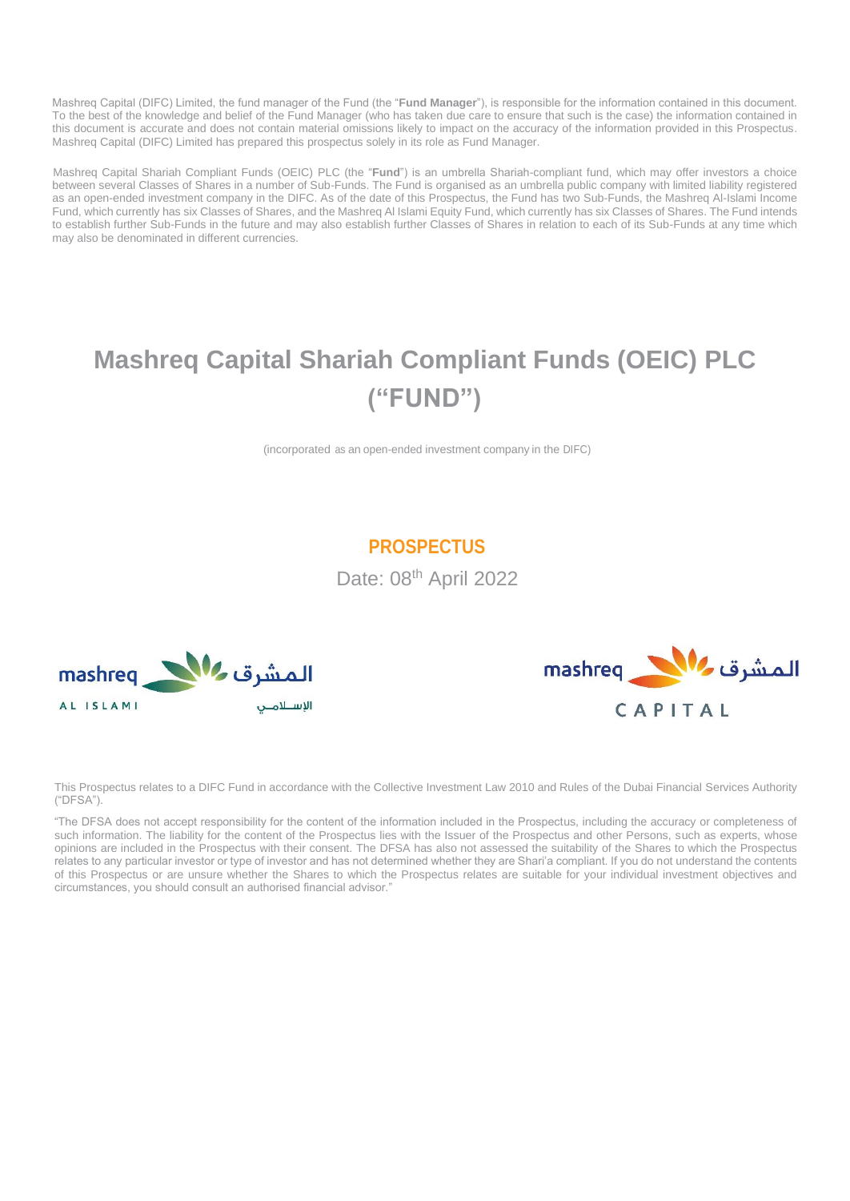Mashreq Capital (DIFC) Limited, the fund manager of the Fund (the "**Fund Manager**"), is responsible for the information contained in this document. To the best of the knowledge and belief of the Fund Manager (who has taken due care to ensure that such is the case) the information contained in this document is accurate and does not contain material omissions likely to impact on the accuracy of the information provided in this Prospectus. Mashreq Capital (DIFC) Limited has prepared this prospectus solely in its role as Fund Manager.

Mashreq Capital Shariah Compliant Funds (OEIC) PLC (the "**Fund**") is an umbrella Shariah-compliant fund, which may offer investors a choice between several Classes of Shares in a number of Sub-Funds. The Fund is organised as an umbrella public company with limited liability registered as an open-ended investment company in the DIFC. As of the date of this Prospectus, the Fund has two Sub-Funds, the Mashreq Al-Islami Income Fund, which currently has six Classes of Shares, and the Mashreq Al Islami Equity Fund, which currently has six Classes of Shares. The Fund intends to establish further Sub-Funds in the future and may also establish further Classes of Shares in relation to each of its Sub-Funds at any time which may also be denominated in different currencies.

# **Mashreq Capital Shariah Compliant Funds (OEIC) PLC ("FUND")**

(incorporated as an open-ended investment company in the DIFC)

# **PROSPECTUS**

Date: 08<sup>th</sup> April 2022





This Prospectus relates to a DIFC Fund in accordance with the Collective Investment Law 2010 and Rules of the Dubai Financial Services Authority ("DFSA").

"The DFSA does not accept responsibility for the content of the information included in the Prospectus, including the accuracy or completeness of such information. The liability for the content of the Prospectus lies with the Issuer of the Prospectus and other Persons, such as experts, whose opinions are included in the Prospectus with their consent. The DFSA has also not assessed the suitability of the Shares to which the Prospectus relates to any particular investor or type of investor and has not determined whether they are Shari'a compliant. If you do not understand the contents of this Prospectus or are unsure whether the Shares to which the Prospectus relates are suitable for your individual investment objectives and circumstances, you should consult an authorised financial advisor."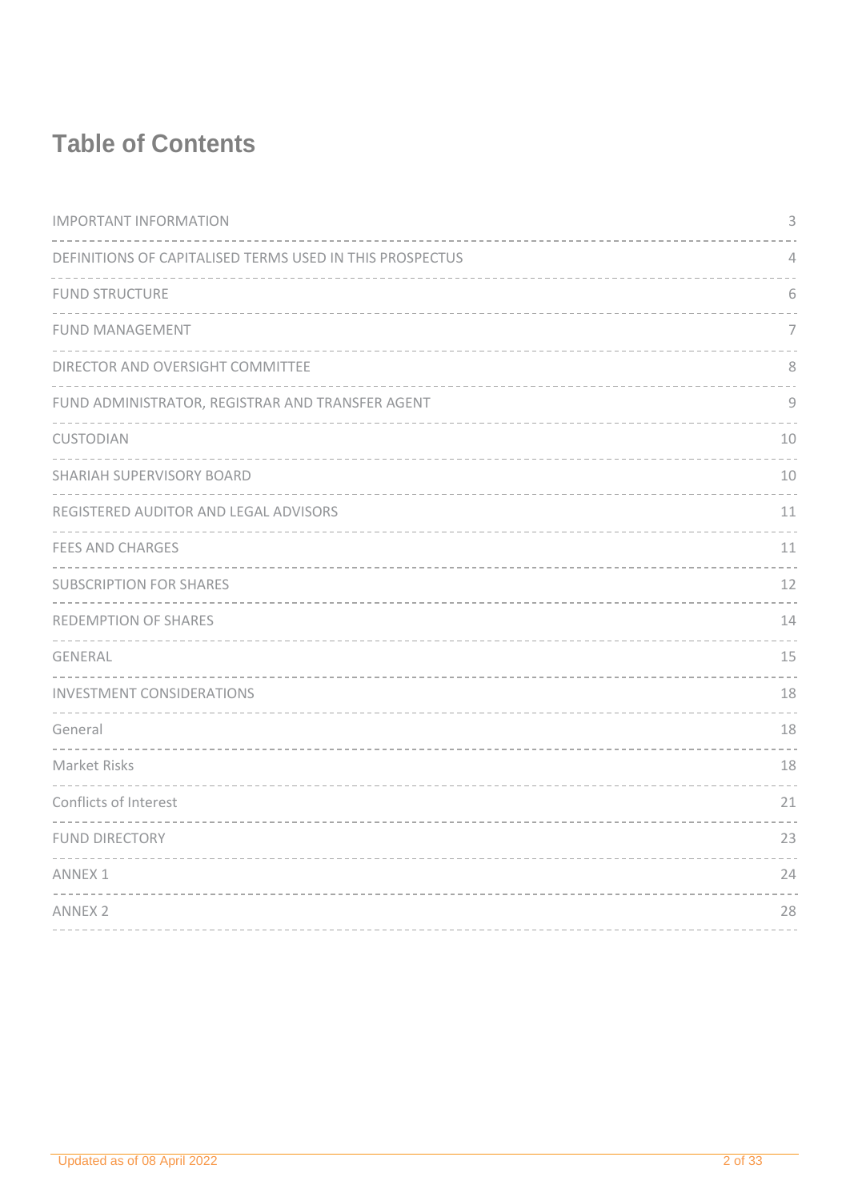# **Table of Contents**

| <b>IMPORTANT INFORMATION</b>                             | 3              |
|----------------------------------------------------------|----------------|
| DEFINITIONS OF CAPITALISED TERMS USED IN THIS PROSPECTUS | $\sqrt{ }$     |
| <b>FUND STRUCTURE</b>                                    | 6              |
| <b>FUND MANAGEMENT</b>                                   | $\overline{7}$ |
| DIRECTOR AND OVERSIGHT COMMITTEE                         | 8              |
| FUND ADMINISTRATOR, REGISTRAR AND TRANSFER AGENT         | $\mathcal{G}$  |
| CUSTODIAN                                                | 10             |
| SHARIAH SUPERVISORY BOARD                                | 10             |
| REGISTERED AUDITOR AND LEGAL ADVISORS                    | 11             |
| <b>FEES AND CHARGES</b>                                  | 11             |
| <b>SUBSCRIPTION FOR SHARES</b>                           | 12             |
| REDEMPTION OF SHARES                                     | 14             |
| GENERAL                                                  | 15             |
| <b>INVESTMENT CONSIDERATIONS</b>                         | 18             |
| General                                                  | 18             |
| Market Risks                                             | 18             |
| Conflicts of Interest                                    | 21             |
| <b>FUND DIRECTORY</b>                                    | 23             |
| <b>ANNEX 1</b>                                           | 24             |
| <b>ANNEX 2</b>                                           | 28             |
|                                                          |                |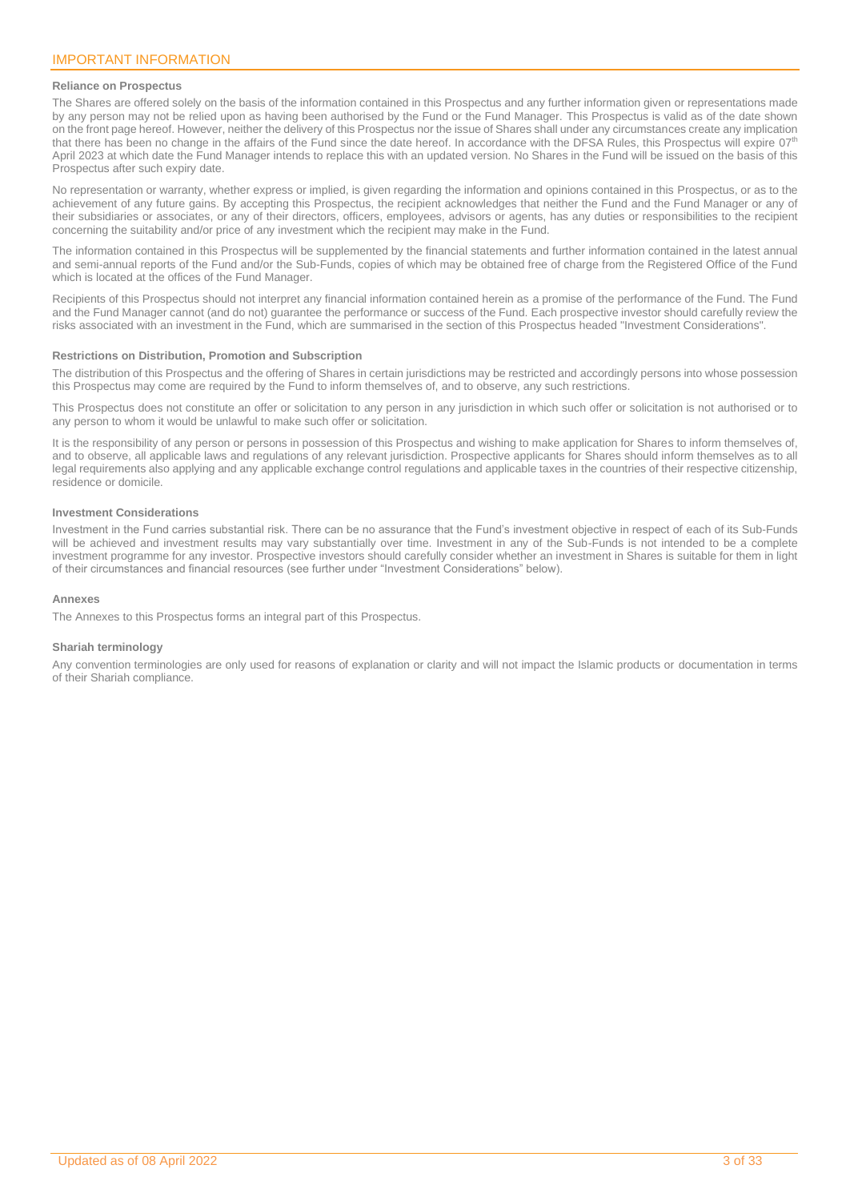### <span id="page-2-0"></span>**Reliance on Prospectus**

The Shares are offered solely on the basis of the information contained in this Prospectus and any further information given or representations made by any person may not be relied upon as having been authorised by the Fund or the Fund Manager. This Prospectus is valid as of the date shown on the front page hereof. However, neither the delivery of this Prospectus nor the issue of Shares shall under any circumstances create any implication that there has been no change in the affairs of the Fund since the date hereof. In accordance with the DFSA Rules, this Prospectus will expire 07<sup>tt</sup> April 2023 at which date the Fund Manager intends to replace this with an updated version. No Shares in the Fund will be issued on the basis of this Prospectus after such expiry date.

No representation or warranty, whether express or implied, is given regarding the information and opinions contained in this Prospectus, or as to the achievement of any future gains. By accepting this Prospectus, the recipient acknowledges that neither the Fund and the Fund Manager or any of their subsidiaries or associates, or any of their directors, officers, employees, advisors or agents, has any duties or responsibilities to the recipient concerning the suitability and/or price of any investment which the recipient may make in the Fund.

The information contained in this Prospectus will be supplemented by the financial statements and further information contained in the latest annual and semi-annual reports of the Fund and/or the Sub-Funds, copies of which may be obtained free of charge from the Registered Office of the Fund which is located at the offices of the Fund Manager.

Recipients of this Prospectus should not interpret any financial information contained herein as a promise of the performance of the Fund. The Fund and the Fund Manager cannot (and do not) guarantee the performance or success of the Fund. Each prospective investor should carefully review the risks associated with an investment in the Fund, which are summarised in the section of this Prospectus headed "Investment Considerations".

### **Restrictions on Distribution, Promotion and Subscription**

The distribution of this Prospectus and the offering of Shares in certain jurisdictions may be restricted and accordingly persons into whose possession this Prospectus may come are required by the Fund to inform themselves of, and to observe, any such restrictions.

This Prospectus does not constitute an offer or solicitation to any person in any jurisdiction in which such offer or solicitation is not authorised or to any person to whom it would be unlawful to make such offer or solicitation.

It is the responsibility of any person or persons in possession of this Prospectus and wishing to make application for Shares to inform themselves of, and to observe, all applicable laws and regulations of any relevant jurisdiction. Prospective applicants for Shares should inform themselves as to all legal requirements also applying and any applicable exchange control regulations and applicable taxes in the countries of their respective citizenship, residence or domicile.

### **Investment Considerations**

Investment in the Fund carries substantial risk. There can be no assurance that the Fund's investment objective in respect of each of its Sub-Funds will be achieved and investment results may vary substantially over time. Investment in any of the Sub-Funds is not intended to be a complete investment programme for any investor. Prospective investors should carefully consider whether an investment in Shares is suitable for them in light of their circumstances and financial resources (see further under "Investment Considerations" below).

### **Annexes**

The Annexes to this Prospectus forms an integral part of this Prospectus.

### **Shariah terminology**

Any convention terminologies are only used for reasons of explanation or clarity and will not impact the Islamic products or documentation in terms of their Shariah compliance.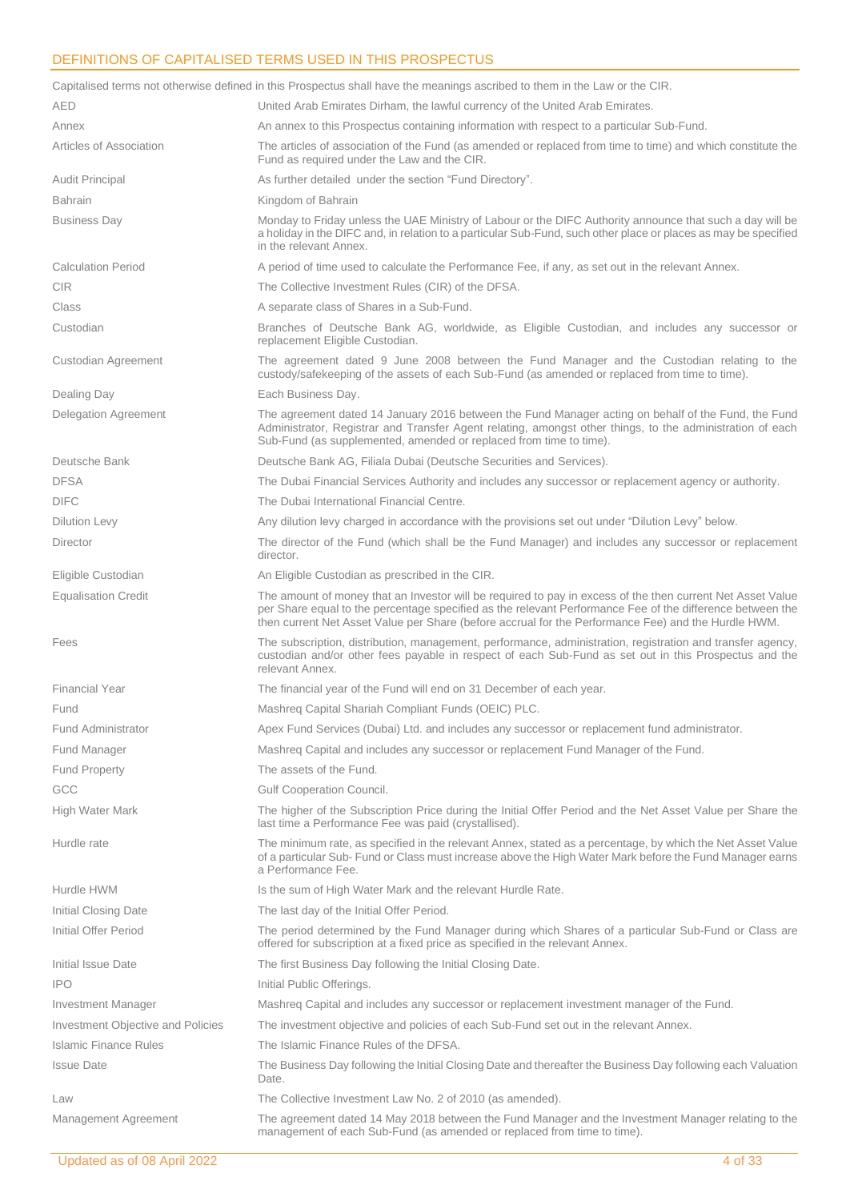## <span id="page-3-0"></span>DEFINITIONS OF CAPITALISED TERMS USED IN THIS PROSPECTUS

|                                   | Capitalised terms not otherwise defined in this Prospectus shall have the meanings ascribed to them in the Law or the CIR.                                                                                                                                                                                                     |
|-----------------------------------|--------------------------------------------------------------------------------------------------------------------------------------------------------------------------------------------------------------------------------------------------------------------------------------------------------------------------------|
| <b>AED</b>                        | United Arab Emirates Dirham, the lawful currency of the United Arab Emirates.                                                                                                                                                                                                                                                  |
| Annex                             | An annex to this Prospectus containing information with respect to a particular Sub-Fund.                                                                                                                                                                                                                                      |
| Articles of Association           | The articles of association of the Fund (as amended or replaced from time to time) and which constitute the<br>Fund as required under the Law and the CIR.                                                                                                                                                                     |
| <b>Audit Principal</b>            | As further detailed under the section "Fund Directory".                                                                                                                                                                                                                                                                        |
| <b>Bahrain</b>                    | Kingdom of Bahrain                                                                                                                                                                                                                                                                                                             |
| <b>Business Day</b>               | Monday to Friday unless the UAE Ministry of Labour or the DIFC Authority announce that such a day will be<br>a holiday in the DIFC and, in relation to a particular Sub-Fund, such other place or places as may be specified<br>in the relevant Annex.                                                                         |
| <b>Calculation Period</b>         | A period of time used to calculate the Performance Fee, if any, as set out in the relevant Annex.                                                                                                                                                                                                                              |
| <b>CIR</b>                        | The Collective Investment Rules (CIR) of the DFSA.                                                                                                                                                                                                                                                                             |
| Class                             | A separate class of Shares in a Sub-Fund.                                                                                                                                                                                                                                                                                      |
| Custodian                         | Branches of Deutsche Bank AG, worldwide, as Eligible Custodian, and includes any successor or<br>replacement Eligible Custodian.                                                                                                                                                                                               |
| Custodian Agreement               | The agreement dated 9 June 2008 between the Fund Manager and the Custodian relating to the<br>custody/safekeeping of the assets of each Sub-Fund (as amended or replaced from time to time).                                                                                                                                   |
| Dealing Day                       | Each Business Day.                                                                                                                                                                                                                                                                                                             |
| Delegation Agreement              | The agreement dated 14 January 2016 between the Fund Manager acting on behalf of the Fund, the Fund<br>Administrator, Registrar and Transfer Agent relating, amongst other things, to the administration of each<br>Sub-Fund (as supplemented, amended or replaced from time to time).                                         |
| Deutsche Bank                     | Deutsche Bank AG, Filiala Dubai (Deutsche Securities and Services).                                                                                                                                                                                                                                                            |
| <b>DFSA</b>                       | The Dubai Financial Services Authority and includes any successor or replacement agency or authority.                                                                                                                                                                                                                          |
| <b>DIFC</b>                       | The Dubai International Financial Centre.                                                                                                                                                                                                                                                                                      |
| <b>Dilution Levy</b>              | Any dilution levy charged in accordance with the provisions set out under "Dilution Levy" below.                                                                                                                                                                                                                               |
| Director                          | The director of the Fund (which shall be the Fund Manager) and includes any successor or replacement<br>director.                                                                                                                                                                                                              |
| Eligible Custodian                | An Eligible Custodian as prescribed in the CIR.                                                                                                                                                                                                                                                                                |
| <b>Equalisation Credit</b>        | The amount of money that an Investor will be required to pay in excess of the then current Net Asset Value<br>per Share equal to the percentage specified as the relevant Performance Fee of the difference between the<br>then current Net Asset Value per Share (before accrual for the Performance Fee) and the Hurdle HWM. |
| Fees                              | The subscription, distribution, management, performance, administration, registration and transfer agency,<br>custodian and/or other fees payable in respect of each Sub-Fund as set out in this Prospectus and the<br>relevant Annex.                                                                                         |
| <b>Financial Year</b>             | The financial year of the Fund will end on 31 December of each year.                                                                                                                                                                                                                                                           |
| Fund                              | Mashreq Capital Shariah Compliant Funds (OEIC) PLC.                                                                                                                                                                                                                                                                            |
| Fund Administrator                | Apex Fund Services (Dubai) Ltd. and includes any successor or replacement fund administrator.                                                                                                                                                                                                                                  |
| Fund Manager                      | Mashreq Capital and includes any successor or replacement Fund Manager of the Fund.                                                                                                                                                                                                                                            |
| <b>Fund Property</b>              | The assets of the Fund.                                                                                                                                                                                                                                                                                                        |
| GCC                               | <b>Gulf Cooperation Council.</b>                                                                                                                                                                                                                                                                                               |
| High Water Mark                   | The higher of the Subscription Price during the Initial Offer Period and the Net Asset Value per Share the<br>last time a Performance Fee was paid (crystallised).                                                                                                                                                             |
| Hurdle rate                       | The minimum rate, as specified in the relevant Annex, stated as a percentage, by which the Net Asset Value<br>of a particular Sub-Fund or Class must increase above the High Water Mark before the Fund Manager earns<br>a Performance Fee.                                                                                    |
| Hurdle HWM                        | Is the sum of High Water Mark and the relevant Hurdle Rate.                                                                                                                                                                                                                                                                    |
| Initial Closing Date              | The last day of the Initial Offer Period.                                                                                                                                                                                                                                                                                      |
| Initial Offer Period              | The period determined by the Fund Manager during which Shares of a particular Sub-Fund or Class are<br>offered for subscription at a fixed price as specified in the relevant Annex.                                                                                                                                           |
| Initial Issue Date                | The first Business Day following the Initial Closing Date.                                                                                                                                                                                                                                                                     |
| <b>IPO</b>                        | Initial Public Offerings.                                                                                                                                                                                                                                                                                                      |
| Investment Manager                | Mashreq Capital and includes any successor or replacement investment manager of the Fund.                                                                                                                                                                                                                                      |
| Investment Objective and Policies | The investment objective and policies of each Sub-Fund set out in the relevant Annex.                                                                                                                                                                                                                                          |
| Islamic Finance Rules             | The Islamic Finance Rules of the DFSA.                                                                                                                                                                                                                                                                                         |
| <b>Issue Date</b>                 | The Business Day following the Initial Closing Date and thereafter the Business Day following each Valuation<br>Date.                                                                                                                                                                                                          |
| Law                               | The Collective Investment Law No. 2 of 2010 (as amended).                                                                                                                                                                                                                                                                      |
| Management Agreement              | The agreement dated 14 May 2018 between the Fund Manager and the Investment Manager relating to the<br>management of each Sub-Fund (as amended or replaced from time to time).                                                                                                                                                 |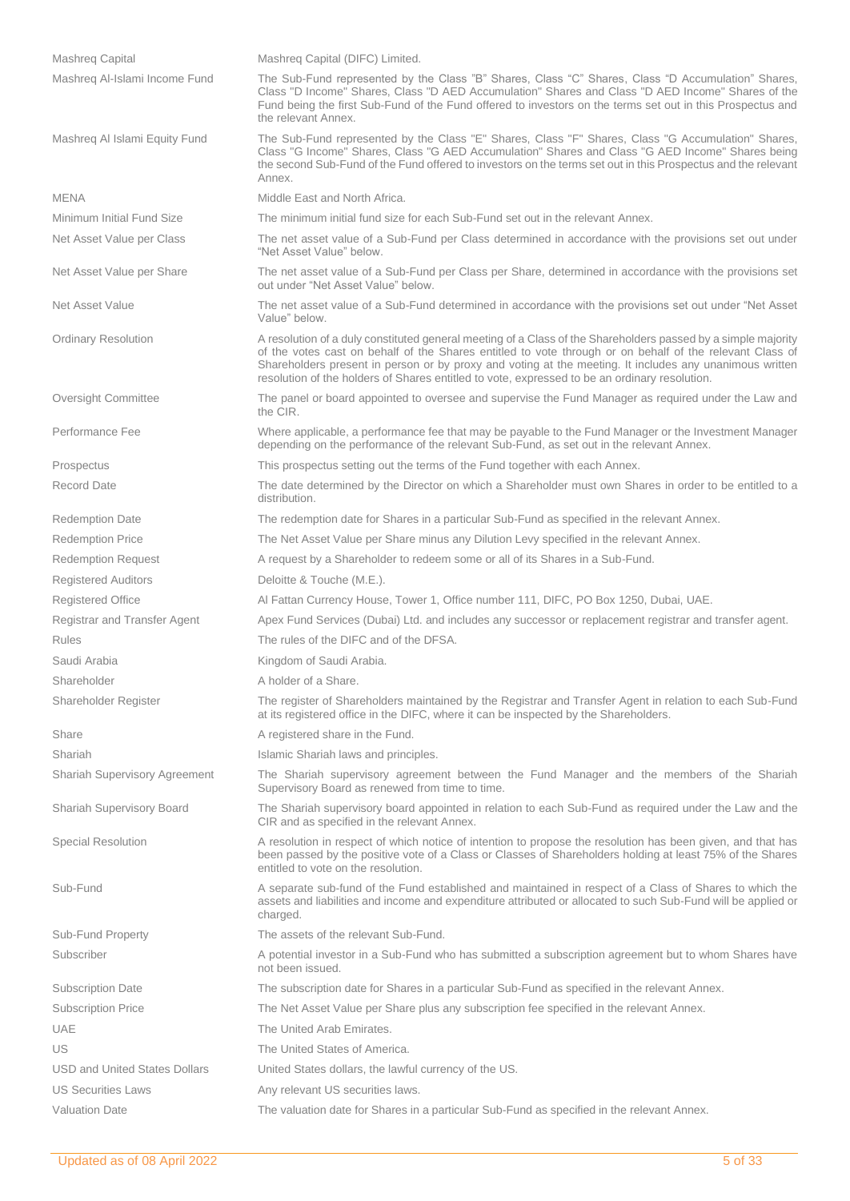| <b>Mashreg Capital</b>               | Mashreg Capital (DIFC) Limited.                                                                                                                                                                                                                                                                                                                                                                                                       |
|--------------------------------------|---------------------------------------------------------------------------------------------------------------------------------------------------------------------------------------------------------------------------------------------------------------------------------------------------------------------------------------------------------------------------------------------------------------------------------------|
| Mashreg Al-Islami Income Fund        | The Sub-Fund represented by the Class "B" Shares, Class "C" Shares, Class "D Accumulation" Shares,<br>Class "D Income" Shares, Class "D AED Accumulation" Shares and Class "D AED Income" Shares of the<br>Fund being the first Sub-Fund of the Fund offered to investors on the terms set out in this Prospectus and<br>the relevant Annex.                                                                                          |
| Mashreg Al Islami Equity Fund        | The Sub-Fund represented by the Class "E" Shares, Class "F" Shares, Class "G Accumulation" Shares,<br>Class "G Income" Shares, Class "G AED Accumulation" Shares and Class "G AED Income" Shares being<br>the second Sub-Fund of the Fund offered to investors on the terms set out in this Prospectus and the relevant<br>Annex.                                                                                                     |
| <b>MENA</b>                          | Middle East and North Africa.                                                                                                                                                                                                                                                                                                                                                                                                         |
| Minimum Initial Fund Size            | The minimum initial fund size for each Sub-Fund set out in the relevant Annex.                                                                                                                                                                                                                                                                                                                                                        |
| Net Asset Value per Class            | The net asset value of a Sub-Fund per Class determined in accordance with the provisions set out under<br>"Net Asset Value" below.                                                                                                                                                                                                                                                                                                    |
| Net Asset Value per Share            | The net asset value of a Sub-Fund per Class per Share, determined in accordance with the provisions set<br>out under "Net Asset Value" below.                                                                                                                                                                                                                                                                                         |
| Net Asset Value                      | The net asset value of a Sub-Fund determined in accordance with the provisions set out under "Net Asset<br>Value" below.                                                                                                                                                                                                                                                                                                              |
| <b>Ordinary Resolution</b>           | A resolution of a duly constituted general meeting of a Class of the Shareholders passed by a simple majority<br>of the votes cast on behalf of the Shares entitled to vote through or on behalf of the relevant Class of<br>Shareholders present in person or by proxy and voting at the meeting. It includes any unanimous written<br>resolution of the holders of Shares entitled to vote, expressed to be an ordinary resolution. |
| Oversight Committee                  | The panel or board appointed to oversee and supervise the Fund Manager as required under the Law and<br>the CIR.                                                                                                                                                                                                                                                                                                                      |
| Performance Fee                      | Where applicable, a performance fee that may be payable to the Fund Manager or the Investment Manager<br>depending on the performance of the relevant Sub-Fund, as set out in the relevant Annex.                                                                                                                                                                                                                                     |
| Prospectus                           | This prospectus setting out the terms of the Fund together with each Annex.                                                                                                                                                                                                                                                                                                                                                           |
| Record Date                          | The date determined by the Director on which a Shareholder must own Shares in order to be entitled to a<br>distribution.                                                                                                                                                                                                                                                                                                              |
| <b>Redemption Date</b>               | The redemption date for Shares in a particular Sub-Fund as specified in the relevant Annex.                                                                                                                                                                                                                                                                                                                                           |
| <b>Redemption Price</b>              | The Net Asset Value per Share minus any Dilution Levy specified in the relevant Annex.                                                                                                                                                                                                                                                                                                                                                |
| <b>Redemption Request</b>            | A request by a Shareholder to redeem some or all of its Shares in a Sub-Fund.                                                                                                                                                                                                                                                                                                                                                         |
| <b>Registered Auditors</b>           | Deloitte & Touche (M.E.).                                                                                                                                                                                                                                                                                                                                                                                                             |
| <b>Registered Office</b>             | Al Fattan Currency House, Tower 1, Office number 111, DIFC, PO Box 1250, Dubai, UAE.                                                                                                                                                                                                                                                                                                                                                  |
| Registrar and Transfer Agent         | Apex Fund Services (Dubai) Ltd. and includes any successor or replacement registrar and transfer agent.                                                                                                                                                                                                                                                                                                                               |
| <b>Rules</b>                         | The rules of the DIFC and of the DFSA.                                                                                                                                                                                                                                                                                                                                                                                                |
| Saudi Arabia                         | Kingdom of Saudi Arabia.                                                                                                                                                                                                                                                                                                                                                                                                              |
| Shareholder                          | A holder of a Share.                                                                                                                                                                                                                                                                                                                                                                                                                  |
| Shareholder Register                 | The register of Shareholders maintained by the Registrar and Transfer Agent in relation to each Sub-Fund<br>at its registered office in the DIFC, where it can be inspected by the Shareholders.                                                                                                                                                                                                                                      |
| Share                                | A registered share in the Fund.                                                                                                                                                                                                                                                                                                                                                                                                       |
| Shariah                              | Islamic Shariah laws and principles.                                                                                                                                                                                                                                                                                                                                                                                                  |
| <b>Shariah Supervisory Agreement</b> | The Shariah supervisory agreement between the Fund Manager and the members of the Shariah<br>Supervisory Board as renewed from time to time.                                                                                                                                                                                                                                                                                          |
| <b>Shariah Supervisory Board</b>     | The Shariah supervisory board appointed in relation to each Sub-Fund as required under the Law and the<br>CIR and as specified in the relevant Annex.                                                                                                                                                                                                                                                                                 |
| <b>Special Resolution</b>            | A resolution in respect of which notice of intention to propose the resolution has been given, and that has<br>been passed by the positive vote of a Class or Classes of Shareholders holding at least 75% of the Shares<br>entitled to vote on the resolution.                                                                                                                                                                       |
| Sub-Fund                             | A separate sub-fund of the Fund established and maintained in respect of a Class of Shares to which the<br>assets and liabilities and income and expenditure attributed or allocated to such Sub-Fund will be applied or<br>charged.                                                                                                                                                                                                  |
| Sub-Fund Property                    | The assets of the relevant Sub-Fund.                                                                                                                                                                                                                                                                                                                                                                                                  |
| Subscriber                           | A potential investor in a Sub-Fund who has submitted a subscription agreement but to whom Shares have<br>not been issued.                                                                                                                                                                                                                                                                                                             |
| <b>Subscription Date</b>             | The subscription date for Shares in a particular Sub-Fund as specified in the relevant Annex.                                                                                                                                                                                                                                                                                                                                         |
| <b>Subscription Price</b>            | The Net Asset Value per Share plus any subscription fee specified in the relevant Annex.                                                                                                                                                                                                                                                                                                                                              |
| <b>UAE</b>                           | The United Arab Emirates.                                                                                                                                                                                                                                                                                                                                                                                                             |
| US                                   | The United States of America.                                                                                                                                                                                                                                                                                                                                                                                                         |
| <b>USD and United States Dollars</b> | United States dollars, the lawful currency of the US.                                                                                                                                                                                                                                                                                                                                                                                 |
| <b>US Securities Laws</b>            | Any relevant US securities laws.                                                                                                                                                                                                                                                                                                                                                                                                      |
| <b>Valuation Date</b>                | The valuation date for Shares in a particular Sub-Fund as specified in the relevant Annex.                                                                                                                                                                                                                                                                                                                                            |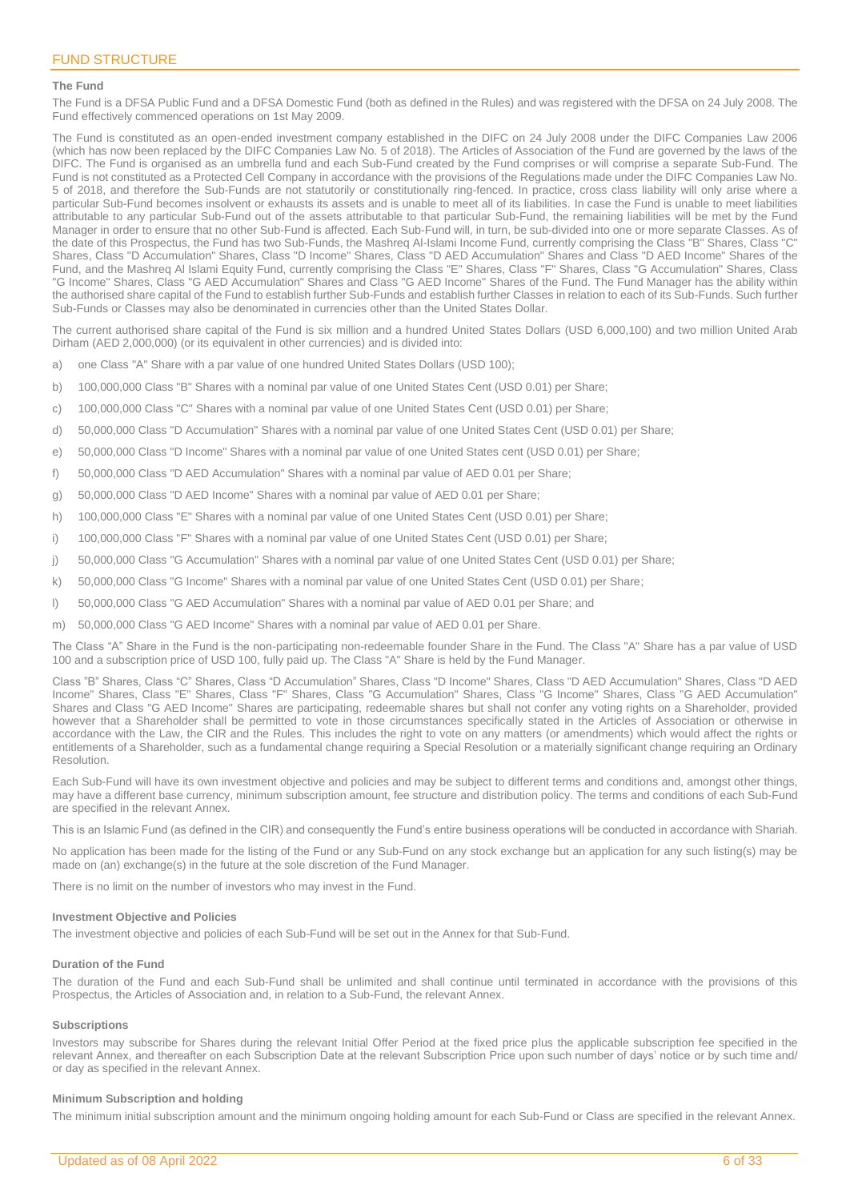### <span id="page-5-0"></span>**The Fund**

The Fund is a DFSA Public Fund and a DFSA Domestic Fund (both as defined in the Rules) and was registered with the DFSA on 24 July 2008. The Fund effectively commenced operations on 1st May 2009.

The Fund is constituted as an open-ended investment company established in the DIFC on 24 July 2008 under the DIFC Companies Law 2006 (which has now been replaced by the DIFC Companies Law No. 5 of 2018). The Articles of Association of the Fund are governed by the laws of the DIFC. The Fund is organised as an umbrella fund and each Sub-Fund created by the Fund comprises or will comprise a separate Sub-Fund. The Fund is not constituted as a Protected Cell Company in accordance with the provisions of the Regulations made under the DIFC Companies Law No. 5 of 2018, and therefore the Sub-Funds are not statutorily or constitutionally ring-fenced. In practice, cross class liability will only arise where a particular Sub-Fund becomes insolvent or exhausts its assets and is unable to meet all of its liabilities. In case the Fund is unable to meet liabilities attributable to any particular Sub-Fund out of the assets attributable to that particular Sub-Fund, the remaining liabilities will be met by the Fund Manager in order to ensure that no other Sub-Fund is affected. Each Sub-Fund will, in turn, be sub-divided into one or more separate Classes. As of the date of this Prospectus, the Fund has two Sub-Funds, the Mashreq Al-Islami Income Fund, currently comprising the Class "B" Shares, Class "C" Shares, Class "D Accumulation" Shares, Class "D Income" Shares, Class "D AED Accumulation" Shares and Class "D AED Income" Shares of the Fund, and the Mashreq Al Islami Equity Fund, currently comprising the Class "E" Shares, Class "F" Shares, Class "G Accumulation" Shares, Class "G Income" Shares, Class "G AED Accumulation" Shares and Class "G AED Income" Shares of the Fund. The Fund Manager has the ability within the authorised share capital of the Fund to establish further Sub-Funds and establish further Classes in relation to each of its Sub-Funds. Such further Sub-Funds or Classes may also be denominated in currencies other than the United States Dollar.

The current authorised share capital of the Fund is six million and a hundred United States Dollars (USD 6,000,100) and two million United Arab Dirham (AED 2,000,000) (or its equivalent in other currencies) and is divided into:

- a) one Class "A" Share with a par value of one hundred United States Dollars (USD 100);
- b) 100,000,000 Class "B" Shares with a nominal par value of one United States Cent (USD 0.01) per Share;
- c) 100,000,000 Class "C" Shares with a nominal par value of one United States Cent (USD 0.01) per Share;
- d) 50,000,000 Class "D Accumulation" Shares with a nominal par value of one United States Cent (USD 0.01) per Share;
- e) 50,000,000 Class "D Income" Shares with a nominal par value of one United States cent (USD 0.01) per Share;
- f) 50,000,000 Class "D AED Accumulation" Shares with a nominal par value of AED 0.01 per Share;
- g) 50,000,000 Class "D AED Income" Shares with a nominal par value of AED 0.01 per Share;
- h) 100,000,000 Class "E" Shares with a nominal par value of one United States Cent (USD 0.01) per Share;
- i) 100,000,000 Class "F" Shares with a nominal par value of one United States Cent (USD 0.01) per Share;
- j) 50,000,000 Class "G Accumulation" Shares with a nominal par value of one United States Cent (USD 0.01) per Share;
- k) 50,000,000 Class "G Income" Shares with a nominal par value of one United States Cent (USD 0.01) per Share;
- l) 50,000,000 Class "G AED Accumulation" Shares with a nominal par value of AED 0.01 per Share; and
- m) 50,000,000 Class "G AED Income" Shares with a nominal par value of AED 0.01 per Share.

The Class "A" Share in the Fund is the non-participating non-redeemable founder Share in the Fund. The Class "A" Share has a par value of USD 100 and a subscription price of USD 100, fully paid up. The Class "A" Share is held by the Fund Manager.

Class "B" Shares, Class "C" Shares, Class "D Accumulation" Shares, Class "D Income" Shares, Class "D AED Accumulation" Shares, Class "D AED Income" Shares, Class "E" Shares, Class "F" Shares, Class "G Accumulation" Shares, Class "G Income" Shares, Class "G AED Accumulation" Shares and Class "G AED Income" Shares are participating, redeemable shares but shall not confer any voting rights on a Shareholder, provided however that a Shareholder shall be permitted to vote in those circumstances specifically stated in the Articles of Association or otherwise in accordance with the Law, the CIR and the Rules. This includes the right to vote on any matters (or amendments) which would affect the rights or entitlements of a Shareholder, such as a fundamental change requiring a Special Resolution or a materially significant change requiring an Ordinary Resolution.

Each Sub-Fund will have its own investment objective and policies and may be subject to different terms and conditions and, amongst other things, may have a different base currency, minimum subscription amount, fee structure and distribution policy. The terms and conditions of each Sub-Fund are specified in the relevant Annex.

This is an Islamic Fund (as defined in the CIR) and consequently the Fund's entire business operations will be conducted in accordance with Shariah.

No application has been made for the listing of the Fund or any Sub-Fund on any stock exchange but an application for any such listing(s) may be made on (an) exchange(s) in the future at the sole discretion of the Fund Manager.

There is no limit on the number of investors who may invest in the Fund.

### **Investment Objective and Policies**

The investment objective and policies of each Sub-Fund will be set out in the Annex for that Sub-Fund.

#### **Duration of the Fund**

The duration of the Fund and each Sub-Fund shall be unlimited and shall continue until terminated in accordance with the provisions of this Prospectus, the Articles of Association and, in relation to a Sub-Fund, the relevant Annex.

#### **Subscriptions**

Investors may subscribe for Shares during the relevant Initial Offer Period at the fixed price plus the applicable subscription fee specified in the relevant Annex, and thereafter on each Subscription Date at the relevant Subscription Price upon such number of days' notice or by such time and/ or day as specified in the relevant Annex.

#### **Minimum Subscription and holding**

The minimum initial subscription amount and the minimum ongoing holding amount for each Sub-Fund or Class are specified in the relevant Annex.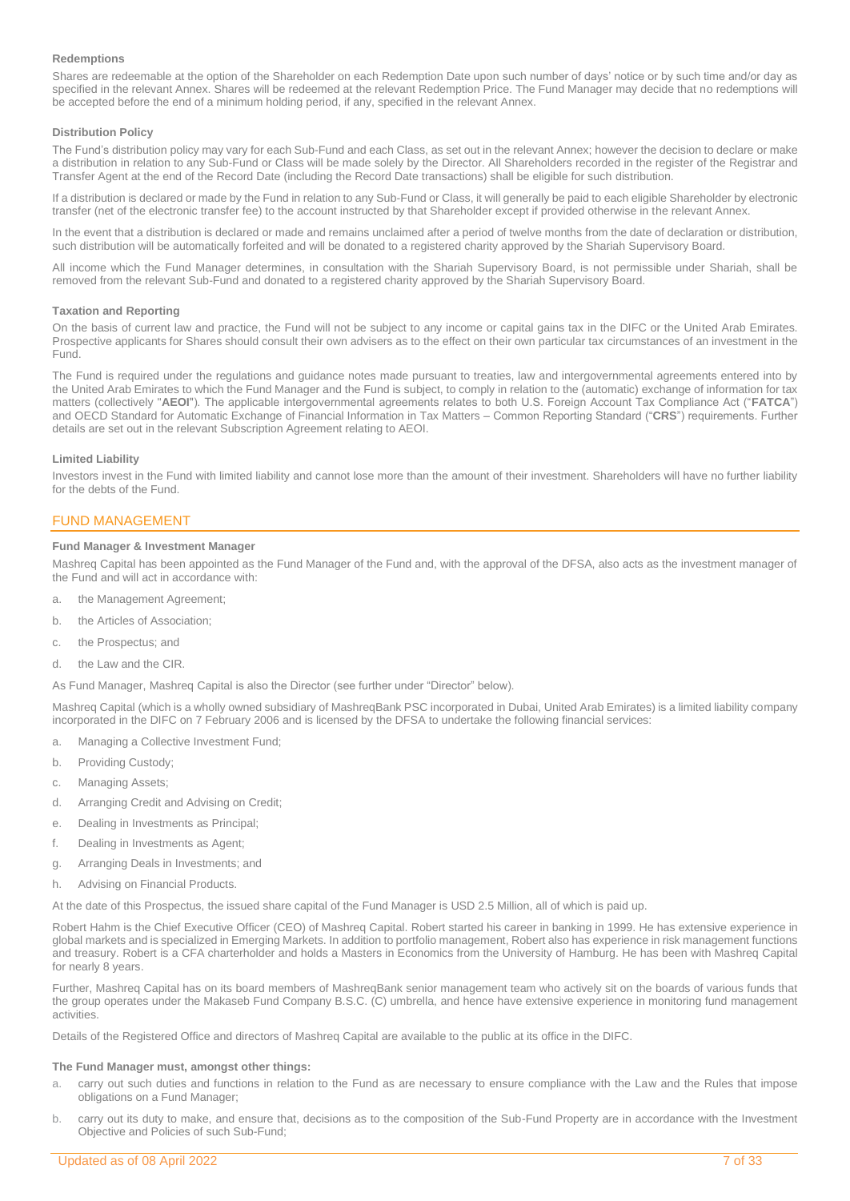### **Redemptions**

Shares are redeemable at the option of the Shareholder on each Redemption Date upon such number of days' notice or by such time and/or day as specified in the relevant Annex. Shares will be redeemed at the relevant Redemption Price. The Fund Manager may decide that no redemptions will be accepted before the end of a minimum holding period, if any, specified in the relevant Annex.

### **Distribution Policy**

The Fund's distribution policy may vary for each Sub-Fund and each Class, as set out in the relevant Annex; however the decision to declare or make a distribution in relation to any Sub-Fund or Class will be made solely by the Director. All Shareholders recorded in the register of the Registrar and Transfer Agent at the end of the Record Date (including the Record Date transactions) shall be eligible for such distribution.

If a distribution is declared or made by the Fund in relation to any Sub-Fund or Class, it will generally be paid to each eligible Shareholder by electronic transfer (net of the electronic transfer fee) to the account instructed by that Shareholder except if provided otherwise in the relevant Annex.

In the event that a distribution is declared or made and remains unclaimed after a period of twelve months from the date of declaration or distribution, such distribution will be automatically forfeited and will be donated to a registered charity approved by the Shariah Supervisory Board.

All income which the Fund Manager determines, in consultation with the Shariah Supervisory Board, is not permissible under Shariah, shall be removed from the relevant Sub-Fund and donated to a registered charity approved by the Shariah Supervisory Board.

### **Taxation and Reporting**

On the basis of current law and practice, the Fund will not be subject to any income or capital gains tax in the DIFC or the United Arab Emirates. Prospective applicants for Shares should consult their own advisers as to the effect on their own particular tax circumstances of an investment in the Fund.

The Fund is required under the regulations and guidance notes made pursuant to treaties, law and intergovernmental agreements entered into by the United Arab Emirates to which the Fund Manager and the Fund is subject, to comply in relation to the (automatic) exchange of information for tax matters (collectively "**AEOI**"). The applicable intergovernmental agreements relates to both U.S. Foreign Account Tax Compliance Act ("**FATCA**") and OECD Standard for Automatic Exchange of Financial Information in Tax Matters – Common Reporting Standard ("**CRS**") requirements. Further details are set out in the relevant Subscription Agreement relating to AEOI.

### **Limited Liability**

Investors invest in the Fund with limited liability and cannot lose more than the amount of their investment. Shareholders will have no further liability for the debts of the Fund.

### <span id="page-6-0"></span>FUND MANAGEMENT

### **Fund Manager & Investment Manager**

Mashreq Capital has been appointed as the Fund Manager of the Fund and, with the approval of the DFSA, also acts as the investment manager of the Fund and will act in accordance with:

- a. the Management Agreement;
- b. the Articles of Association;
- c. the Prospectus; and
- d. the Law and the CIR.

As Fund Manager, Mashreq Capital is also the Director (see further under "Director" below).

Mashreq Capital (which is a wholly owned subsidiary of MashreqBank PSC incorporated in Dubai, United Arab Emirates) is a limited liability company incorporated in the DIFC on 7 February 2006 and is licensed by the DFSA to undertake the following financial services:

- a. Managing a Collective Investment Fund;
- b. Providing Custody;
- c. Managing Assets;
- d. Arranging Credit and Advising on Credit;
- e. Dealing in Investments as Principal;
- f. Dealing in Investments as Agent;
- g. Arranging Deals in Investments; and
- h. Advising on Financial Products.

At the date of this Prospectus, the issued share capital of the Fund Manager is USD 2.5 Million, all of which is paid up.

Robert Hahm is the Chief Executive Officer (CEO) of Mashreq Capital. Robert started his career in banking in 1999. He has extensive experience in global markets and is specialized in Emerging Markets. In addition to portfolio management, Robert also has experience in risk management functions and treasury. Robert is a CFA charterholder and holds a Masters in Economics from the University of Hamburg. He has been with Mashreq Capital for nearly 8 years.

Further, Mashreq Capital has on its board members of MashreqBank senior management team who actively sit on the boards of various funds that the group operates under the Makaseb Fund Company B.S.C. (C) umbrella, and hence have extensive experience in monitoring fund management activities

Details of the Registered Office and directors of Mashreq Capital are available to the public at its office in the DIFC.

### **The Fund Manager must, amongst other things:**

- a. carry out such duties and functions in relation to the Fund as are necessary to ensure compliance with the Law and the Rules that impose obligations on a Fund Manager;
- b. carry out its duty to make, and ensure that, decisions as to the composition of the Sub-Fund Property are in accordance with the Investment Objective and Policies of such Sub-Fund;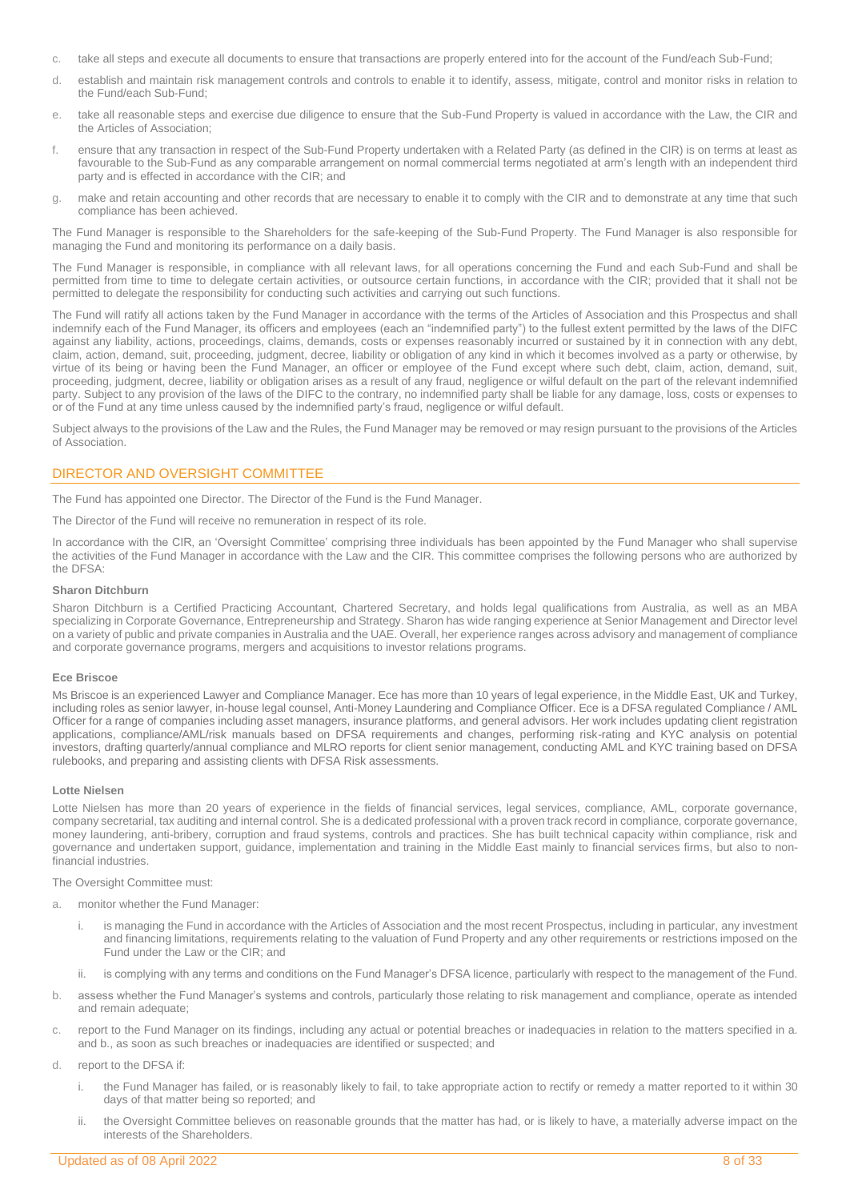- c. take all steps and execute all documents to ensure that transactions are properly entered into for the account of the Fund/each Sub-Fund;
- d. establish and maintain risk management controls and controls to enable it to identify, assess, mitigate, control and monitor risks in relation to the Fund/each Sub-Fund;
- e. take all reasonable steps and exercise due diligence to ensure that the Sub-Fund Property is valued in accordance with the Law, the CIR and the Articles of Association;
- f. ensure that any transaction in respect of the Sub-Fund Property undertaken with a Related Party (as defined in the CIR) is on terms at least as favourable to the Sub-Fund as any comparable arrangement on normal commercial terms negotiated at arm's length with an independent third party and is effected in accordance with the CIR; and
- g. make and retain accounting and other records that are necessary to enable it to comply with the CIR and to demonstrate at any time that such compliance has been achieved.

The Fund Manager is responsible to the Shareholders for the safe-keeping of the Sub-Fund Property. The Fund Manager is also responsible for managing the Fund and monitoring its performance on a daily basis.

The Fund Manager is responsible, in compliance with all relevant laws, for all operations concerning the Fund and each Sub-Fund and shall be permitted from time to time to delegate certain activities, or outsource certain functions, in accordance with the CIR; provided that it shall not be permitted to delegate the responsibility for conducting such activities and carrying out such functions.

The Fund will ratify all actions taken by the Fund Manager in accordance with the terms of the Articles of Association and this Prospectus and shall indemnify each of the Fund Manager, its officers and employees (each an "indemnified party") to the fullest extent permitted by the laws of the DIFC against any liability, actions, proceedings, claims, demands, costs or expenses reasonably incurred or sustained by it in connection with any debt, claim, action, demand, suit, proceeding, judgment, decree, liability or obligation of any kind in which it becomes involved as a party or otherwise, by virtue of its being or having been the Fund Manager, an officer or employee of the Fund except where such debt, claim, action, demand, suit, proceeding, judgment, decree, liability or obligation arises as a result of any fraud, negligence or wilful default on the part of the relevant indemnified party. Subject to any provision of the laws of the DIFC to the contrary, no indemnified party shall be liable for any damage, loss, costs or expenses to or of the Fund at any time unless caused by the indemnified party's fraud, negligence or wilful default.

Subject always to the provisions of the Law and the Rules, the Fund Manager may be removed or may resign pursuant to the provisions of the Articles of Association.

## <span id="page-7-0"></span>DIRECTOR AND OVERSIGHT COMMITTEE

The Fund has appointed one Director. The Director of the Fund is the Fund Manager.

The Director of the Fund will receive no remuneration in respect of its role.

In accordance with the CIR, an 'Oversight Committee' comprising three individuals has been appointed by the Fund Manager who shall supervise the activities of the Fund Manager in accordance with the Law and the CIR. This committee comprises the following persons who are authorized by the DFSA:

### **Sharon Ditchburn**

Sharon Ditchburn is a Certified Practicing Accountant, Chartered Secretary, and holds legal qualifications from Australia, as well as an MBA specializing in Corporate Governance, Entrepreneurship and Strategy. Sharon has wide ranging experience at Senior Management and Director level on a variety of public and private companies in Australia and the UAE. Overall, her experience ranges across advisory and management of compliance and corporate governance programs, mergers and acquisitions to investor relations programs.

### **Ece Briscoe**

Ms Briscoe is an experienced Lawyer and Compliance Manager. Ece has more than 10 years of legal experience, in the Middle East, UK and Turkey, including roles as senior lawyer, in-house legal counsel, Anti-Money Laundering and Compliance Officer. Ece is a DFSA regulated Compliance / AML Officer for a range of companies including asset managers, insurance platforms, and general advisors. Her work includes updating client registration applications, compliance/AML/risk manuals based on DFSA requirements and changes, performing risk-rating and KYC analysis on potential investors, drafting quarterly/annual compliance and MLRO reports for client senior management, conducting AML and KYC training based on DFSA rulebooks, and preparing and assisting clients with DFSA Risk assessments.

### **Lotte Nielsen**

Lotte Nielsen has more than 20 years of experience in the fields of financial services, legal services, compliance, AML, corporate governance, company secretarial, tax auditing and internal control. She is a dedicated professional with a proven track record in compliance, corporate governance, money laundering, anti-bribery, corruption and fraud systems, controls and practices. She has built technical capacity within compliance, risk and governance and undertaken support, guidance, implementation and training in the Middle East mainly to financial services firms, but also to nonfinancial industries.

The Oversight Committee must:

- a. monitor whether the Fund Manager:
	- i. is managing the Fund in accordance with the Articles of Association and the most recent Prospectus, including in particular, any investment and financing limitations, requirements relating to the valuation of Fund Property and any other requirements or restrictions imposed on the Fund under the Law or the CIR; and
	- ii. is complying with any terms and conditions on the Fund Manager's DFSA licence, particularly with respect to the management of the Fund.
- b. assess whether the Fund Manager's systems and controls, particularly those relating to risk management and compliance, operate as intended and remain adequate;
- c. report to the Fund Manager on its findings, including any actual or potential breaches or inadequacies in relation to the matters specified in a. and b., as soon as such breaches or inadequacies are identified or suspected; and
- d. report to the DFSA if:
	- i. the Fund Manager has failed, or is reasonably likely to fail, to take appropriate action to rectify or remedy a matter reported to it within 30 days of that matter being so reported; and
	- ii. the Oversight Committee believes on reasonable grounds that the matter has had, or is likely to have, a materially adverse impact on the interests of the Shareholders.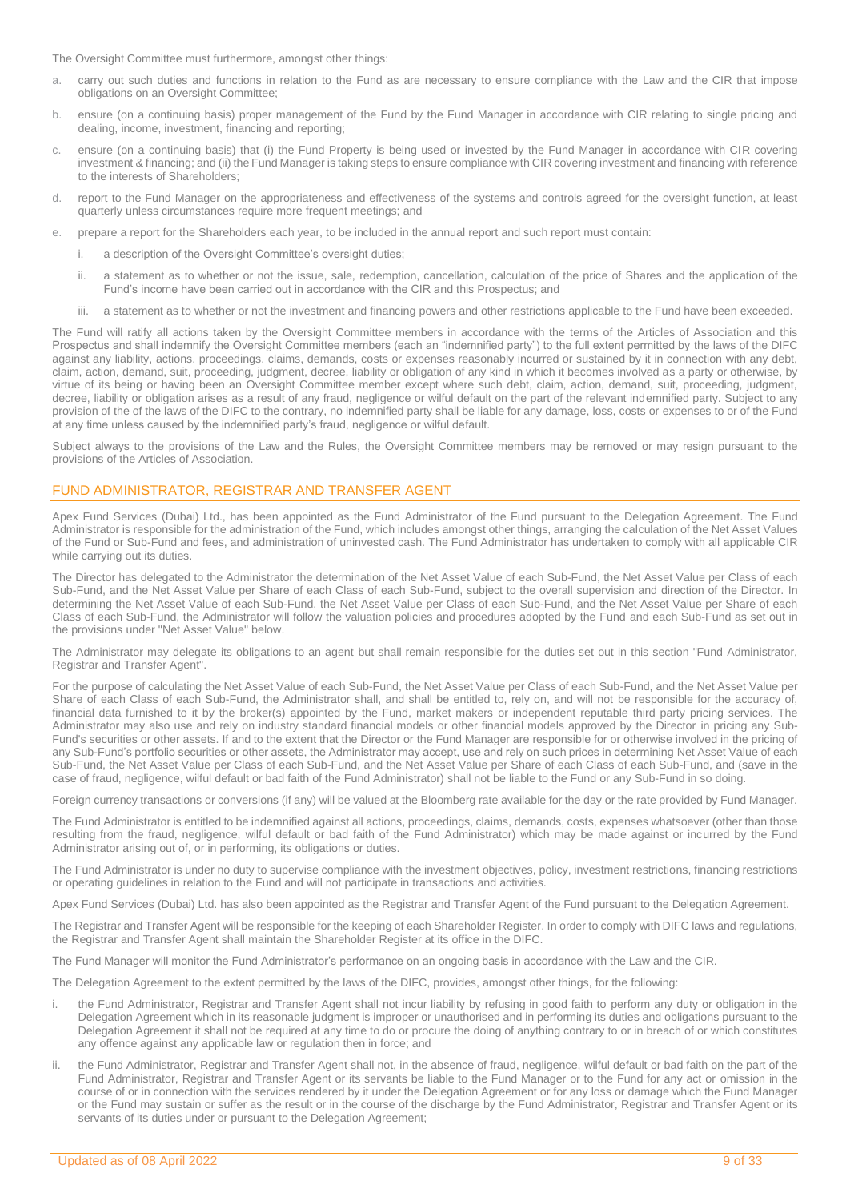The Oversight Committee must furthermore, amongst other things:

- a. carry out such duties and functions in relation to the Fund as are necessary to ensure compliance with the Law and the CIR that impose obligations on an Oversight Committee;
- b. ensure (on a continuing basis) proper management of the Fund by the Fund Manager in accordance with CIR relating to single pricing and dealing, income, investment, financing and reporting;
- c. ensure (on a continuing basis) that (i) the Fund Property is being used or invested by the Fund Manager in accordance with CIR covering investment & financing; and (ii) the Fund Manager is taking steps to ensure compliance with CIR covering investment and financing with reference to the interests of Shareholders;
- d. report to the Fund Manager on the appropriateness and effectiveness of the systems and controls agreed for the oversight function, at least quarterly unless circumstances require more frequent meetings; and
- e. prepare a report for the Shareholders each year, to be included in the annual report and such report must contain:
	- i. a description of the Oversight Committee's oversight duties;
	- ii. a statement as to whether or not the issue, sale, redemption, cancellation, calculation of the price of Shares and the application of the Fund's income have been carried out in accordance with the CIR and this Prospectus; and
	- iii. a statement as to whether or not the investment and financing powers and other restrictions applicable to the Fund have been exceeded.

The Fund will ratify all actions taken by the Oversight Committee members in accordance with the terms of the Articles of Association and this Prospectus and shall indemnify the Oversight Committee members (each an "indemnified party") to the full extent permitted by the laws of the DIFC against any liability, actions, proceedings, claims, demands, costs or expenses reasonably incurred or sustained by it in connection with any debt, claim, action, demand, suit, proceeding, judgment, decree, liability or obligation of any kind in which it becomes involved as a party or otherwise, by virtue of its being or having been an Oversight Committee member except where such debt, claim, action, demand, suit, proceeding, judgment, decree, liability or obligation arises as a result of any fraud, negligence or wilful default on the part of the relevant indemnified party. Subject to any provision of the of the laws of the DIFC to the contrary, no indemnified party shall be liable for any damage, loss, costs or expenses to or of the Fund at any time unless caused by the indemnified party's fraud, negligence or wilful default.

Subject always to the provisions of the Law and the Rules, the Oversight Committee members may be removed or may resign pursuant to the provisions of the Articles of Association.

### <span id="page-8-0"></span>FUND ADMINISTRATOR, REGISTRAR AND TRANSFER AGENT

Apex Fund Services (Dubai) Ltd., has been appointed as the Fund Administrator of the Fund pursuant to the Delegation Agreement. The Fund Administrator is responsible for the administration of the Fund, which includes amongst other things, arranging the calculation of the Net Asset Values of the Fund or Sub-Fund and fees, and administration of uninvested cash. The Fund Administrator has undertaken to comply with all applicable CIR while carrying out its duties.

The Director has delegated to the Administrator the determination of the Net Asset Value of each Sub-Fund, the Net Asset Value per Class of each Sub-Fund, and the Net Asset Value per Share of each Class of each Sub-Fund, subject to the overall supervision and direction of the Director. In determining the Net Asset Value of each Sub-Fund, the Net Asset Value per Class of each Sub-Fund, and the Net Asset Value per Share of each Class of each Sub-Fund, the Administrator will follow the valuation policies and procedures adopted by the Fund and each Sub-Fund as set out in the provisions under "Net Asset Value" below.

The Administrator may delegate its obligations to an agent but shall remain responsible for the duties set out in this section "Fund Administrator, Registrar and Transfer Agent".

For the purpose of calculating the Net Asset Value of each Sub-Fund, the Net Asset Value per Class of each Sub-Fund, and the Net Asset Value per Share of each Class of each Sub-Fund, the Administrator shall, and shall be entitled to, rely on, and will not be responsible for the accuracy of, financial data furnished to it by the broker(s) appointed by the Fund, market makers or independent reputable third party pricing services. The Administrator may also use and rely on industry standard financial models or other financial models approved by the Director in pricing any Sub-Fund's securities or other assets. If and to the extent that the Director or the Fund Manager are responsible for or otherwise involved in the pricing of any Sub-Fund's portfolio securities or other assets, the Administrator may accept, use and rely on such prices in determining Net Asset Value of each Sub-Fund, the Net Asset Value per Class of each Sub-Fund, and the Net Asset Value per Share of each Class of each Sub-Fund, and (save in the case of fraud, negligence, wilful default or bad faith of the Fund Administrator) shall not be liable to the Fund or any Sub-Fund in so doing.

Foreign currency transactions or conversions (if any) will be valued at the Bloomberg rate available for the day or the rate provided by Fund Manager.

The Fund Administrator is entitled to be indemnified against all actions, proceedings, claims, demands, costs, expenses whatsoever (other than those resulting from the fraud, negligence, wilful default or bad faith of the Fund Administrator) which may be made against or incurred by the Fund Administrator arising out of, or in performing, its obligations or duties.

The Fund Administrator is under no duty to supervise compliance with the investment objectives, policy, investment restrictions, financing restrictions or operating guidelines in relation to the Fund and will not participate in transactions and activities.

Apex Fund Services (Dubai) Ltd. has also been appointed as the Registrar and Transfer Agent of the Fund pursuant to the Delegation Agreement.

The Registrar and Transfer Agent will be responsible for the keeping of each Shareholder Register. In order to comply with DIFC laws and regulations, the Registrar and Transfer Agent shall maintain the Shareholder Register at its office in the DIFC.

The Fund Manager will monitor the Fund Administrator's performance on an ongoing basis in accordance with the Law and the CIR.

The Delegation Agreement to the extent permitted by the laws of the DIFC, provides, amongst other things, for the following:

- the Fund Administrator, Registrar and Transfer Agent shall not incur liability by refusing in good faith to perform any duty or obligation in the Delegation Agreement which in its reasonable judgment is improper or unauthorised and in performing its duties and obligations pursuant to the Delegation Agreement it shall not be required at any time to do or procure the doing of anything contrary to or in breach of or which constitutes any offence against any applicable law or regulation then in force; and
- ii. the Fund Administrator, Registrar and Transfer Agent shall not, in the absence of fraud, negligence, wilful default or bad faith on the part of the Fund Administrator, Registrar and Transfer Agent or its servants be liable to the Fund Manager or to the Fund for any act or omission in the course of or in connection with the services rendered by it under the Delegation Agreement or for any loss or damage which the Fund Manager or the Fund may sustain or suffer as the result or in the course of the discharge by the Fund Administrator, Registrar and Transfer Agent or its servants of its duties under or pursuant to the Delegation Agreement;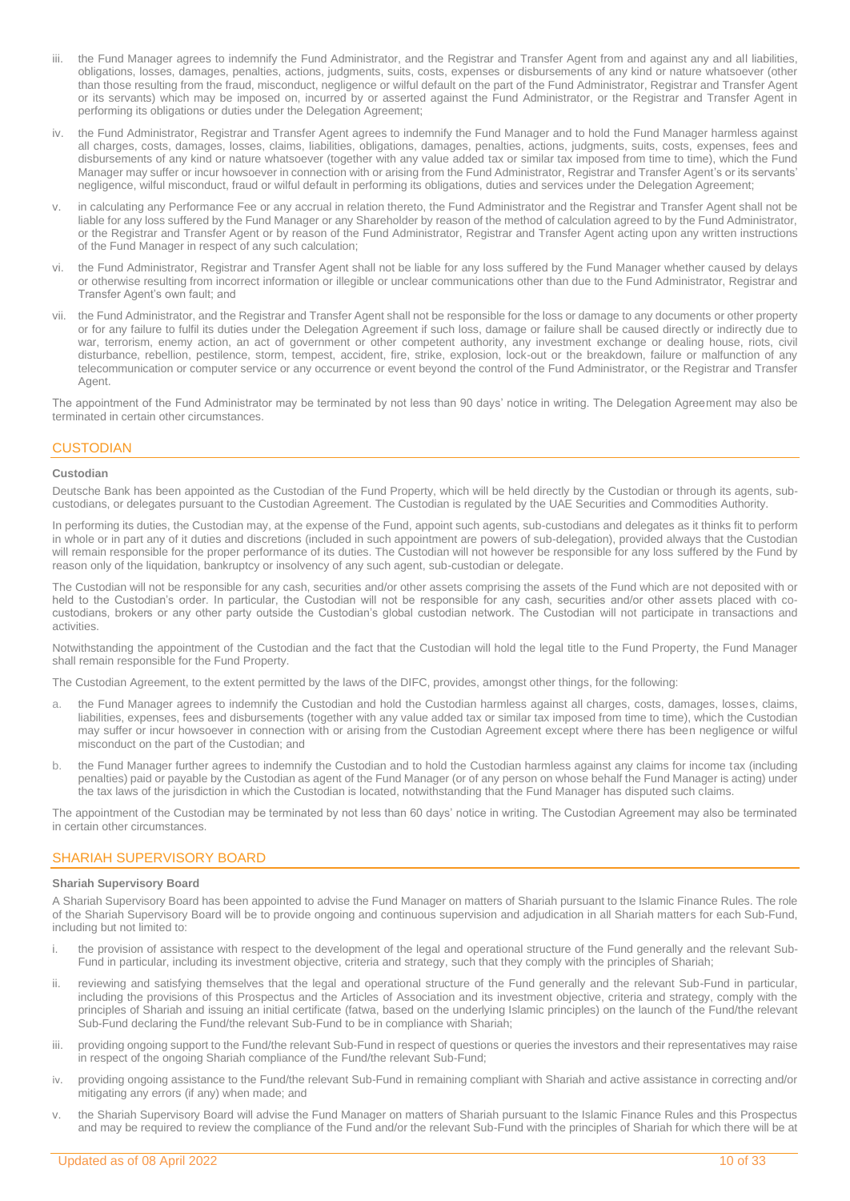- iii. the Fund Manager agrees to indemnify the Fund Administrator, and the Registrar and Transfer Agent from and against any and all liabilities, obligations, losses, damages, penalties, actions, judgments, suits, costs, expenses or disbursements of any kind or nature whatsoever (other than those resulting from the fraud, misconduct, negligence or wilful default on the part of the Fund Administrator, Registrar and Transfer Agent or its servants) which may be imposed on, incurred by or asserted against the Fund Administrator, or the Registrar and Transfer Agent in performing its obligations or duties under the Delegation Agreement;
- iv. the Fund Administrator, Registrar and Transfer Agent agrees to indemnify the Fund Manager and to hold the Fund Manager harmless against all charges, costs, damages, losses, claims, liabilities, obligations, damages, penalties, actions, judgments, suits, costs, expenses, fees and disbursements of any kind or nature whatsoever (together with any value added tax or similar tax imposed from time to time), which the Fund Manager may suffer or incur howsoever in connection with or arising from the Fund Administrator, Registrar and Transfer Agent's or its servants' negligence, wilful misconduct, fraud or wilful default in performing its obligations, duties and services under the Delegation Agreement;
- in calculating any Performance Fee or any accrual in relation thereto, the Fund Administrator and the Registrar and Transfer Agent shall not be liable for any loss suffered by the Fund Manager or any Shareholder by reason of the method of calculation agreed to by the Fund Administrator, or the Registrar and Transfer Agent or by reason of the Fund Administrator, Registrar and Transfer Agent acting upon any written instructions of the Fund Manager in respect of any such calculation;
- the Fund Administrator, Registrar and Transfer Agent shall not be liable for any loss suffered by the Fund Manager whether caused by delays or otherwise resulting from incorrect information or illegible or unclear communications other than due to the Fund Administrator, Registrar and Transfer Agent's own fault; and
- vii. the Fund Administrator, and the Registrar and Transfer Agent shall not be responsible for the loss or damage to any documents or other property or for any failure to fulfil its duties under the Delegation Agreement if such loss, damage or failure shall be caused directly or indirectly due to war, terrorism, enemy action, an act of government or other competent authority, any investment exchange or dealing house, riots, civil disturbance, rebellion, pestilence, storm, tempest, accident, fire, strike, explosion, lock-out or the breakdown, failure or malfunction of any telecommunication or computer service or any occurrence or event beyond the control of the Fund Administrator, or the Registrar and Transfer Agent.

The appointment of the Fund Administrator may be terminated by not less than 90 days' notice in writing. The Delegation Agreement may also be terminated in certain other circumstances.

### <span id="page-9-0"></span>**CUSTODIAN**

### **Custodian**

Deutsche Bank has been appointed as the Custodian of the Fund Property, which will be held directly by the Custodian or through its agents, subcustodians, or delegates pursuant to the Custodian Agreement. The Custodian is regulated by the UAE Securities and Commodities Authority.

In performing its duties, the Custodian may, at the expense of the Fund, appoint such agents, sub-custodians and delegates as it thinks fit to perform in whole or in part any of it duties and discretions (included in such appointment are powers of sub-delegation), provided always that the Custodian will remain responsible for the proper performance of its duties. The Custodian will not however be responsible for any loss suffered by the Fund by reason only of the liquidation, bankruptcy or insolvency of any such agent, sub-custodian or delegate.

The Custodian will not be responsible for any cash, securities and/or other assets comprising the assets of the Fund which are not deposited with or held to the Custodian's order. In particular, the Custodian will not be responsible for any cash, securities and/or other assets placed with cocustodians, brokers or any other party outside the Custodian's global custodian network. The Custodian will not participate in transactions and activities.

Notwithstanding the appointment of the Custodian and the fact that the Custodian will hold the legal title to the Fund Property, the Fund Manager shall remain responsible for the Fund Property.

The Custodian Agreement, to the extent permitted by the laws of the DIFC, provides, amongst other things, for the following:

- a. the Fund Manager agrees to indemnify the Custodian and hold the Custodian harmless against all charges, costs, damages, losses, claims, liabilities, expenses, fees and disbursements (together with any value added tax or similar tax imposed from time to time), which the Custodian may suffer or incur howsoever in connection with or arising from the Custodian Agreement except where there has been negligence or wilful misconduct on the part of the Custodian; and
- b. the Fund Manager further agrees to indemnify the Custodian and to hold the Custodian harmless against any claims for income tax (including penalties) paid or payable by the Custodian as agent of the Fund Manager (or of any person on whose behalf the Fund Manager is acting) under the tax laws of the jurisdiction in which the Custodian is located, notwithstanding that the Fund Manager has disputed such claims.

The appointment of the Custodian may be terminated by not less than 60 days' notice in writing. The Custodian Agreement may also be terminated in certain other circumstances.

### <span id="page-9-1"></span>SHARIAH SUPERVISORY BOARD

### **Shariah Supervisory Board**

A Shariah Supervisory Board has been appointed to advise the Fund Manager on matters of Shariah pursuant to the Islamic Finance Rules. The role of the Shariah Supervisory Board will be to provide ongoing and continuous supervision and adjudication in all Shariah matters for each Sub-Fund, including but not limited to:

- i. the provision of assistance with respect to the development of the legal and operational structure of the Fund generally and the relevant Sub-Fund in particular, including its investment objective, criteria and strategy, such that they comply with the principles of Shariah;
- ii. reviewing and satisfying themselves that the legal and operational structure of the Fund generally and the relevant Sub-Fund in particular, including the provisions of this Prospectus and the Articles of Association and its investment objective, criteria and strategy, comply with the principles of Shariah and issuing an initial certificate (fatwa, based on the underlying Islamic principles) on the launch of the Fund/the relevant Sub-Fund declaring the Fund/the relevant Sub-Fund to be in compliance with Shariah;
- iii. providing ongoing support to the Fund/the relevant Sub-Fund in respect of questions or queries the investors and their representatives may raise in respect of the ongoing Shariah compliance of the Fund/the relevant Sub-Fund;
- iv. providing ongoing assistance to the Fund/the relevant Sub-Fund in remaining compliant with Shariah and active assistance in correcting and/or mitigating any errors (if any) when made; and
- v. the Shariah Supervisory Board will advise the Fund Manager on matters of Shariah pursuant to the Islamic Finance Rules and this Prospectus and may be required to review the compliance of the Fund and/or the relevant Sub-Fund with the principles of Shariah for which there will be at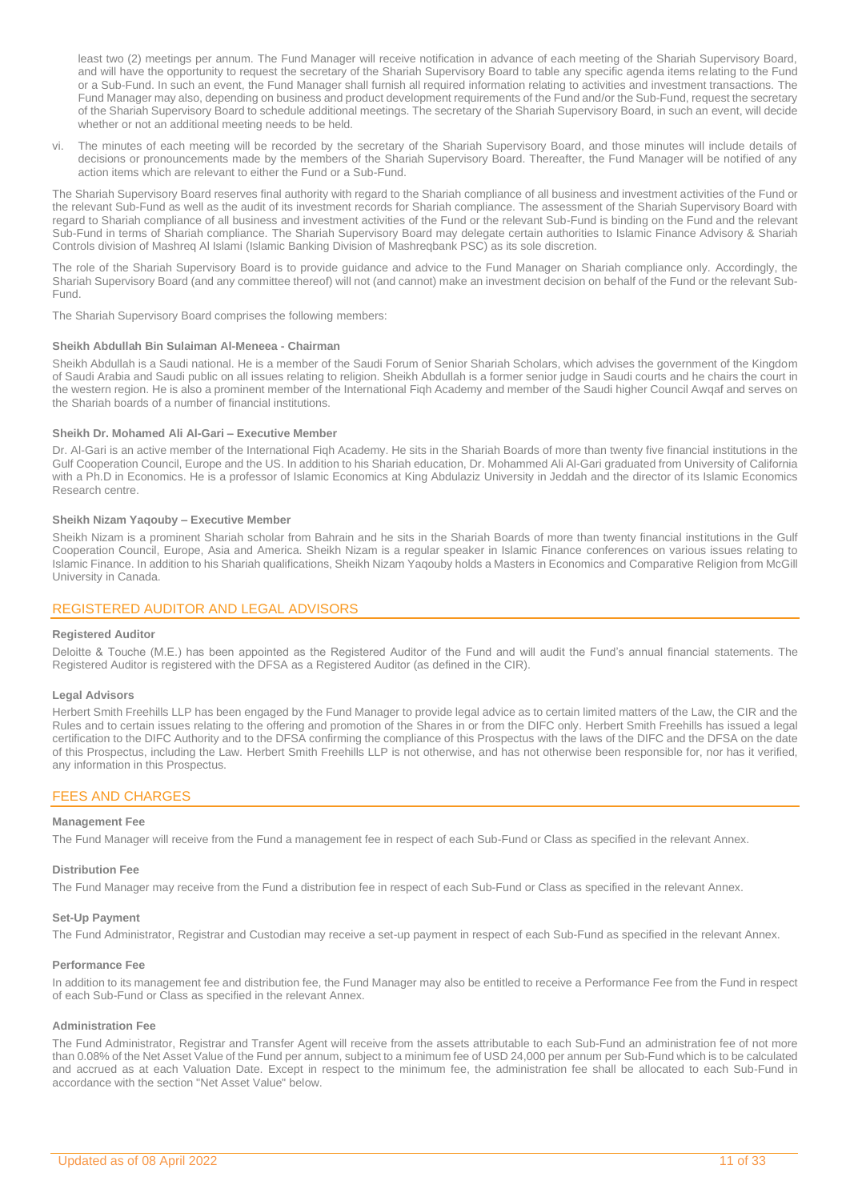least two (2) meetings per annum. The Fund Manager will receive notification in advance of each meeting of the Shariah Supervisory Board, and will have the opportunity to request the secretary of the Shariah Supervisory Board to table any specific agenda items relating to the Fund or a Sub-Fund. In such an event, the Fund Manager shall furnish all required information relating to activities and investment transactions. The Fund Manager may also, depending on business and product development requirements of the Fund and/or the Sub-Fund, request the secretary of the Shariah Supervisory Board to schedule additional meetings. The secretary of the Shariah Supervisory Board, in such an event, will decide whether or not an additional meeting needs to be held.

vi. The minutes of each meeting will be recorded by the secretary of the Shariah Supervisory Board, and those minutes will include details of decisions or pronouncements made by the members of the Shariah Supervisory Board. Thereafter, the Fund Manager will be notified of any action items which are relevant to either the Fund or a Sub-Fund.

The Shariah Supervisory Board reserves final authority with regard to the Shariah compliance of all business and investment activities of the Fund or the relevant Sub-Fund as well as the audit of its investment records for Shariah compliance. The assessment of the Shariah Supervisory Board with regard to Shariah compliance of all business and investment activities of the Fund or the relevant Sub-Fund is binding on the Fund and the relevant Sub-Fund in terms of Shariah compliance. The Shariah Supervisory Board may delegate certain authorities to Islamic Finance Advisory & Shariah Controls division of Mashreq Al Islami (Islamic Banking Division of Mashreqbank PSC) as its sole discretion.

The role of the Shariah Supervisory Board is to provide guidance and advice to the Fund Manager on Shariah compliance only. Accordingly, the Shariah Supervisory Board (and any committee thereof) will not (and cannot) make an investment decision on behalf of the Fund or the relevant Sub-Fund.

The Shariah Supervisory Board comprises the following members:

#### **Sheikh Abdullah Bin Sulaiman Al-Meneea - Chairman**

Sheikh Abdullah is a Saudi national. He is a member of the Saudi Forum of Senior Shariah Scholars, which advises the government of the Kingdom of Saudi Arabia and Saudi public on all issues relating to religion. Sheikh Abdullah is a former senior judge in Saudi courts and he chairs the court in the western region. He is also a prominent member of the International Fiqh Academy and member of the Saudi higher Council Awqaf and serves on the Shariah boards of a number of financial institutions.

### **Sheikh Dr. Mohamed Ali Al-Gari – Executive Member**

Dr. Al-Gari is an active member of the International Fiqh Academy. He sits in the Shariah Boards of more than twenty five financial institutions in the Gulf Cooperation Council, Europe and the US. In addition to his Shariah education, Dr. Mohammed Ali Al-Gari graduated from University of California with a Ph.D in Economics. He is a professor of Islamic Economics at King Abdulaziz University in Jeddah and the director of its Islamic Economics Research centre.

#### **Sheikh Nizam Yaqouby – Executive Member**

Sheikh Nizam is a prominent Shariah scholar from Bahrain and he sits in the Shariah Boards of more than twenty financial institutions in the Gulf Cooperation Council, Europe, Asia and America. Sheikh Nizam is a regular speaker in Islamic Finance conferences on various issues relating to Islamic Finance. In addition to his Shariah qualifications, Sheikh Nizam Yaqouby holds a Masters in Economics and Comparative Religion from McGill University in Canada.

### <span id="page-10-0"></span>REGISTERED AUDITOR AND LEGAL ADVISORS

#### **Registered Auditor**

Deloitte & Touche (M.E.) has been appointed as the Registered Auditor of the Fund and will audit the Fund's annual financial statements. The Registered Auditor is registered with the DFSA as a Registered Auditor (as defined in the CIR).

#### **Legal Advisors**

Herbert Smith Freehills LLP has been engaged by the Fund Manager to provide legal advice as to certain limited matters of the Law, the CIR and the Rules and to certain issues relating to the offering and promotion of the Shares in or from the DIFC only. Herbert Smith Freehills has issued a legal certification to the DIFC Authority and to the DFSA confirming the compliance of this Prospectus with the laws of the DIFC and the DFSA on the date of this Prospectus, including the Law. Herbert Smith Freehills LLP is not otherwise, and has not otherwise been responsible for, nor has it verified, any information in this Prospectus.

### <span id="page-10-1"></span>FEES AND CHARGES

### **Management Fee**

The Fund Manager will receive from the Fund a management fee in respect of each Sub-Fund or Class as specified in the relevant Annex.

### **Distribution Fee**

The Fund Manager may receive from the Fund a distribution fee in respect of each Sub-Fund or Class as specified in the relevant Annex.

#### **Set-Up Payment**

The Fund Administrator, Registrar and Custodian may receive a set-up payment in respect of each Sub-Fund as specified in the relevant Annex.

### **Performance Fee**

In addition to its management fee and distribution fee, the Fund Manager may also be entitled to receive a Performance Fee from the Fund in respect of each Sub-Fund or Class as specified in the relevant Annex.

### **Administration Fee**

The Fund Administrator, Registrar and Transfer Agent will receive from the assets attributable to each Sub-Fund an administration fee of not more than 0.08% of the Net Asset Value of the Fund per annum, subject to a minimum fee of USD 24,000 per annum per Sub-Fund which is to be calculated and accrued as at each Valuation Date. Except in respect to the minimum fee, the administration fee shall be allocated to each Sub-Fund in accordance with the section "Net Asset Value" below.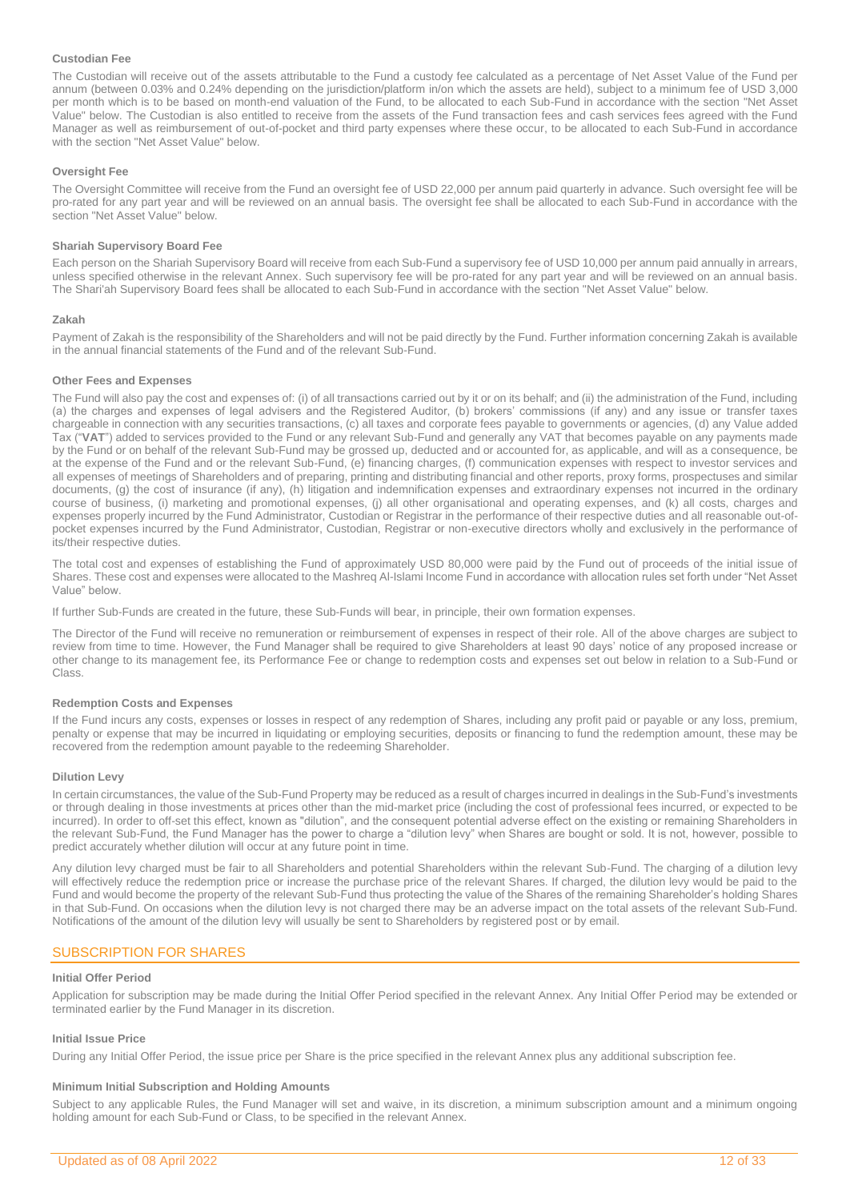### **Custodian Fee**

The Custodian will receive out of the assets attributable to the Fund a custody fee calculated as a percentage of Net Asset Value of the Fund per annum (between 0.03% and 0.24% depending on the jurisdiction/platform in/on which the assets are held), subject to a minimum fee of USD 3,000 per month which is to be based on month-end valuation of the Fund, to be allocated to each Sub-Fund in accordance with the section "Net Asset Value" below. The Custodian is also entitled to receive from the assets of the Fund transaction fees and cash services fees agreed with the Fund Manager as well as reimbursement of out-of-pocket and third party expenses where these occur, to be allocated to each Sub-Fund in accordance with the section "Net Asset Value" below.

### **Oversight Fee**

The Oversight Committee will receive from the Fund an oversight fee of USD 22,000 per annum paid quarterly in advance. Such oversight fee will be pro-rated for any part year and will be reviewed on an annual basis. The oversight fee shall be allocated to each Sub-Fund in accordance with the section "Net Asset Value" below.

### **Shariah Supervisory Board Fee**

Each person on the Shariah Supervisory Board will receive from each Sub-Fund a supervisory fee of USD 10,000 per annum paid annually in arrears, unless specified otherwise in the relevant Annex. Such supervisory fee will be pro-rated for any part year and will be reviewed on an annual basis. The Shari'ah Supervisory Board fees shall be allocated to each Sub-Fund in accordance with the section "Net Asset Value" below.

### **Zakah**

Payment of Zakah is the responsibility of the Shareholders and will not be paid directly by the Fund. Further information concerning Zakah is available in the annual financial statements of the Fund and of the relevant Sub-Fund.

### **Other Fees and Expenses**

The Fund will also pay the cost and expenses of: (i) of all transactions carried out by it or on its behalf; and (ii) the administration of the Fund, including (a) the charges and expenses of legal advisers and the Registered Auditor, (b) brokers' commissions (if any) and any issue or transfer taxes chargeable in connection with any securities transactions, (c) all taxes and corporate fees payable to governments or agencies, (d) any Value added Tax ("**VAT**") added to services provided to the Fund or any relevant Sub-Fund and generally any VAT that becomes payable on any payments made by the Fund or on behalf of the relevant Sub-Fund may be grossed up, deducted and or accounted for, as applicable, and will as a consequence, be at the expense of the Fund and or the relevant Sub-Fund, (e) financing charges, (f) communication expenses with respect to investor services and all expenses of meetings of Shareholders and of preparing, printing and distributing financial and other reports, proxy forms, prospectuses and similar documents, (g) the cost of insurance (if any), (h) litigation and indemnification expenses and extraordinary expenses not incurred in the ordinary course of business, (i) marketing and promotional expenses, (j) all other organisational and operating expenses, and (k) all costs, charges and expenses properly incurred by the Fund Administrator, Custodian or Registrar in the performance of their respective duties and all reasonable out-ofpocket expenses incurred by the Fund Administrator, Custodian, Registrar or non-executive directors wholly and exclusively in the performance of its/their respective duties.

The total cost and expenses of establishing the Fund of approximately USD 80,000 were paid by the Fund out of proceeds of the initial issue of Shares. These cost and expenses were allocated to the Mashreq Al-Islami Income Fund in accordance with allocation rules set forth under "Net Asset Value" below.

If further Sub-Funds are created in the future, these Sub-Funds will bear, in principle, their own formation expenses.

The Director of the Fund will receive no remuneration or reimbursement of expenses in respect of their role. All of the above charges are subject to review from time to time. However, the Fund Manager shall be required to give Shareholders at least 90 days' notice of any proposed increase or other change to its management fee, its Performance Fee or change to redemption costs and expenses set out below in relation to a Sub-Fund or Class.

### **Redemption Costs and Expenses**

If the Fund incurs any costs, expenses or losses in respect of any redemption of Shares, including any profit paid or payable or any loss, premium, penalty or expense that may be incurred in liquidating or employing securities, deposits or financing to fund the redemption amount, these may be recovered from the redemption amount payable to the redeeming Shareholder.

### **Dilution Levy**

In certain circumstances, the value of the Sub-Fund Property may be reduced as a result of charges incurred in dealings in the Sub-Fund's investments or through dealing in those investments at prices other than the mid-market price (including the cost of professional fees incurred, or expected to be incurred). In order to off-set this effect, known as "dilution", and the consequent potential adverse effect on the existing or remaining Shareholders in the relevant Sub-Fund, the Fund Manager has the power to charge a "dilution levy" when Shares are bought or sold. It is not, however, possible to predict accurately whether dilution will occur at any future point in time.

Any dilution levy charged must be fair to all Shareholders and potential Shareholders within the relevant Sub-Fund. The charging of a dilution levy will effectively reduce the redemption price or increase the purchase price of the relevant Shares. If charged, the dilution levy would be paid to the Fund and would become the property of the relevant Sub-Fund thus protecting the value of the Shares of the remaining Shareholder's holding Shares in that Sub-Fund. On occasions when the dilution levy is not charged there may be an adverse impact on the total assets of the relevant Sub-Fund. Notifications of the amount of the dilution levy will usually be sent to Shareholders by registered post or by email.

### <span id="page-11-0"></span>SUBSCRIPTION FOR SHARES

### **Initial Offer Period**

Application for subscription may be made during the Initial Offer Period specified in the relevant Annex. Any Initial Offer Period may be extended or terminated earlier by the Fund Manager in its discretion.

### **Initial Issue Price**

During any Initial Offer Period, the issue price per Share is the price specified in the relevant Annex plus any additional subscription fee.

### **Minimum Initial Subscription and Holding Amounts**

Subject to any applicable Rules, the Fund Manager will set and waive, in its discretion, a minimum subscription amount and a minimum ongoing holding amount for each Sub-Fund or Class, to be specified in the relevant Annex.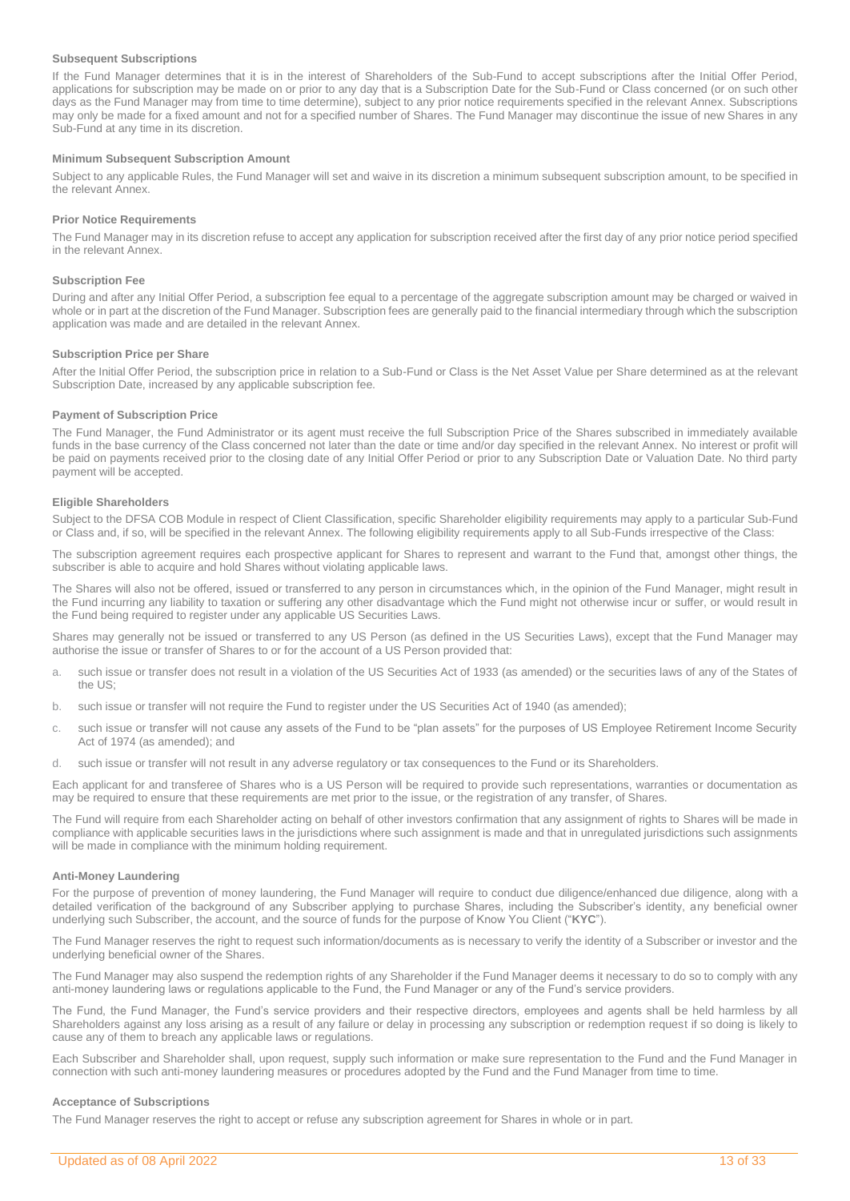### **Subsequent Subscriptions**

If the Fund Manager determines that it is in the interest of Shareholders of the Sub-Fund to accept subscriptions after the Initial Offer Period, applications for subscription may be made on or prior to any day that is a Subscription Date for the Sub-Fund or Class concerned (or on such other days as the Fund Manager may from time to time determine), subject to any prior notice requirements specified in the relevant Annex. Subscriptions may only be made for a fixed amount and not for a specified number of Shares. The Fund Manager may discontinue the issue of new Shares in any Sub-Fund at any time in its discretion.

### **Minimum Subsequent Subscription Amount**

Subject to any applicable Rules, the Fund Manager will set and waive in its discretion a minimum subsequent subscription amount, to be specified in the relevant Annex.

### **Prior Notice Requirements**

The Fund Manager may in its discretion refuse to accept any application for subscription received after the first day of any prior notice period specified in the relevant Annex.

### **Subscription Fee**

During and after any Initial Offer Period, a subscription fee equal to a percentage of the aggregate subscription amount may be charged or waived in whole or in part at the discretion of the Fund Manager. Subscription fees are generally paid to the financial intermediary through which the subscription application was made and are detailed in the relevant Annex.

### **Subscription Price per Share**

After the Initial Offer Period, the subscription price in relation to a Sub-Fund or Class is the Net Asset Value per Share determined as at the relevant Subscription Date, increased by any applicable subscription fee.

#### **Payment of Subscription Price**

The Fund Manager, the Fund Administrator or its agent must receive the full Subscription Price of the Shares subscribed in immediately available funds in the base currency of the Class concerned not later than the date or time and/or day specified in the relevant Annex. No interest or profit will be paid on payments received prior to the closing date of any Initial Offer Period or prior to any Subscription Date or Valuation Date. No third party payment will be accepted.

### **Eligible Shareholders**

Subject to the DFSA COB Module in respect of Client Classification, specific Shareholder eligibility requirements may apply to a particular Sub-Fund or Class and, if so, will be specified in the relevant Annex. The following eligibility requirements apply to all Sub-Funds irrespective of the Class:

The subscription agreement requires each prospective applicant for Shares to represent and warrant to the Fund that, amongst other things, the subscriber is able to acquire and hold Shares without violating applicable laws.

The Shares will also not be offered, issued or transferred to any person in circumstances which, in the opinion of the Fund Manager, might result in the Fund incurring any liability to taxation or suffering any other disadvantage which the Fund might not otherwise incur or suffer, or would result in the Fund being required to register under any applicable US Securities Laws.

Shares may generally not be issued or transferred to any US Person (as defined in the US Securities Laws), except that the Fund Manager may authorise the issue or transfer of Shares to or for the account of a US Person provided that:

- a. such issue or transfer does not result in a violation of the US Securities Act of 1933 (as amended) or the securities laws of any of the States of the US;
- b. such issue or transfer will not require the Fund to register under the US Securities Act of 1940 (as amended);
- c. such issue or transfer will not cause any assets of the Fund to be "plan assets" for the purposes of US Employee Retirement Income Security Act of 1974 (as amended); and
- d. such issue or transfer will not result in any adverse regulatory or tax consequences to the Fund or its Shareholders.

Each applicant for and transferee of Shares who is a US Person will be required to provide such representations, warranties or documentation as may be required to ensure that these requirements are met prior to the issue, or the registration of any transfer, of Shares.

The Fund will require from each Shareholder acting on behalf of other investors confirmation that any assignment of rights to Shares will be made in compliance with applicable securities laws in the jurisdictions where such assignment is made and that in unregulated jurisdictions such assignments will be made in compliance with the minimum holding requirement.

#### **Anti-Money Laundering**

For the purpose of prevention of money laundering, the Fund Manager will require to conduct due diligence/enhanced due diligence, along with a detailed verification of the background of any Subscriber applying to purchase Shares, including the Subscriber's identity, any beneficial owner underlying such Subscriber, the account, and the source of funds for the purpose of Know You Client ("**KYC**").

The Fund Manager reserves the right to request such information/documents as is necessary to verify the identity of a Subscriber or investor and the underlying beneficial owner of the Shares.

The Fund Manager may also suspend the redemption rights of any Shareholder if the Fund Manager deems it necessary to do so to comply with any anti-money laundering laws or regulations applicable to the Fund, the Fund Manager or any of the Fund's service providers.

The Fund, the Fund Manager, the Fund's service providers and their respective directors, employees and agents shall be held harmless by all Shareholders against any loss arising as a result of any failure or delay in processing any subscription or redemption request if so doing is likely to cause any of them to breach any applicable laws or regulations.

Each Subscriber and Shareholder shall, upon request, supply such information or make sure representation to the Fund and the Fund Manager in connection with such anti-money laundering measures or procedures adopted by the Fund and the Fund Manager from time to time.

### **Acceptance of Subscriptions**

The Fund Manager reserves the right to accept or refuse any subscription agreement for Shares in whole or in part.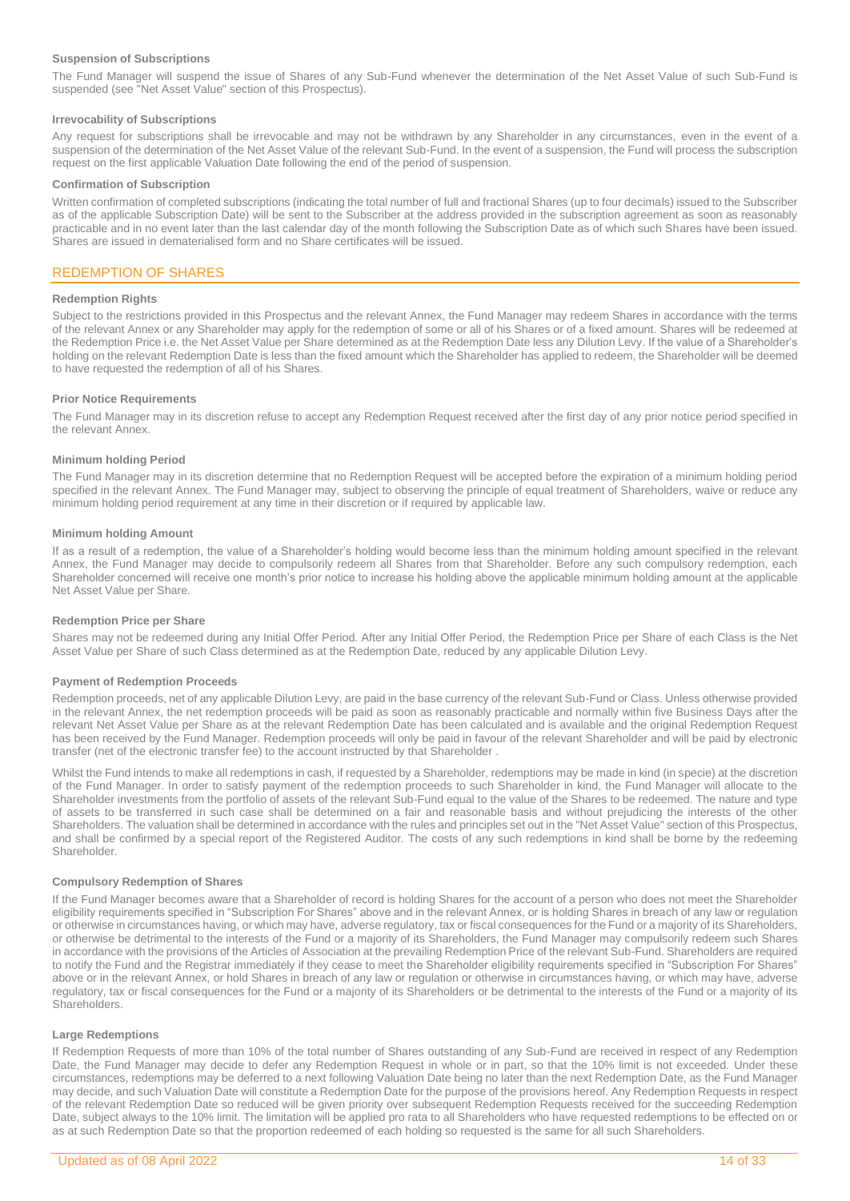### **Suspension of Subscriptions**

The Fund Manager will suspend the issue of Shares of any Sub-Fund whenever the determination of the Net Asset Value of such Sub-Fund is suspended (see "Net Asset Value" section of this Prospectus).

### **Irrevocability of Subscriptions**

Any request for subscriptions shall be irrevocable and may not be withdrawn by any Shareholder in any circumstances, even in the event of a suspension of the determination of the Net Asset Value of the relevant Sub-Fund. In the event of a suspension, the Fund will process the subscription request on the first applicable Valuation Date following the end of the period of suspension.

### **Confirmation of Subscription**

Written confirmation of completed subscriptions (indicating the total number of full and fractional Shares (up to four decimals) issued to the Subscriber as of the applicable Subscription Date) will be sent to the Subscriber at the address provided in the subscription agreement as soon as reasonably practicable and in no event later than the last calendar day of the month following the Subscription Date as of which such Shares have been issued. Shares are issued in dematerialised form and no Share certificates will be issued.

### <span id="page-13-0"></span>REDEMPTION OF SHARES

### **Redemption Rights**

Subject to the restrictions provided in this Prospectus and the relevant Annex, the Fund Manager may redeem Shares in accordance with the terms of the relevant Annex or any Shareholder may apply for the redemption of some or all of his Shares or of a fixed amount. Shares will be redeemed at the Redemption Price i.e. the Net Asset Value per Share determined as at the Redemption Date less any Dilution Levy. If the value of a Shareholder's holding on the relevant Redemption Date is less than the fixed amount which the Shareholder has applied to redeem, the Shareholder will be deemed to have requested the redemption of all of his Shares.

### **Prior Notice Requirements**

The Fund Manager may in its discretion refuse to accept any Redemption Request received after the first day of any prior notice period specified in the relevant Annex.

### **Minimum holding Period**

The Fund Manager may in its discretion determine that no Redemption Request will be accepted before the expiration of a minimum holding period specified in the relevant Annex. The Fund Manager may, subject to observing the principle of equal treatment of Shareholders, waive or reduce any minimum holding period requirement at any time in their discretion or if required by applicable law.

#### **Minimum holding Amount**

If as a result of a redemption, the value of a Shareholder's holding would become less than the minimum holding amount specified in the relevant Annex, the Fund Manager may decide to compulsorily redeem all Shares from that Shareholder. Before any such compulsory redemption, each Shareholder concerned will receive one month's prior notice to increase his holding above the applicable minimum holding amount at the applicable Net Asset Value per Share.

### **Redemption Price per Share**

Shares may not be redeemed during any Initial Offer Period. After any Initial Offer Period, the Redemption Price per Share of each Class is the Net Asset Value per Share of such Class determined as at the Redemption Date, reduced by any applicable Dilution Levy.

### **Payment of Redemption Proceeds**

Redemption proceeds, net of any applicable Dilution Levy, are paid in the base currency of the relevant Sub-Fund or Class. Unless otherwise provided in the relevant Annex, the net redemption proceeds will be paid as soon as reasonably practicable and normally within five Business Days after the relevant Net Asset Value per Share as at the relevant Redemption Date has been calculated and is available and the original Redemption Request has been received by the Fund Manager. Redemption proceeds will only be paid in favour of the relevant Shareholder and will be paid by electronic transfer (net of the electronic transfer fee) to the account instructed by that Shareholder .

Whilst the Fund intends to make all redemptions in cash, if requested by a Shareholder, redemptions may be made in kind (in specie) at the discretion of the Fund Manager. In order to satisfy payment of the redemption proceeds to such Shareholder in kind, the Fund Manager will allocate to the Shareholder investments from the portfolio of assets of the relevant Sub-Fund equal to the value of the Shares to be redeemed. The nature and type of assets to be transferred in such case shall be determined on a fair and reasonable basis and without prejudicing the interests of the other Shareholders. The valuation shall be determined in accordance with the rules and principles set out in the "Net Asset Value" section of this Prospectus, and shall be confirmed by a special report of the Registered Auditor. The costs of any such redemptions in kind shall be borne by the redeeming Shareholder.

### **Compulsory Redemption of Shares**

If the Fund Manager becomes aware that a Shareholder of record is holding Shares for the account of a person who does not meet the Shareholder eligibility requirements specified in "Subscription For Shares" above and in the relevant Annex, or is holding Shares in breach of any law or regulation or otherwise in circumstances having, or which may have, adverse regulatory, tax or fiscal consequences for the Fund or a majority of its Shareholders, or otherwise be detrimental to the interests of the Fund or a majority of its Shareholders, the Fund Manager may compulsorily redeem such Shares in accordance with the provisions of the Articles of Association at the prevailing Redemption Price of the relevant Sub-Fund. Shareholders are required to notify the Fund and the Registrar immediately if they cease to meet the Shareholder eligibility requirements specified in "Subscription For Shares" above or in the relevant Annex, or hold Shares in breach of any law or regulation or otherwise in circumstances having, or which may have, adverse regulatory, tax or fiscal consequences for the Fund or a majority of its Shareholders or be detrimental to the interests of the Fund or a majority of its Shareholders.

### **Large Redemptions**

If Redemption Requests of more than 10% of the total number of Shares outstanding of any Sub-Fund are received in respect of any Redemption Date, the Fund Manager may decide to defer any Redemption Request in whole or in part, so that the 10% limit is not exceeded. Under these circumstances, redemptions may be deferred to a next following Valuation Date being no later than the next Redemption Date, as the Fund Manager may decide, and such Valuation Date will constitute a Redemption Date for the purpose of the provisions hereof. Any Redemption Requests in respect of the relevant Redemption Date so reduced will be given priority over subsequent Redemption Requests received for the succeeding Redemption Date, subject always to the 10% limit. The limitation will be applied pro rata to all Shareholders who have requested redemptions to be effected on or as at such Redemption Date so that the proportion redeemed of each holding so requested is the same for all such Shareholders.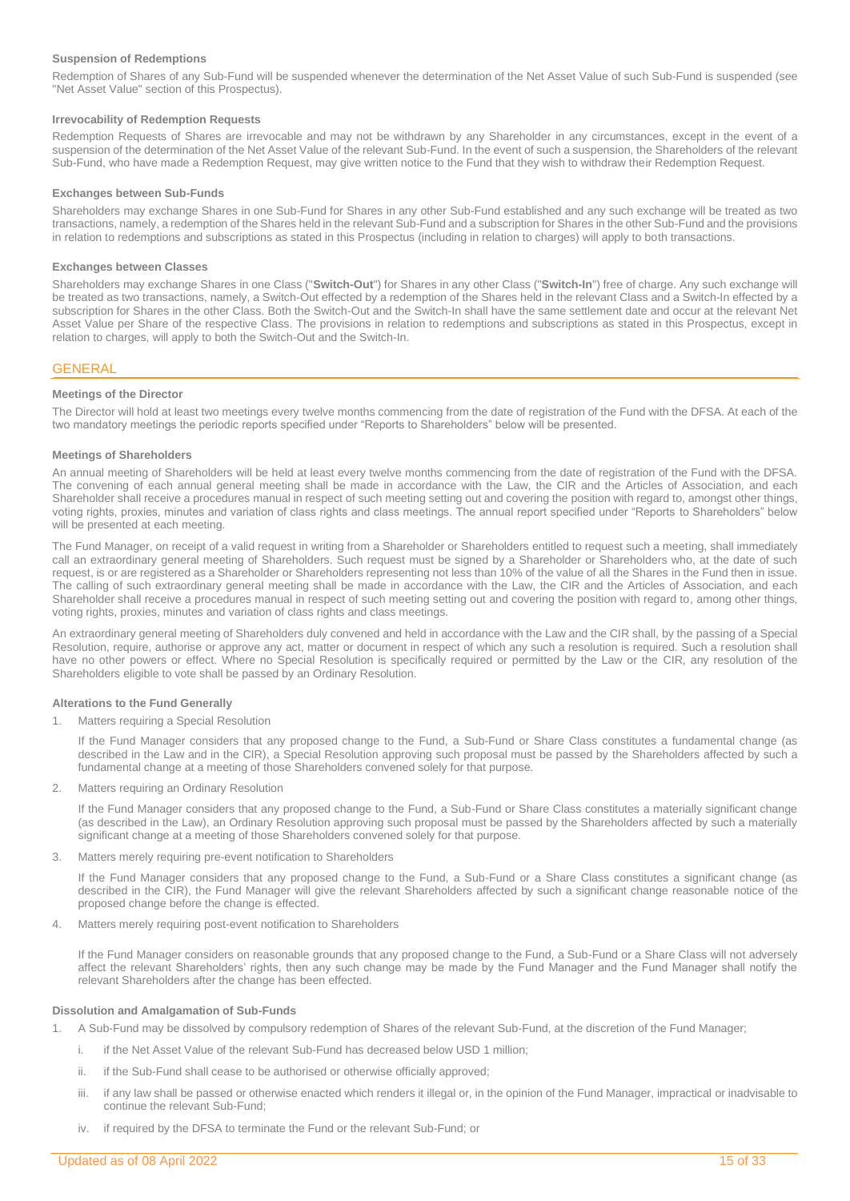### **Suspension of Redemptions**

Redemption of Shares of any Sub-Fund will be suspended whenever the determination of the Net Asset Value of such Sub-Fund is suspended (see "Net Asset Value" section of this Prospectus).

### **Irrevocability of Redemption Requests**

Redemption Requests of Shares are irrevocable and may not be withdrawn by any Shareholder in any circumstances, except in the event of a suspension of the determination of the Net Asset Value of the relevant Sub-Fund. In the event of such a suspension, the Shareholders of the relevant Sub-Fund, who have made a Redemption Request, may give written notice to the Fund that they wish to withdraw their Redemption Request.

### **Exchanges between Sub-Funds**

Shareholders may exchange Shares in one Sub-Fund for Shares in any other Sub-Fund established and any such exchange will be treated as two transactions, namely, a redemption of the Shares held in the relevant Sub-Fund and a subscription for Shares in the other Sub-Fund and the provisions in relation to redemptions and subscriptions as stated in this Prospectus (including in relation to charges) will apply to both transactions.

### **Exchanges between Classes**

Shareholders may exchange Shares in one Class ("**Switch-Out**") for Shares in any other Class ("**Switch-In**") free of charge. Any such exchange will be treated as two transactions, namely, a Switch-Out effected by a redemption of the Shares held in the relevant Class and a Switch-In effected by a subscription for Shares in the other Class. Both the Switch-Out and the Switch-In shall have the same settlement date and occur at the relevant Net Asset Value per Share of the respective Class. The provisions in relation to redemptions and subscriptions as stated in this Prospectus, except in relation to charges, will apply to both the Switch-Out and the Switch-In.

### <span id="page-14-0"></span>**GENERAL**

### **Meetings of the Director**

The Director will hold at least two meetings every twelve months commencing from the date of registration of the Fund with the DFSA. At each of the two mandatory meetings the periodic reports specified under "Reports to Shareholders" below will be presented.

#### **Meetings of Shareholders**

An annual meeting of Shareholders will be held at least every twelve months commencing from the date of registration of the Fund with the DFSA. The convening of each annual general meeting shall be made in accordance with the Law, the CIR and the Articles of Association, and each Shareholder shall receive a procedures manual in respect of such meeting setting out and covering the position with regard to, amongst other things, voting rights, proxies, minutes and variation of class rights and class meetings. The annual report specified under "Reports to Shareholders" below will be presented at each meeting.

The Fund Manager, on receipt of a valid request in writing from a Shareholder or Shareholders entitled to request such a meeting, shall immediately call an extraordinary general meeting of Shareholders. Such request must be signed by a Shareholder or Shareholders who, at the date of such request, is or are registered as a Shareholder or Shareholders representing not less than 10% of the value of all the Shares in the Fund then in issue. The calling of such extraordinary general meeting shall be made in accordance with the Law, the CIR and the Articles of Association, and each Shareholder shall receive a procedures manual in respect of such meeting setting out and covering the position with regard to, among other things, voting rights, proxies, minutes and variation of class rights and class meetings.

An extraordinary general meeting of Shareholders duly convened and held in accordance with the Law and the CIR shall, by the passing of a Special Resolution, require, authorise or approve any act, matter or document in respect of which any such a resolution is required. Such a resolution shall have no other powers or effect. Where no Special Resolution is specifically required or permitted by the Law or the CIR, any resolution of the Shareholders eligible to vote shall be passed by an Ordinary Resolution.

#### **Alterations to the Fund Generally**

#### 1. Matters requiring a Special Resolution

If the Fund Manager considers that any proposed change to the Fund, a Sub-Fund or Share Class constitutes a fundamental change (as described in the Law and in the CIR), a Special Resolution approving such proposal must be passed by the Shareholders affected by such a fundamental change at a meeting of those Shareholders convened solely for that purpose.

2. Matters requiring an Ordinary Resolution

If the Fund Manager considers that any proposed change to the Fund, a Sub-Fund or Share Class constitutes a materially significant change (as described in the Law), an Ordinary Resolution approving such proposal must be passed by the Shareholders affected by such a materially significant change at a meeting of those Shareholders convened solely for that purpose.

3. Matters merely requiring pre-event notification to Shareholders

If the Fund Manager considers that any proposed change to the Fund, a Sub-Fund or a Share Class constitutes a significant change (as described in the CIR), the Fund Manager will give the relevant Shareholders affected by such a significant change reasonable notice of the proposed change before the change is effected.

4. Matters merely requiring post-event notification to Shareholders

If the Fund Manager considers on reasonable grounds that any proposed change to the Fund, a Sub-Fund or a Share Class will not adversely affect the relevant Shareholders' rights, then any such change may be made by the Fund Manager and the Fund Manager shall notify the relevant Shareholders after the change has been effected.

#### **Dissolution and Amalgamation of Sub-Funds**

- 1. A Sub-Fund may be dissolved by compulsory redemption of Shares of the relevant Sub-Fund, at the discretion of the Fund Manager;
	- i. if the Net Asset Value of the relevant Sub-Fund has decreased below USD 1 million;
	- ii. if the Sub-Fund shall cease to be authorised or otherwise officially approved;
	- iii. if any law shall be passed or otherwise enacted which renders it illegal or, in the opinion of the Fund Manager, impractical or inadvisable to continue the relevant Sub-Fund;
	- if required by the DFSA to terminate the Fund or the relevant Sub-Fund; or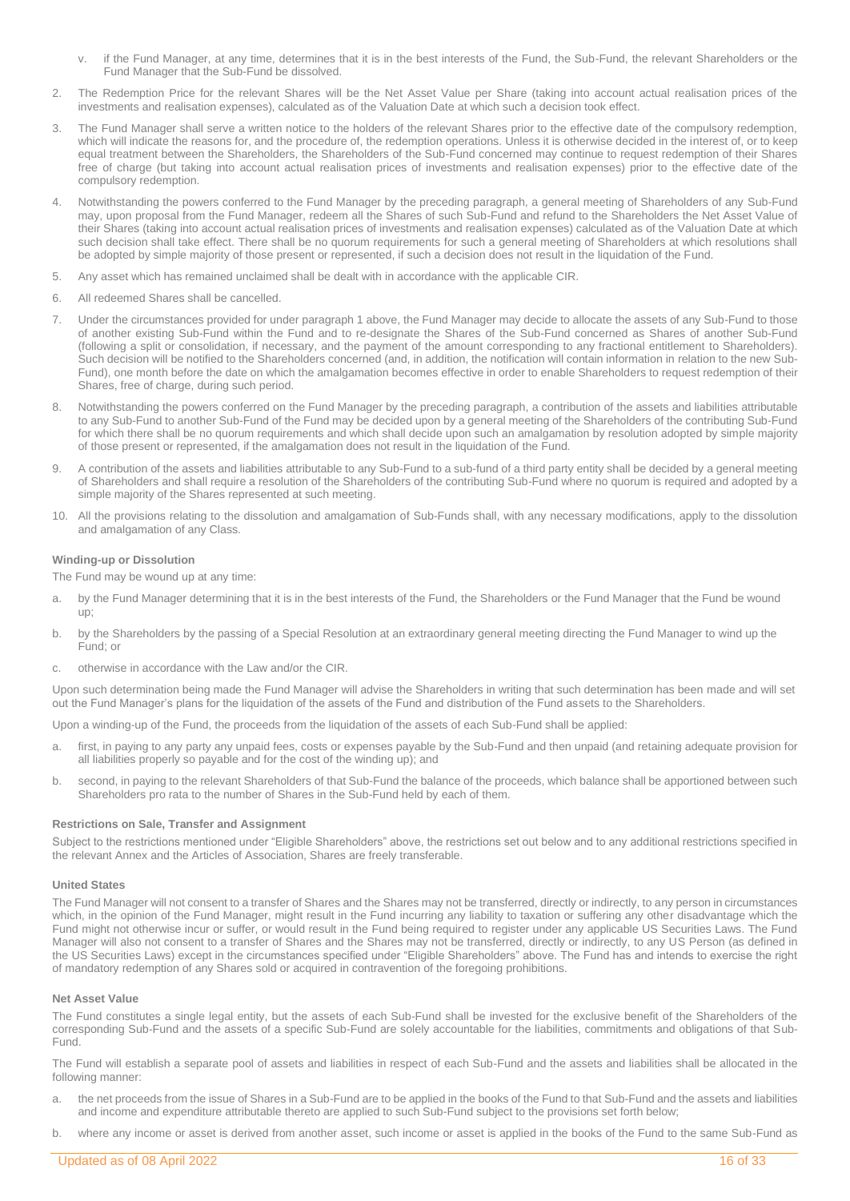- if the Fund Manager, at any time, determines that it is in the best interests of the Fund, the Sub-Fund, the relevant Shareholders or the Fund Manager that the Sub-Fund be dissolved.
- 2. The Redemption Price for the relevant Shares will be the Net Asset Value per Share (taking into account actual realisation prices of the investments and realisation expenses), calculated as of the Valuation Date at which such a decision took effect.
- 3. The Fund Manager shall serve a written notice to the holders of the relevant Shares prior to the effective date of the compulsory redemption, which will indicate the reasons for, and the procedure of, the redemption operations. Unless it is otherwise decided in the interest of, or to keep equal treatment between the Shareholders, the Shareholders of the Sub-Fund concerned may continue to request redemption of their Shares free of charge (but taking into account actual realisation prices of investments and realisation expenses) prior to the effective date of the compulsory redemption.
- 4. Notwithstanding the powers conferred to the Fund Manager by the preceding paragraph, a general meeting of Shareholders of any Sub-Fund may, upon proposal from the Fund Manager, redeem all the Shares of such Sub-Fund and refund to the Shareholders the Net Asset Value of their Shares (taking into account actual realisation prices of investments and realisation expenses) calculated as of the Valuation Date at which such decision shall take effect. There shall be no quorum requirements for such a general meeting of Shareholders at which resolutions shall be adopted by simple majority of those present or represented, if such a decision does not result in the liquidation of the Fund.
- 5. Any asset which has remained unclaimed shall be dealt with in accordance with the applicable CIR.
- 6. All redeemed Shares shall be cancelled.
- 7. Under the circumstances provided for under paragraph 1 above, the Fund Manager may decide to allocate the assets of any Sub-Fund to those of another existing Sub-Fund within the Fund and to re-designate the Shares of the Sub-Fund concerned as Shares of another Sub-Fund (following a split or consolidation, if necessary, and the payment of the amount corresponding to any fractional entitlement to Shareholders). Such decision will be notified to the Shareholders concerned (and, in addition, the notification will contain information in relation to the new Sub-Fund), one month before the date on which the amalgamation becomes effective in order to enable Shareholders to request redemption of their Shares, free of charge, during such period.
- 8. Notwithstanding the powers conferred on the Fund Manager by the preceding paragraph, a contribution of the assets and liabilities attributable to any Sub-Fund to another Sub-Fund of the Fund may be decided upon by a general meeting of the Shareholders of the contributing Sub-Fund for which there shall be no quorum requirements and which shall decide upon such an amalgamation by resolution adopted by simple majority of those present or represented, if the amalgamation does not result in the liquidation of the Fund.
- 9. A contribution of the assets and liabilities attributable to any Sub-Fund to a sub-fund of a third party entity shall be decided by a general meeting of Shareholders and shall require a resolution of the Shareholders of the contributing Sub-Fund where no quorum is required and adopted by a simple majority of the Shares represented at such meeting.
- 10. All the provisions relating to the dissolution and amalgamation of Sub-Funds shall, with any necessary modifications, apply to the dissolution and amalgamation of any Class.

### **Winding-up or Dissolution**

The Fund may be wound up at any time:

- by the Fund Manager determining that it is in the best interests of the Fund, the Shareholders or the Fund Manager that the Fund be wound up;
- b. by the Shareholders by the passing of a Special Resolution at an extraordinary general meeting directing the Fund Manager to wind up the Fund; or
- c. otherwise in accordance with the Law and/or the CIR.

Upon such determination being made the Fund Manager will advise the Shareholders in writing that such determination has been made and will set out the Fund Manager's plans for the liquidation of the assets of the Fund and distribution of the Fund assets to the Shareholders.

Upon a winding-up of the Fund, the proceeds from the liquidation of the assets of each Sub-Fund shall be applied:

- a. first, in paying to any party any unpaid fees, costs or expenses payable by the Sub-Fund and then unpaid (and retaining adequate provision for all liabilities properly so payable and for the cost of the winding up); and
- b. second, in paying to the relevant Shareholders of that Sub-Fund the balance of the proceeds, which balance shall be apportioned between such Shareholders pro rata to the number of Shares in the Sub-Fund held by each of them.

#### **Restrictions on Sale, Transfer and Assignment**

Subject to the restrictions mentioned under "Eligible Shareholders" above, the restrictions set out below and to any additional restrictions specified in the relevant Annex and the Articles of Association, Shares are freely transferable.

#### **United States**

The Fund Manager will not consent to a transfer of Shares and the Shares may not be transferred, directly or indirectly, to any person in circumstances which, in the opinion of the Fund Manager, might result in the Fund incurring any liability to taxation or suffering any other disadvantage which the Fund might not otherwise incur or suffer, or would result in the Fund being required to register under any applicable US Securities Laws. The Fund Manager will also not consent to a transfer of Shares and the Shares may not be transferred, directly or indirectly, to any US Person (as defined in the US Securities Laws) except in the circumstances specified under "Eligible Shareholders" above. The Fund has and intends to exercise the right of mandatory redemption of any Shares sold or acquired in contravention of the foregoing prohibitions.

### **Net Asset Value**

The Fund constitutes a single legal entity, but the assets of each Sub-Fund shall be invested for the exclusive benefit of the Shareholders of the corresponding Sub-Fund and the assets of a specific Sub-Fund are solely accountable for the liabilities, commitments and obligations of that Sub-Fund.

The Fund will establish a separate pool of assets and liabilities in respect of each Sub-Fund and the assets and liabilities shall be allocated in the following manner:

- a. the net proceeds from the issue of Shares in a Sub-Fund are to be applied in the books of the Fund to that Sub-Fund and the assets and liabilities and income and expenditure attributable thereto are applied to such Sub-Fund subject to the provisions set forth below;
- b. where any income or asset is derived from another asset, such income or asset is applied in the books of the Fund to the same Sub-Fund as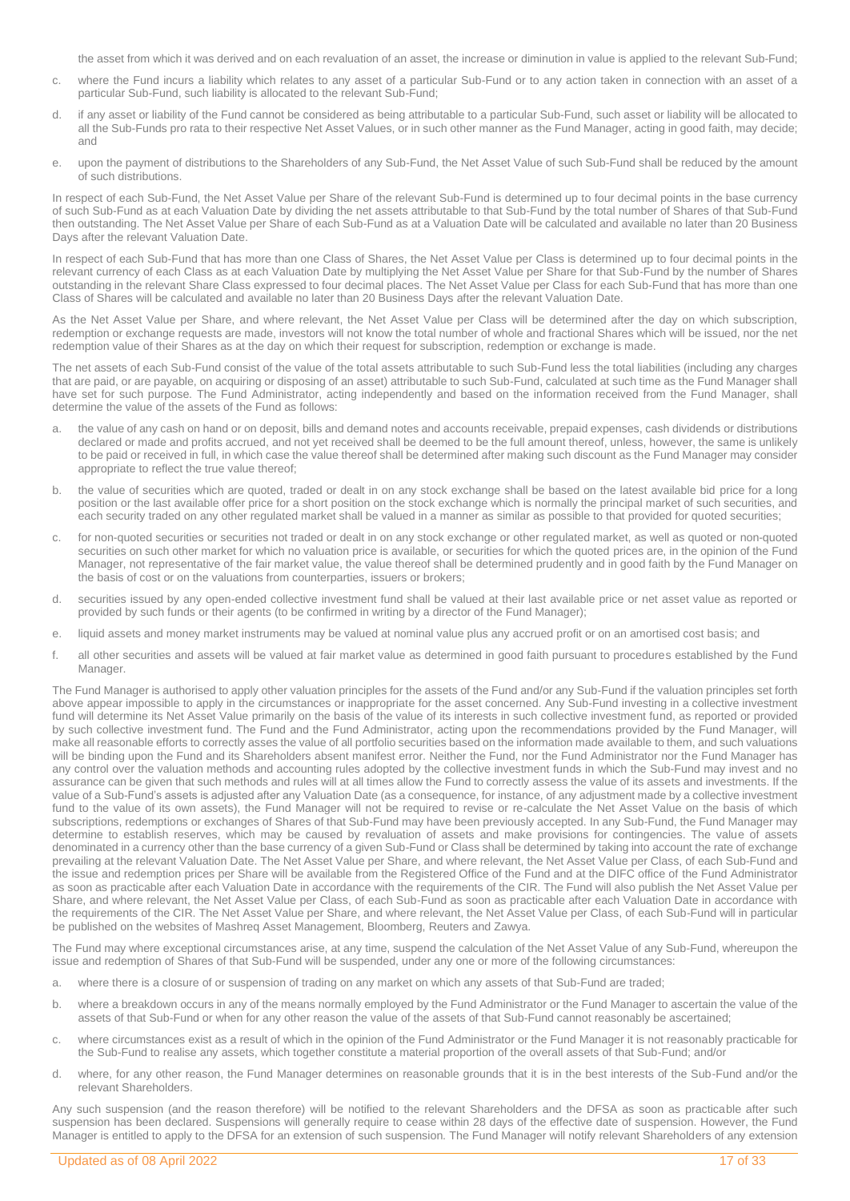the asset from which it was derived and on each revaluation of an asset, the increase or diminution in value is applied to the relevant Sub-Fund;

- c. where the Fund incurs a liability which relates to any asset of a particular Sub-Fund or to any action taken in connection with an asset of a particular Sub-Fund, such liability is allocated to the relevant Sub-Fund;
- d. if any asset or liability of the Fund cannot be considered as being attributable to a particular Sub-Fund, such asset or liability will be allocated to all the Sub-Funds pro rata to their respective Net Asset Values, or in such other manner as the Fund Manager, acting in good faith, may decide; and
- e. upon the payment of distributions to the Shareholders of any Sub-Fund, the Net Asset Value of such Sub-Fund shall be reduced by the amount of such distributions.

In respect of each Sub-Fund, the Net Asset Value per Share of the relevant Sub-Fund is determined up to four decimal points in the base currency of such Sub-Fund as at each Valuation Date by dividing the net assets attributable to that Sub-Fund by the total number of Shares of that Sub-Fund then outstanding. The Net Asset Value per Share of each Sub-Fund as at a Valuation Date will be calculated and available no later than 20 Business Days after the relevant Valuation Date.

In respect of each Sub-Fund that has more than one Class of Shares, the Net Asset Value per Class is determined up to four decimal points in the relevant currency of each Class as at each Valuation Date by multiplying the Net Asset Value per Share for that Sub-Fund by the number of Shares outstanding in the relevant Share Class expressed to four decimal places. The Net Asset Value per Class for each Sub-Fund that has more than one Class of Shares will be calculated and available no later than 20 Business Days after the relevant Valuation Date.

As the Net Asset Value per Share, and where relevant, the Net Asset Value per Class will be determined after the day on which subscription, redemption or exchange requests are made, investors will not know the total number of whole and fractional Shares which will be issued, nor the net redemption value of their Shares as at the day on which their request for subscription, redemption or exchange is made.

The net assets of each Sub-Fund consist of the value of the total assets attributable to such Sub-Fund less the total liabilities (including any charges that are paid, or are payable, on acquiring or disposing of an asset) attributable to such Sub-Fund, calculated at such time as the Fund Manager shall have set for such purpose. The Fund Administrator, acting independently and based on the information received from the Fund Manager, shall determine the value of the assets of the Fund as follows:

- a. the value of any cash on hand or on deposit, bills and demand notes and accounts receivable, prepaid expenses, cash dividends or distributions declared or made and profits accrued, and not yet received shall be deemed to be the full amount thereof, unless, however, the same is unlikely to be paid or received in full, in which case the value thereof shall be determined after making such discount as the Fund Manager may consider appropriate to reflect the true value thereof;
- b. the value of securities which are quoted, traded or dealt in on any stock exchange shall be based on the latest available bid price for a long position or the last available offer price for a short position on the stock exchange which is normally the principal market of such securities, and each security traded on any other regulated market shall be valued in a manner as similar as possible to that provided for quoted securities;
- c. for non-quoted securities or securities not traded or dealt in on any stock exchange or other regulated market, as well as quoted or non-quoted securities on such other market for which no valuation price is available, or securities for which the quoted prices are, in the opinion of the Fund Manager, not representative of the fair market value, the value thereof shall be determined prudently and in good faith by the Fund Manager on the basis of cost or on the valuations from counterparties, issuers or brokers;
- d. securities issued by any open-ended collective investment fund shall be valued at their last available price or net asset value as reported or provided by such funds or their agents (to be confirmed in writing by a director of the Fund Manager);
- e. liquid assets and money market instruments may be valued at nominal value plus any accrued profit or on an amortised cost basis; and
- f. all other securities and assets will be valued at fair market value as determined in good faith pursuant to procedures established by the Fund Manager.

The Fund Manager is authorised to apply other valuation principles for the assets of the Fund and/or any Sub-Fund if the valuation principles set forth above appear impossible to apply in the circumstances or inappropriate for the asset concerned. Any Sub-Fund investing in a collective investment fund will determine its Net Asset Value primarily on the basis of the value of its interests in such collective investment fund, as reported or provided by such collective investment fund. The Fund and the Fund Administrator, acting upon the recommendations provided by the Fund Manager, will make all reasonable efforts to correctly asses the value of all portfolio securities based on the information made available to them, and such valuations will be binding upon the Fund and its Shareholders absent manifest error. Neither the Fund, nor the Fund Administrator nor the Fund Manager has any control over the valuation methods and accounting rules adopted by the collective investment funds in which the Sub-Fund may invest and no assurance can be given that such methods and rules will at all times allow the Fund to correctly assess the value of its assets and investments. If the value of a Sub-Fund's assets is adjusted after any Valuation Date (as a consequence, for instance, of any adjustment made by a collective investment fund to the value of its own assets), the Fund Manager will not be required to revise or re-calculate the Net Asset Value on the basis of which subscriptions, redemptions or exchanges of Shares of that Sub-Fund may have been previously accepted. In any Sub-Fund, the Fund Manager may determine to establish reserves, which may be caused by revaluation of assets and make provisions for contingencies. The value of assets denominated in a currency other than the base currency of a given Sub-Fund or Class shall be determined by taking into account the rate of exchange prevailing at the relevant Valuation Date. The Net Asset Value per Share, and where relevant, the Net Asset Value per Class, of each Sub-Fund and the issue and redemption prices per Share will be available from the Registered Office of the Fund and at the DIFC office of the Fund Administrator as soon as practicable after each Valuation Date in accordance with the requirements of the CIR. The Fund will also publish the Net Asset Value per Share, and where relevant, the Net Asset Value per Class, of each Sub-Fund as soon as practicable after each Valuation Date in accordance with the requirements of the CIR. The Net Asset Value per Share, and where relevant, the Net Asset Value per Class, of each Sub-Fund will in particular be published on the websites of Mashreq Asset Management, Bloomberg, Reuters and Zawya.

The Fund may where exceptional circumstances arise, at any time, suspend the calculation of the Net Asset Value of any Sub-Fund, whereupon the issue and redemption of Shares of that Sub-Fund will be suspended, under any one or more of the following circumstances:

- a. where there is a closure of or suspension of trading on any market on which any assets of that Sub-Fund are traded;
- b. where a breakdown occurs in any of the means normally employed by the Fund Administrator or the Fund Manager to ascertain the value of the assets of that Sub-Fund or when for any other reason the value of the assets of that Sub-Fund cannot reasonably be ascertained;
- c. where circumstances exist as a result of which in the opinion of the Fund Administrator or the Fund Manager it is not reasonably practicable for the Sub-Fund to realise any assets, which together constitute a material proportion of the overall assets of that Sub-Fund; and/or
- d. where, for any other reason, the Fund Manager determines on reasonable grounds that it is in the best interests of the Sub-Fund and/or the relevant Shareholders.

Any such suspension (and the reason therefore) will be notified to the relevant Shareholders and the DFSA as soon as practicable after such suspension has been declared. Suspensions will generally require to cease within 28 days of the effective date of suspension. However, the Fund Manager is entitled to apply to the DFSA for an extension of such suspension. The Fund Manager will notify relevant Shareholders of any extension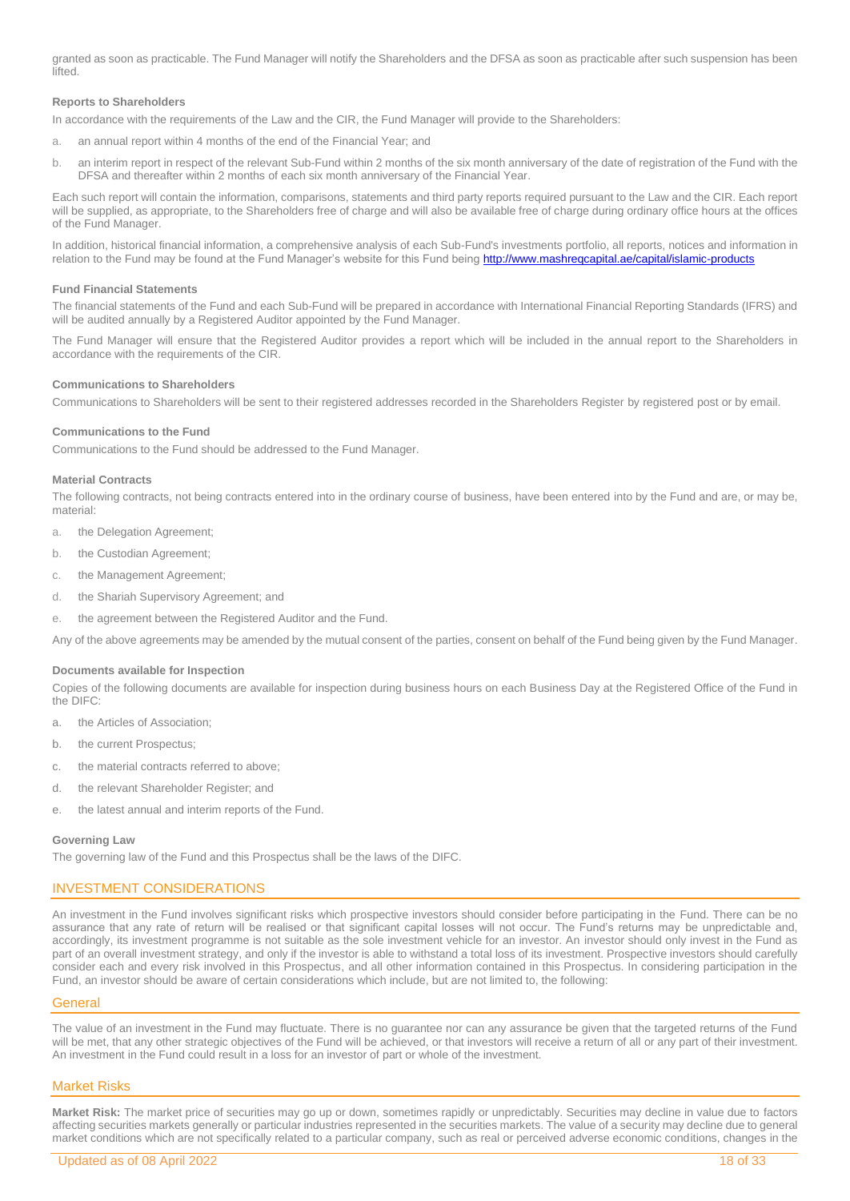granted as soon as practicable. The Fund Manager will notify the Shareholders and the DFSA as soon as practicable after such suspension has been lifted.

### **Reports to Shareholders**

In accordance with the requirements of the Law and the CIR, the Fund Manager will provide to the Shareholders:

- a. an annual report within 4 months of the end of the Financial Year; and
- b. an interim report in respect of the relevant Sub-Fund within 2 months of the six month anniversary of the date of registration of the Fund with the DFSA and thereafter within 2 months of each six month anniversary of the Financial Year.

Each such report will contain the information, comparisons, statements and third party reports required pursuant to the Law and the CIR. Each report will be supplied, as appropriate, to the Shareholders free of charge and will also be available free of charge during ordinary office hours at the offices of the Fund Manager.

In addition, historical financial information, a comprehensive analysis of each Sub-Fund's investments portfolio, all reports, notices and information in relation to the Fund may be found at the Fund Manager's website for this Fund being <http://www.mashreqcapital.ae/capital/islamic-products>

#### **Fund Financial Statements**

The financial statements of the Fund and each Sub-Fund will be prepared in accordance with International Financial Reporting Standards (IFRS) and will be audited annually by a Registered Auditor appointed by the Fund Manager.

The Fund Manager will ensure that the Registered Auditor provides a report which will be included in the annual report to the Shareholders in accordance with the requirements of the CIR.

### **Communications to Shareholders**

Communications to Shareholders will be sent to their registered addresses recorded in the Shareholders Register by registered post or by email.

### **Communications to the Fund**

Communications to the Fund should be addressed to the Fund Manager.

#### **Material Contracts**

The following contracts, not being contracts entered into in the ordinary course of business, have been entered into by the Fund and are, or may be, material:

- a. the Delegation Agreement;
- b. the Custodian Agreement;
- c. the Management Agreement;
- d. the Shariah Supervisory Agreement; and
- e. the agreement between the Registered Auditor and the Fund.

Any of the above agreements may be amended by the mutual consent of the parties, consent on behalf of the Fund being given by the Fund Manager.

#### **Documents available for Inspection**

Copies of the following documents are available for inspection during business hours on each Business Day at the Registered Office of the Fund in the DIFC:

- a. the Articles of Association;
- b. the current Prospectus;
- c. the material contracts referred to above;
- d. the relevant Shareholder Register; and
- e. the latest annual and interim reports of the Fund.

#### **Governing Law**

The governing law of the Fund and this Prospectus shall be the laws of the DIFC.

### <span id="page-17-0"></span>INVESTMENT CONSIDERATIONS

An investment in the Fund involves significant risks which prospective investors should consider before participating in the Fund. There can be no assurance that any rate of return will be realised or that significant capital losses will not occur. The Fund's returns may be unpredictable and, accordingly, its investment programme is not suitable as the sole investment vehicle for an investor. An investor should only invest in the Fund as part of an overall investment strategy, and only if the investor is able to withstand a total loss of its investment. Prospective investors should carefully consider each and every risk involved in this Prospectus, and all other information contained in this Prospectus. In considering participation in the Fund, an investor should be aware of certain considerations which include, but are not limited to, the following:

#### <span id="page-17-1"></span>**General**

The value of an investment in the Fund may fluctuate. There is no guarantee nor can any assurance be given that the targeted returns of the Fund will be met, that any other strategic objectives of the Fund will be achieved, or that investors will receive a return of all or any part of their investment. An investment in the Fund could result in a loss for an investor of part or whole of the investment.

### <span id="page-17-2"></span>Market Risks

**Market Risk:** The market price of securities may go up or down, sometimes rapidly or unpredictably. Securities may decline in value due to factors affecting securities markets generally or particular industries represented in the securities markets. The value of a security may decline due to general market conditions which are not specifically related to a particular company, such as real or perceived adverse economic conditions, changes in the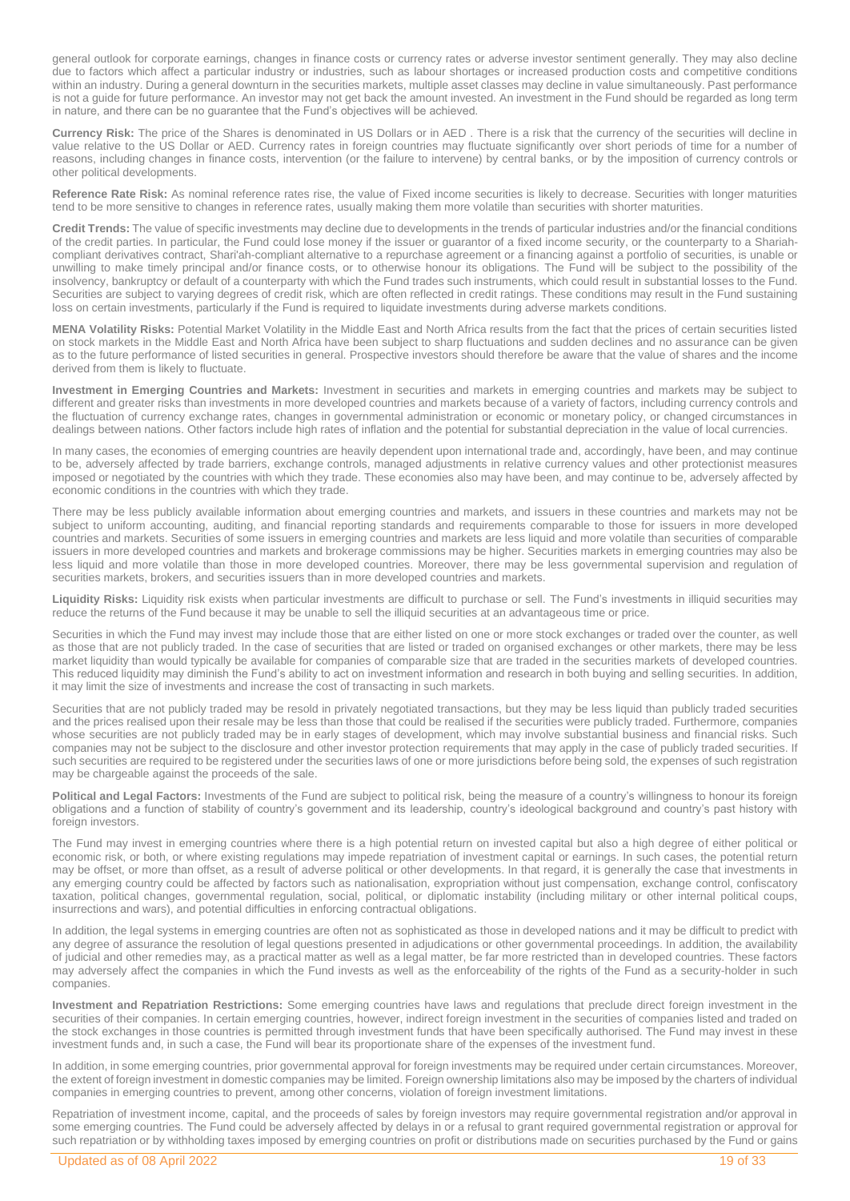general outlook for corporate earnings, changes in finance costs or currency rates or adverse investor sentiment generally. They may also decline due to factors which affect a particular industry or industries, such as labour shortages or increased production costs and competitive conditions within an industry. During a general downturn in the securities markets, multiple asset classes may decline in value simultaneously. Past performance is not a guide for future performance. An investor may not get back the amount invested. An investment in the Fund should be regarded as long term in nature, and there can be no guarantee that the Fund's objectives will be achieved.

**Currency Risk:** The price of the Shares is denominated in US Dollars or in AED . There is a risk that the currency of the securities will decline in value relative to the US Dollar or AED. Currency rates in foreign countries may fluctuate significantly over short periods of time for a number of reasons, including changes in finance costs, intervention (or the failure to intervene) by central banks, or by the imposition of currency controls or other political developments.

Reference Rate Risk: As nominal reference rates rise, the value of Fixed income securities is likely to decrease. Securities with longer maturities tend to be more sensitive to changes in reference rates, usually making them more volatile than securities with shorter maturities.

**Credit Trends:** The value of specific investments may decline due to developments in the trends of particular industries and/or the financial conditions of the credit parties. In particular, the Fund could lose money if the issuer or guarantor of a fixed income security, or the counterparty to a Shariahcompliant derivatives contract, Shari'ah-compliant alternative to a repurchase agreement or a financing against a portfolio of securities, is unable or unwilling to make timely principal and/or finance costs, or to otherwise honour its obligations. The Fund will be subject to the possibility of the insolvency, bankruptcy or default of a counterparty with which the Fund trades such instruments, which could result in substantial losses to the Fund. Securities are subject to varying degrees of credit risk, which are often reflected in credit ratings. These conditions may result in the Fund sustaining loss on certain investments, particularly if the Fund is required to liquidate investments during adverse markets conditions.

**MENA Volatility Risks:** Potential Market Volatility in the Middle East and North Africa results from the fact that the prices of certain securities listed on stock markets in the Middle East and North Africa have been subject to sharp fluctuations and sudden declines and no assurance can be given as to the future performance of listed securities in general. Prospective investors should therefore be aware that the value of shares and the income derived from them is likely to fluctuate.

**Investment in Emerging Countries and Markets:** Investment in securities and markets in emerging countries and markets may be subject to different and greater risks than investments in more developed countries and markets because of a variety of factors, including currency controls and the fluctuation of currency exchange rates, changes in governmental administration or economic or monetary policy, or changed circumstances in dealings between nations. Other factors include high rates of inflation and the potential for substantial depreciation in the value of local currencies.

In many cases, the economies of emerging countries are heavily dependent upon international trade and, accordingly, have been, and may continue to be, adversely affected by trade barriers, exchange controls, managed adjustments in relative currency values and other protectionist measures imposed or negotiated by the countries with which they trade. These economies also may have been, and may continue to be, adversely affected by economic conditions in the countries with which they trade.

There may be less publicly available information about emerging countries and markets, and issuers in these countries and markets may not be subject to uniform accounting, auditing, and financial reporting standards and requirements comparable to those for issuers in more developed countries and markets. Securities of some issuers in emerging countries and markets are less liquid and more volatile than securities of comparable issuers in more developed countries and markets and brokerage commissions may be higher. Securities markets in emerging countries may also be less liquid and more volatile than those in more developed countries. Moreover, there may be less governmental supervision and regulation of securities markets, brokers, and securities issuers than in more developed countries and markets.

**Liquidity Risks:** Liquidity risk exists when particular investments are difficult to purchase or sell. The Fund's investments in illiquid securities may reduce the returns of the Fund because it may be unable to sell the illiquid securities at an advantageous time or price.

Securities in which the Fund may invest may include those that are either listed on one or more stock exchanges or traded over the counter, as well as those that are not publicly traded. In the case of securities that are listed or traded on organised exchanges or other markets, there may be less market liquidity than would typically be available for companies of comparable size that are traded in the securities markets of developed countries. This reduced liquidity may diminish the Fund's ability to act on investment information and research in both buying and selling securities. In addition, it may limit the size of investments and increase the cost of transacting in such markets.

Securities that are not publicly traded may be resold in privately negotiated transactions, but they may be less liquid than publicly traded securities and the prices realised upon their resale may be less than those that could be realised if the securities were publicly traded. Furthermore, companies whose securities are not publicly traded may be in early stages of development, which may involve substantial business and financial risks. Such companies may not be subject to the disclosure and other investor protection requirements that may apply in the case of publicly traded securities. If such securities are required to be registered under the securities laws of one or more jurisdictions before being sold, the expenses of such registration may be chargeable against the proceeds of the sale.

**Political and Legal Factors:** Investments of the Fund are subject to political risk, being the measure of a country's willingness to honour its foreign obligations and a function of stability of country's government and its leadership, country's ideological background and country's past history with foreign investors.

The Fund may invest in emerging countries where there is a high potential return on invested capital but also a high degree of either political or economic risk, or both, or where existing regulations may impede repatriation of investment capital or earnings. In such cases, the potential return may be offset, or more than offset, as a result of adverse political or other developments. In that regard, it is generally the case that investments in any emerging country could be affected by factors such as nationalisation, expropriation without just compensation, exchange control, confiscatory taxation, political changes, governmental regulation, social, political, or diplomatic instability (including military or other internal political coups, insurrections and wars), and potential difficulties in enforcing contractual obligations.

In addition, the legal systems in emerging countries are often not as sophisticated as those in developed nations and it may be difficult to predict with any degree of assurance the resolution of legal questions presented in adjudications or other governmental proceedings. In addition, the availability of judicial and other remedies may, as a practical matter as well as a legal matter, be far more restricted than in developed countries. These factors may adversely affect the companies in which the Fund invests as well as the enforceability of the rights of the Fund as a security-holder in such companies.

**Investment and Repatriation Restrictions:** Some emerging countries have laws and regulations that preclude direct foreign investment in the securities of their companies. In certain emerging countries, however, indirect foreign investment in the securities of companies listed and traded on the stock exchanges in those countries is permitted through investment funds that have been specifically authorised. The Fund may invest in these investment funds and, in such a case, the Fund will bear its proportionate share of the expenses of the investment fund.

In addition, in some emerging countries, prior governmental approval for foreign investments may be required under certain circumstances. Moreover, the extent of foreign investment in domestic companies may be limited. Foreign ownership limitations also may be imposed by the charters of individual companies in emerging countries to prevent, among other concerns, violation of foreign investment limitations.

Repatriation of investment income, capital, and the proceeds of sales by foreign investors may require governmental registration and/or approval in some emerging countries. The Fund could be adversely affected by delays in or a refusal to grant required governmental registration or approval for such repatriation or by withholding taxes imposed by emerging countries on profit or distributions made on securities purchased by the Fund or gains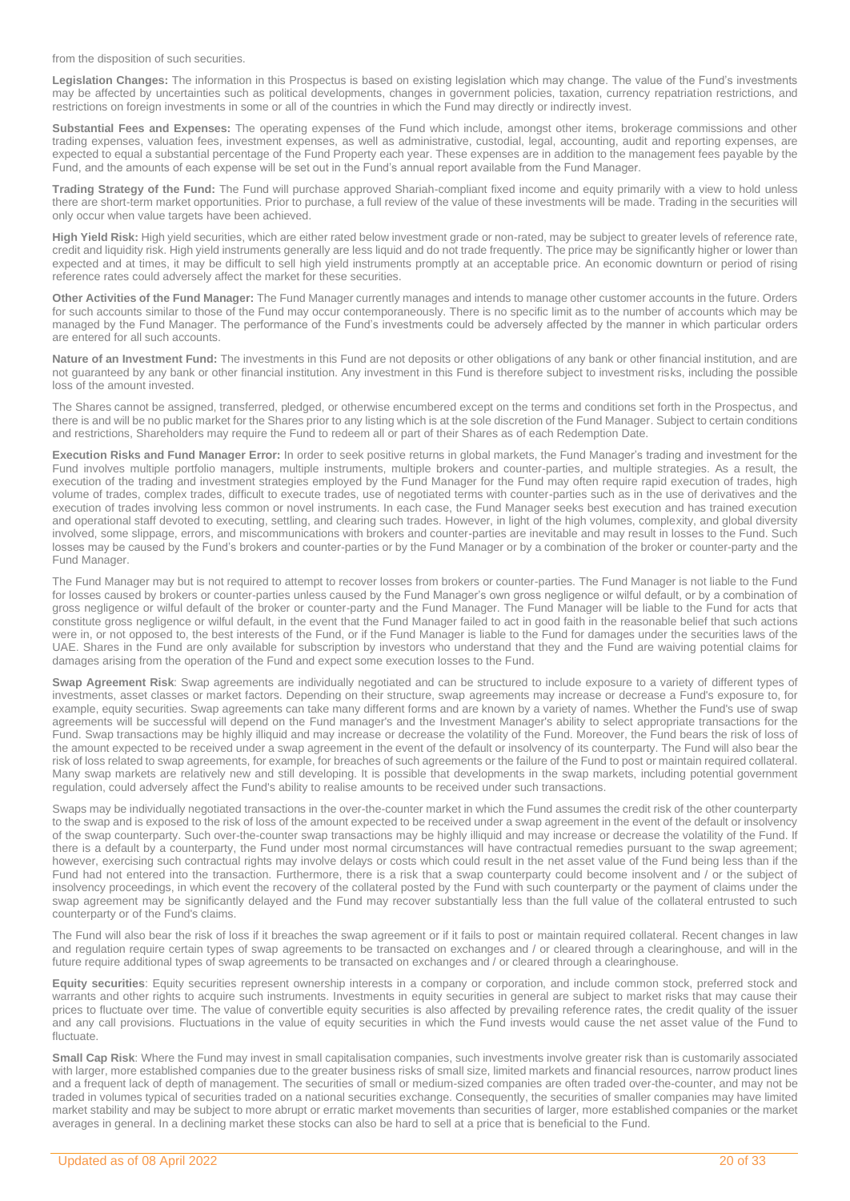from the disposition of such securities.

**Legislation Changes:** The information in this Prospectus is based on existing legislation which may change. The value of the Fund's investments may be affected by uncertainties such as political developments, changes in government policies, taxation, currency repatriation restrictions, and restrictions on foreign investments in some or all of the countries in which the Fund may directly or indirectly invest.

**Substantial Fees and Expenses:** The operating expenses of the Fund which include, amongst other items, brokerage commissions and other trading expenses, valuation fees, investment expenses, as well as administrative, custodial, legal, accounting, audit and reporting expenses, are expected to equal a substantial percentage of the Fund Property each year. These expenses are in addition to the management fees payable by the Fund, and the amounts of each expense will be set out in the Fund's annual report available from the Fund Manager.

**Trading Strategy of the Fund:** The Fund will purchase approved Shariah-compliant fixed income and equity primarily with a view to hold unless there are short-term market opportunities. Prior to purchase, a full review of the value of these investments will be made. Trading in the securities will only occur when value targets have been achieved.

**High Yield Risk:** High yield securities, which are either rated below investment grade or non-rated, may be subject to greater levels of reference rate, credit and liquidity risk. High yield instruments generally are less liquid and do not trade frequently. The price may be significantly higher or lower than expected and at times, it may be difficult to sell high yield instruments promptly at an acceptable price. An economic downturn or period of rising reference rates could adversely affect the market for these securities.

**Other Activities of the Fund Manager:** The Fund Manager currently manages and intends to manage other customer accounts in the future. Orders for such accounts similar to those of the Fund may occur contemporaneously. There is no specific limit as to the number of accounts which may be managed by the Fund Manager. The performance of the Fund's investments could be adversely affected by the manner in which particular orders are entered for all such accounts.

**Nature of an Investment Fund:** The investments in this Fund are not deposits or other obligations of any bank or other financial institution, and are not guaranteed by any bank or other financial institution. Any investment in this Fund is therefore subject to investment risks, including the possible loss of the amount invested.

The Shares cannot be assigned, transferred, pledged, or otherwise encumbered except on the terms and conditions set forth in the Prospectus, and there is and will be no public market for the Shares prior to any listing which is at the sole discretion of the Fund Manager. Subject to certain conditions and restrictions, Shareholders may require the Fund to redeem all or part of their Shares as of each Redemption Date.

**Execution Risks and Fund Manager Error:** In order to seek positive returns in global markets, the Fund Manager's trading and investment for the Fund involves multiple portfolio managers, multiple instruments, multiple brokers and counter-parties, and multiple strategies. As a result, the execution of the trading and investment strategies employed by the Fund Manager for the Fund may often require rapid execution of trades, high volume of trades, complex trades, difficult to execute trades, use of negotiated terms with counter-parties such as in the use of derivatives and the execution of trades involving less common or novel instruments. In each case, the Fund Manager seeks best execution and has trained execution and operational staff devoted to executing, settling, and clearing such trades. However, in light of the high volumes, complexity, and global diversity involved, some slippage, errors, and miscommunications with brokers and counter-parties are inevitable and may result in losses to the Fund. Such losses may be caused by the Fund's brokers and counter-parties or by the Fund Manager or by a combination of the broker or counter-party and the Fund Manager.

The Fund Manager may but is not required to attempt to recover losses from brokers or counter-parties. The Fund Manager is not liable to the Fund for losses caused by brokers or counter-parties unless caused by the Fund Manager's own gross negligence or wilful default, or by a combination of gross negligence or wilful default of the broker or counter-party and the Fund Manager. The Fund Manager will be liable to the Fund for acts that constitute gross negligence or wilful default, in the event that the Fund Manager failed to act in good faith in the reasonable belief that such actions were in, or not opposed to, the best interests of the Fund, or if the Fund Manager is liable to the Fund for damages under the securities laws of the UAE. Shares in the Fund are only available for subscription by investors who understand that they and the Fund are waiving potential claims for damages arising from the operation of the Fund and expect some execution losses to the Fund.

**Swap Agreement Risk**: Swap agreements are individually negotiated and can be structured to include exposure to a variety of different types of investments, asset classes or market factors. Depending on their structure, swap agreements may increase or decrease a Fund's exposure to, for example, equity securities. Swap agreements can take many different forms and are known by a variety of names. Whether the Fund's use of swap agreements will be successful will depend on the Fund manager's and the Investment Manager's ability to select appropriate transactions for the Fund. Swap transactions may be highly illiquid and may increase or decrease the volatility of the Fund. Moreover, the Fund bears the risk of loss of the amount expected to be received under a swap agreement in the event of the default or insolvency of its counterparty. The Fund will also bear the risk of loss related to swap agreements, for example, for breaches of such agreements or the failure of the Fund to post or maintain required collateral. Many swap markets are relatively new and still developing. It is possible that developments in the swap markets, including potential government regulation, could adversely affect the Fund's ability to realise amounts to be received under such transactions.

Swaps may be individually negotiated transactions in the over-the-counter market in which the Fund assumes the credit risk of the other counterparty to the swap and is exposed to the risk of loss of the amount expected to be received under a swap agreement in the event of the default or insolvency of the swap counterparty. Such over-the-counter swap transactions may be highly illiquid and may increase or decrease the volatility of the Fund. If there is a default by a counterparty, the Fund under most normal circumstances will have contractual remedies pursuant to the swap agreement; however, exercising such contractual rights may involve delays or costs which could result in the net asset value of the Fund being less than if the Fund had not entered into the transaction. Furthermore, there is a risk that a swap counterparty could become insolvent and / or the subject of insolvency proceedings, in which event the recovery of the collateral posted by the Fund with such counterparty or the payment of claims under the swap agreement may be significantly delayed and the Fund may recover substantially less than the full value of the collateral entrusted to such counterparty or of the Fund's claims.

The Fund will also bear the risk of loss if it breaches the swap agreement or if it fails to post or maintain required collateral. Recent changes in law and regulation require certain types of swap agreements to be transacted on exchanges and / or cleared through a clearinghouse, and will in the future require additional types of swap agreements to be transacted on exchanges and / or cleared through a clearinghouse.

**Equity securities**: Equity securities represent ownership interests in a company or corporation, and include common stock, preferred stock and warrants and other rights to acquire such instruments. Investments in equity securities in general are subject to market risks that may cause their prices to fluctuate over time. The value of convertible equity securities is also affected by prevailing reference rates, the credit quality of the issuer and any call provisions. Fluctuations in the value of equity securities in which the Fund invests would cause the net asset value of the Fund to fluctuate.

**Small Cap Risk:** Where the Fund may invest in small capitalisation companies, such investments involve greater risk than is customarily associated with larger, more established companies due to the greater business risks of small size, limited markets and financial resources, narrow product lines and a frequent lack of depth of management. The securities of small or medium-sized companies are often traded over-the-counter, and may not be traded in volumes typical of securities traded on a national securities exchange. Consequently, the securities of smaller companies may have limited market stability and may be subject to more abrupt or erratic market movements than securities of larger, more established companies or the market averages in general. In a declining market these stocks can also be hard to sell at a price that is beneficial to the Fund.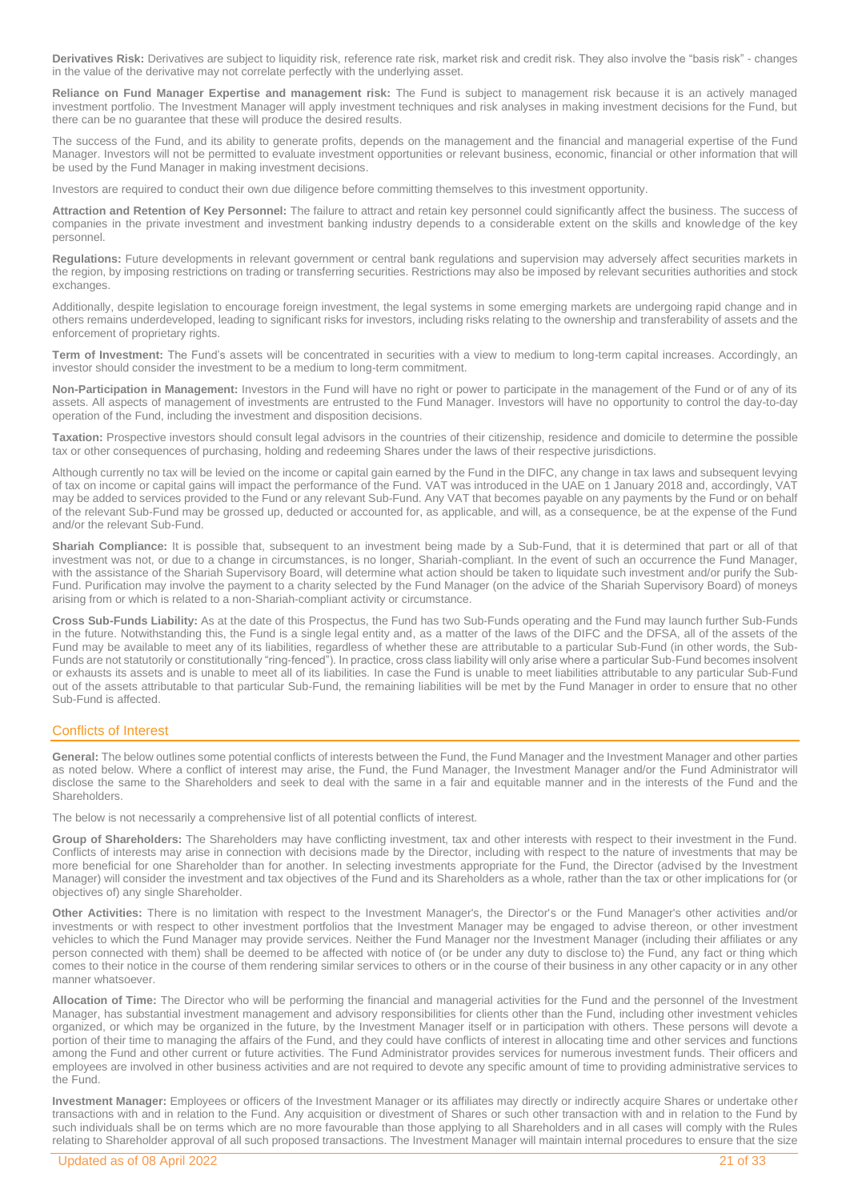**Derivatives Risk:** Derivatives are subject to liquidity risk, reference rate risk, market risk and credit risk. They also involve the "basis risk" - changes in the value of the derivative may not correlate perfectly with the underlying asset.

**Reliance on Fund Manager Expertise and management risk:** The Fund is subject to management risk because it is an actively managed investment portfolio. The Investment Manager will apply investment techniques and risk analyses in making investment decisions for the Fund, but there can be no guarantee that these will produce the desired results.

The success of the Fund, and its ability to generate profits, depends on the management and the financial and managerial expertise of the Fund Manager. Investors will not be permitted to evaluate investment opportunities or relevant business, economic, financial or other information that will be used by the Fund Manager in making investment decisions.

Investors are required to conduct their own due diligence before committing themselves to this investment opportunity.

**Attraction and Retention of Key Personnel:** The failure to attract and retain key personnel could significantly affect the business. The success of companies in the private investment and investment banking industry depends to a considerable extent on the skills and knowledge of the key personnel.

**Regulations:** Future developments in relevant government or central bank regulations and supervision may adversely affect securities markets in the region, by imposing restrictions on trading or transferring securities. Restrictions may also be imposed by relevant securities authorities and stock exchanges.

Additionally, despite legislation to encourage foreign investment, the legal systems in some emerging markets are undergoing rapid change and in others remains underdeveloped, leading to significant risks for investors, including risks relating to the ownership and transferability of assets and the enforcement of proprietary rights.

**Term of Investment:** The Fund's assets will be concentrated in securities with a view to medium to long-term capital increases. Accordingly, an investor should consider the investment to be a medium to long-term commitment.

**Non-Participation in Management:** Investors in the Fund will have no right or power to participate in the management of the Fund or of any of its assets. All aspects of management of investments are entrusted to the Fund Manager. Investors will have no opportunity to control the day-to-day operation of the Fund, including the investment and disposition decisions.

**Taxation:** Prospective investors should consult legal advisors in the countries of their citizenship, residence and domicile to determine the possible tax or other consequences of purchasing, holding and redeeming Shares under the laws of their respective jurisdictions.

Although currently no tax will be levied on the income or capital gain earned by the Fund in the DIFC, any change in tax laws and subsequent levying of tax on income or capital gains will impact the performance of the Fund. VAT was introduced in the UAE on 1 January 2018 and, accordingly, VAT may be added to services provided to the Fund or any relevant Sub-Fund. Any VAT that becomes payable on any payments by the Fund or on behalf of the relevant Sub-Fund may be grossed up, deducted or accounted for, as applicable, and will, as a consequence, be at the expense of the Fund and/or the relevant Sub-Fund.

**Shariah Compliance:** It is possible that, subsequent to an investment being made by a Sub-Fund, that it is determined that part or all of that investment was not, or due to a change in circumstances, is no longer, Shariah-compliant. In the event of such an occurrence the Fund Manager, with the assistance of the Shariah Supervisory Board, will determine what action should be taken to liquidate such investment and/or purify the Sub-Fund. Purification may involve the payment to a charity selected by the Fund Manager (on the advice of the Shariah Supervisory Board) of moneys arising from or which is related to a non-Shariah-compliant activity or circumstance.

**Cross Sub-Funds Liability:** As at the date of this Prospectus, the Fund has two Sub-Funds operating and the Fund may launch further Sub-Funds in the future. Notwithstanding this, the Fund is a single legal entity and, as a matter of the laws of the DIFC and the DFSA, all of the assets of the Fund may be available to meet any of its liabilities, regardless of whether these are attributable to a particular Sub-Fund (in other words, the Sub-Funds are not statutorily or constitutionally "ring-fenced"). In practice, cross class liability will only arise where a particular Sub-Fund becomes insolvent or exhausts its assets and is unable to meet all of its liabilities. In case the Fund is unable to meet liabilities attributable to any particular Sub-Fund out of the assets attributable to that particular Sub-Fund, the remaining liabilities will be met by the Fund Manager in order to ensure that no other Sub-Fund is affected.

### <span id="page-20-0"></span>Conflicts of Interest

**General:** The below outlines some potential conflicts of interests between the Fund, the Fund Manager and the Investment Manager and other parties as noted below. Where a conflict of interest may arise, the Fund, the Fund Manager, the Investment Manager and/or the Fund Administrator will disclose the same to the Shareholders and seek to deal with the same in a fair and equitable manner and in the interests of the Fund and the Shareholders.

The below is not necessarily a comprehensive list of all potential conflicts of interest.

**Group of Shareholders:** The Shareholders may have conflicting investment, tax and other interests with respect to their investment in the Fund. Conflicts of interests may arise in connection with decisions made by the Director, including with respect to the nature of investments that may be more beneficial for one Shareholder than for another. In selecting investments appropriate for the Fund, the Director (advised by the Investment Manager) will consider the investment and tax objectives of the Fund and its Shareholders as a whole, rather than the tax or other implications for (or objectives of) any single Shareholder.

**Other Activities:** There is no limitation with respect to the Investment Manager's, the Director's or the Fund Manager's other activities and/or investments or with respect to other investment portfolios that the Investment Manager may be engaged to advise thereon, or other investment vehicles to which the Fund Manager may provide services. Neither the Fund Manager nor the Investment Manager (including their affiliates or any person connected with them) shall be deemed to be affected with notice of (or be under any duty to disclose to) the Fund, any fact or thing which comes to their notice in the course of them rendering similar services to others or in the course of their business in any other capacity or in any other manner whatsoever.

**Allocation of Time:** The Director who will be performing the financial and managerial activities for the Fund and the personnel of the Investment Manager, has substantial investment management and advisory responsibilities for clients other than the Fund, including other investment vehicles organized, or which may be organized in the future, by the Investment Manager itself or in participation with others. These persons will devote a portion of their time to managing the affairs of the Fund, and they could have conflicts of interest in allocating time and other services and functions among the Fund and other current or future activities. The Fund Administrator provides services for numerous investment funds. Their officers and employees are involved in other business activities and are not required to devote any specific amount of time to providing administrative services to the Fund.

**Investment Manager:** Employees or officers of the Investment Manager or its affiliates may directly or indirectly acquire Shares or undertake other transactions with and in relation to the Fund. Any acquisition or divestment of Shares or such other transaction with and in relation to the Fund by such individuals shall be on terms which are no more favourable than those applying to all Shareholders and in all cases will comply with the Rules relating to Shareholder approval of all such proposed transactions. The Investment Manager will maintain internal procedures to ensure that the size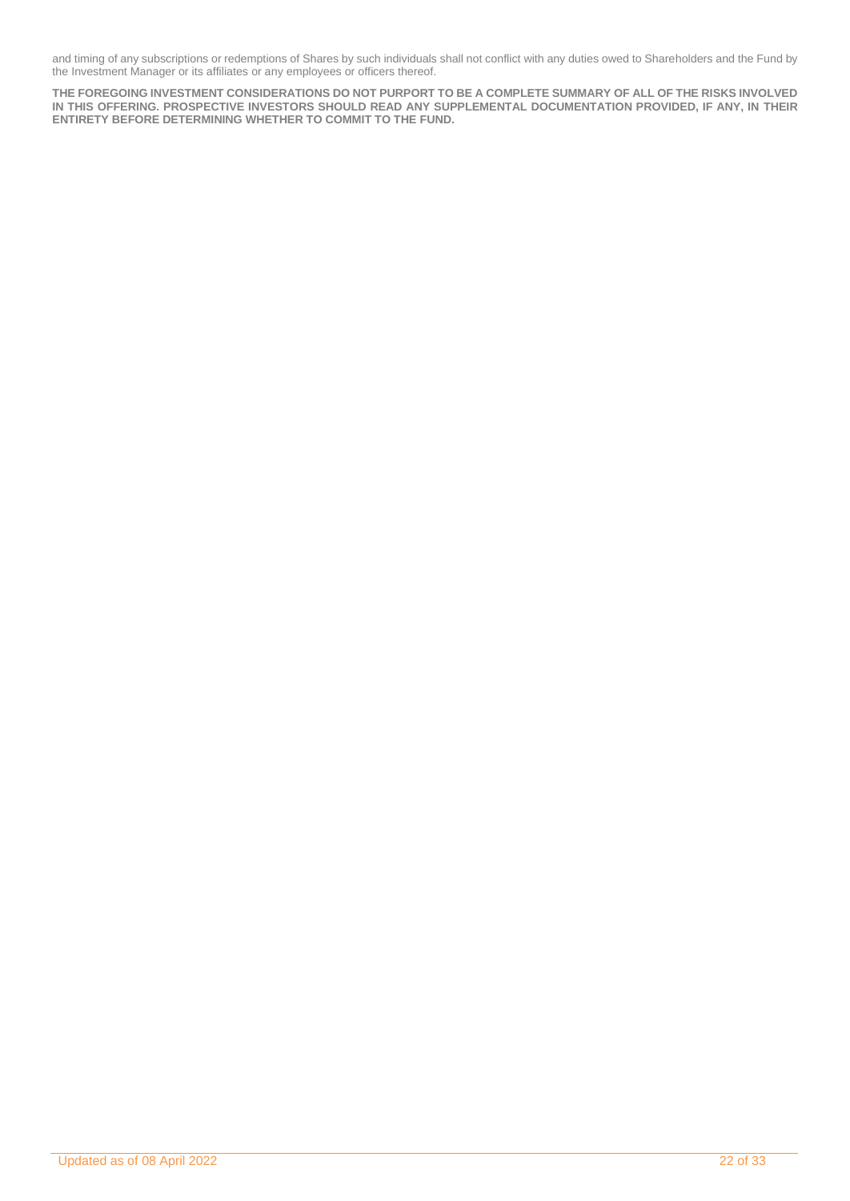and timing of any subscriptions or redemptions of Shares by such individuals shall not conflict with any duties owed to Shareholders and the Fund by the Investment Manager or its affiliates or any employees or officers thereof.

**THE FOREGOING INVESTMENT CONSIDERATIONS DO NOT PURPORT TO BE A COMPLETE SUMMARY OF ALL OF THE RISKS INVOLVED IN THIS OFFERING. PROSPECTIVE INVESTORS SHOULD READ ANY SUPPLEMENTAL DOCUMENTATION PROVIDED, IF ANY, IN THEIR ENTIRETY BEFORE DETERMINING WHETHER TO COMMIT TO THE FUND.**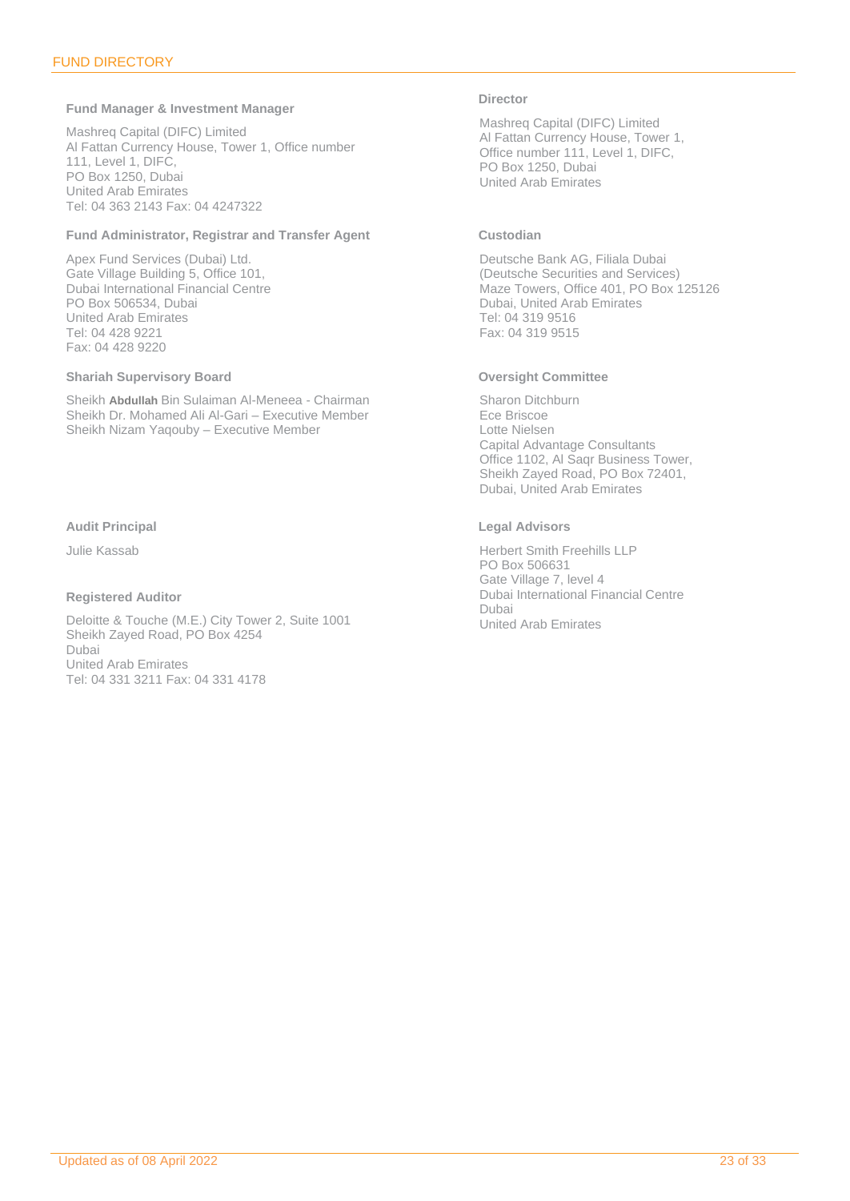### <span id="page-22-0"></span>**Fund Manager & Investment Manager**

Mashreq Capital (DIFC) Limited Al Fattan Currency House, Tower 1, Office number 111, Level 1, DIFC, PO Box 1250, Dubai United Arab Emirates Tel: 04 363 2143 Fax: 04 4247322

### **Fund Administrator, Registrar and Transfer Agent**

Apex Fund Services (Dubai) Ltd. Gate Village Building 5, Office 101, Dubai International Financial Centre PO Box 506534, Dubai United Arab Emirates Tel: 04 428 9221 Fax: 04 428 9220

### **Shariah Supervisory Board**

Sheikh **Abdullah** Bin Sulaiman Al-Meneea - Chairman Sheikh Dr. Mohamed Ali Al-Gari – Executive Member Sheikh Nizam Yaqouby – Executive Member

### **Audit Principal**

Julie Kassab

### **Registered Auditor**

Deloitte & Touche (M.E.) City Tower 2, Suite 1001 Sheikh Zayed Road, PO Box 4254 Dubai United Arab Emirates Tel: 04 331 3211 Fax: 04 331 4178

### **Director**

Mashreq Capital (DIFC) Limited Al Fattan Currency House, Tower 1, Office number 111, Level 1, DIFC, PO Box 1250, Dubai United Arab Emirates

### **Custodian**

Deutsche Bank AG, Filiala Dubai (Deutsche Securities and Services) Maze Towers, Office 401, PO Box 125126 Dubai, United Arab Emirates Tel: 04 319 9516 Fax: 04 319 9515

### **Oversight Committee**

Sharon Ditchburn Ece Briscoe Lotte Nielsen Capital Advantage Consultants Office 1102, Al Saqr Business Tower, Sheikh Zayed Road, PO Box 72401, Dubai, United Arab Emirates

### **Legal Advisors**

Herbert Smith Freehills LLP PO Box 506631 Gate Village 7, level 4 Dubai International Financial Centre Dubai United Arab Emirates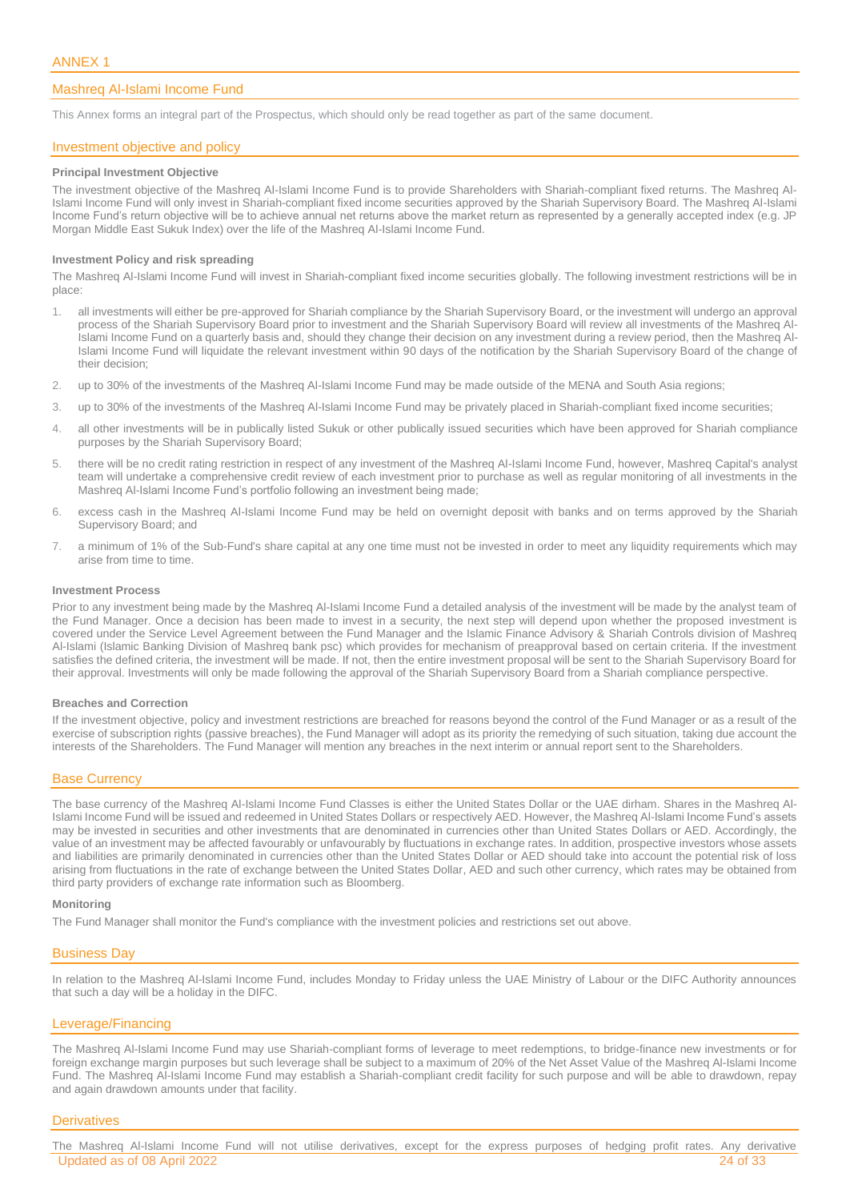### <span id="page-23-0"></span>Mashreq Al-Islami Income Fund

This Annex forms an integral part of the Prospectus, which should only be read together as part of the same document.

### Investment objective and policy

#### **Principal Investment Objective**

The investment objective of the Mashreq Al-Islami Income Fund is to provide Shareholders with Shariah-compliant fixed returns. The Mashreq Al-Islami Income Fund will only invest in Shariah-compliant fixed income securities approved by the Shariah Supervisory Board. The Mashreq Al-Islami Income Fund's return objective will be to achieve annual net returns above the market return as represented by a generally accepted index (e.g. JP Morgan Middle East Sukuk Index) over the life of the Mashreq Al-Islami Income Fund.

#### **Investment Policy and risk spreading**

The Mashreq Al-Islami Income Fund will invest in Shariah-compliant fixed income securities globally. The following investment restrictions will be in place:

- 1. all investments will either be pre-approved for Shariah compliance by the Shariah Supervisory Board, or the investment will undergo an approval process of the Shariah Supervisory Board prior to investment and the Shariah Supervisory Board will review all investments of the Mashreq Al-Islami Income Fund on a quarterly basis and, should they change their decision on any investment during a review period, then the Mashreq Al-Islami Income Fund will liquidate the relevant investment within 90 days of the notification by the Shariah Supervisory Board of the change of their decision;
- 2. up to 30% of the investments of the Mashreq Al-Islami Income Fund may be made outside of the MENA and South Asia regions;
- 3. up to 30% of the investments of the Mashreq Al-Islami Income Fund may be privately placed in Shariah-compliant fixed income securities;
- 4. all other investments will be in publically listed Sukuk or other publically issued securities which have been approved for Shariah compliance purposes by the Shariah Supervisory Board;
- 5. there will be no credit rating restriction in respect of any investment of the Mashreq Al-Islami Income Fund, however, Mashreq Capital's analyst team will undertake a comprehensive credit review of each investment prior to purchase as well as regular monitoring of all investments in the Mashreq Al-Islami Income Fund's portfolio following an investment being made;
- 6. excess cash in the Mashreq Al-Islami Income Fund may be held on overnight deposit with banks and on terms approved by the Shariah Supervisory Board; and
- 7. a minimum of 1% of the Sub-Fund's share capital at any one time must not be invested in order to meet any liquidity requirements which may arise from time to time.

### **Investment Process**

Prior to any investment being made by the Mashreq Al-Islami Income Fund a detailed analysis of the investment will be made by the analyst team of the Fund Manager. Once a decision has been made to invest in a security, the next step will depend upon whether the proposed investment is covered under the Service Level Agreement between the Fund Manager and the Islamic Finance Advisory & Shariah Controls division of Mashreq Al-Islami (Islamic Banking Division of Mashreq bank psc) which provides for mechanism of preapproval based on certain criteria. If the investment satisfies the defined criteria, the investment will be made. If not, then the entire investment proposal will be sent to the Shariah Supervisory Board for their approval. Investments will only be made following the approval of the Shariah Supervisory Board from a Shariah compliance perspective.

#### **Breaches and Correction**

If the investment objective, policy and investment restrictions are breached for reasons beyond the control of the Fund Manager or as a result of the exercise of subscription rights (passive breaches), the Fund Manager will adopt as its priority the remedying of such situation, taking due account the interests of the Shareholders. The Fund Manager will mention any breaches in the next interim or annual report sent to the Shareholders.

### Base Currency

The base currency of the Mashreq Al-Islami Income Fund Classes is either the United States Dollar or the UAE dirham. Shares in the Mashreq Al-Islami Income Fund will be issued and redeemed in United States Dollars or respectively AED. However, the Mashreq Al-Islami Income Fund's assets may be invested in securities and other investments that are denominated in currencies other than United States Dollars or AED. Accordingly, the value of an investment may be affected favourably or unfavourably by fluctuations in exchange rates. In addition, prospective investors whose assets and liabilities are primarily denominated in currencies other than the United States Dollar or AED should take into account the potential risk of loss arising from fluctuations in the rate of exchange between the United States Dollar, AED and such other currency, which rates may be obtained from third party providers of exchange rate information such as Bloomberg.

#### **Monitoring**

The Fund Manager shall monitor the Fund's compliance with the investment policies and restrictions set out above.

### Business Day

In relation to the Mashreq Al-Islami Income Fund, includes Monday to Friday unless the UAE Ministry of Labour or the DIFC Authority announces that such a day will be a holiday in the DIFC.

### Leverage/Financing

The Mashreq Al-Islami Income Fund may use Shariah-compliant forms of leverage to meet redemptions, to bridge-finance new investments or for foreign exchange margin purposes but such leverage shall be subject to a maximum of 20% of the Net Asset Value of the Mashreq Al-Islami Income Fund. The Mashreq Al-Islami Income Fund may establish a Shariah-compliant credit facility for such purpose and will be able to drawdown, repay and again drawdown amounts under that facility.

#### **Derivatives**

Updated as of 08 April 2022 24 of 33 The Mashreq Al-Islami Income Fund will not utilise derivatives, except for the express purposes of hedging profit rates. Any derivative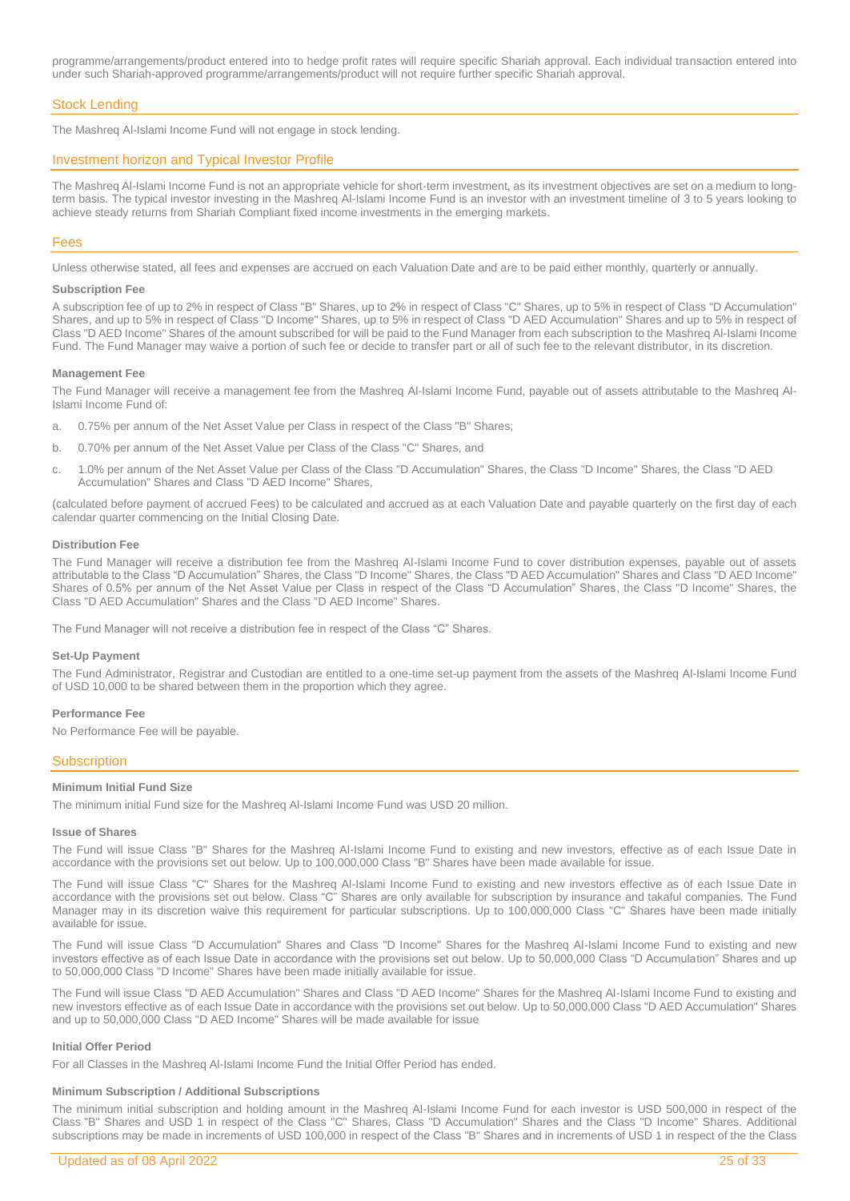programme/arrangements/product entered into to hedge profit rates will require specific Shariah approval. Each individual transaction entered into under such Shariah-approved programme/arrangements/product will not require further specific Shariah approval.

### Stock Lending

The Mashreq Al-Islami Income Fund will not engage in stock lending.

### Investment horizon and Typical Investor Profile

The Mashreq Al-Islami Income Fund is not an appropriate vehicle for short-term investment, as its investment objectives are set on a medium to longterm basis. The typical investor investing in the Mashreq Al-Islami Income Fund is an investor with an investment timeline of 3 to 5 years looking to achieve steady returns from Shariah Compliant fixed income investments in the emerging markets.

### Fees

Unless otherwise stated, all fees and expenses are accrued on each Valuation Date and are to be paid either monthly, quarterly or annually.

#### **Subscription Fee**

A subscription fee of up to 2% in respect of Class "B" Shares, up to 2% in respect of Class "C" Shares, up to 5% in respect of Class "D Accumulation" Shares, and up to 5% in respect of Class "D Income" Shares, up to 5% in respect of Class "D AED Accumulation" Shares and up to 5% in respect of Class "D AED Income" Shares of the amount subscribed for will be paid to the Fund Manager from each subscription to the Mashreq Al-Islami Income Fund. The Fund Manager may waive a portion of such fee or decide to transfer part or all of such fee to the relevant distributor, in its discretion.

#### **Management Fee**

The Fund Manager will receive a management fee from the Mashreq Al-Islami Income Fund, payable out of assets attributable to the Mashreq Al-Islami Income Fund of:

- a. 0.75% per annum of the Net Asset Value per Class in respect of the Class "B" Shares;
- b. 0.70% per annum of the Net Asset Value per Class of the Class "C" Shares, and
- c. 1.0% per annum of the Net Asset Value per Class of the Class "D Accumulation" Shares, the Class "D Income" Shares, the Class "D AED Accumulation" Shares and Class "D AED Income" Shares,

(calculated before payment of accrued Fees) to be calculated and accrued as at each Valuation Date and payable quarterly on the first day of each calendar quarter commencing on the Initial Closing Date.

### **Distribution Fee**

The Fund Manager will receive a distribution fee from the Mashreq Al-Islami Income Fund to cover distribution expenses, payable out of assets attributable to the Class "D Accumulation" Shares, the Class "D Income" Shares, the Class "D AED Accumulation" Shares and Class "D AED Income" Shares of 0.5% per annum of the Net Asset Value per Class in respect of the Class "D Accumulation" Shares, the Class "D Income" Shares, the Class "D AED Accumulation" Shares and the Class "D AED Income" Shares.

The Fund Manager will not receive a distribution fee in respect of the Class "C" Shares.

### **Set-Up Payment**

The Fund Administrator, Registrar and Custodian are entitled to a one-time set-up payment from the assets of the Mashreq Al-Islami Income Fund of USD 10,000 to be shared between them in the proportion which they agree.

### **Performance Fee**

No Performance Fee will be payable.

### **Subscription**

### **Minimum Initial Fund Size**

The minimum initial Fund size for the Mashreq Al-Islami Income Fund was USD 20 million.

### **Issue of Shares**

The Fund will issue Class "B" Shares for the Mashreq Al-Islami Income Fund to existing and new investors, effective as of each Issue Date in accordance with the provisions set out below. Up to 100,000,000 Class "B" Shares have been made available for issue.

The Fund will issue Class "C" Shares for the Mashreq Al-Islami Income Fund to existing and new investors effective as of each Issue Date in accordance with the provisions set out below. Class "C" Shares are only available for subscription by insurance and takaful companies. The Fund Manager may in its discretion waive this requirement for particular subscriptions. Up to 100,000,000 Class "C" Shares have been made initially available for issue.

The Fund will issue Class "D Accumulation" Shares and Class "D Income" Shares for the Mashreq Al-Islami Income Fund to existing and new investors effective as of each Issue Date in accordance with the provisions set out below. Up to 50,000,000 Class "D Accumulation" Shares and up to 50,000,000 Class "D Income" Shares have been made initially available for issue.

The Fund will issue Class "D AED Accumulation" Shares and Class "D AED Income" Shares for the Mashreq Al-Islami Income Fund to existing and new investors effective as of each Issue Date in accordance with the provisions set out below. Up to 50,000,000 Class "D AED Accumulation" Shares and up to 50,000,000 Class "D AED Income" Shares will be made available for issue

### **Initial Offer Period**

For all Classes in the Mashreq Al-Islami Income Fund the Initial Offer Period has ended.

### **Minimum Subscription / Additional Subscriptions**

The minimum initial subscription and holding amount in the Mashreq Al-Islami Income Fund for each investor is USD 500,000 in respect of the Class "B" Shares and USD 1 in respect of the Class "C" Shares, Class "D Accumulation" Shares and the Class "D Income" Shares. Additional subscriptions may be made in increments of USD 100,000 in respect of the Class "B" Shares and in increments of USD 1 in respect of the the Class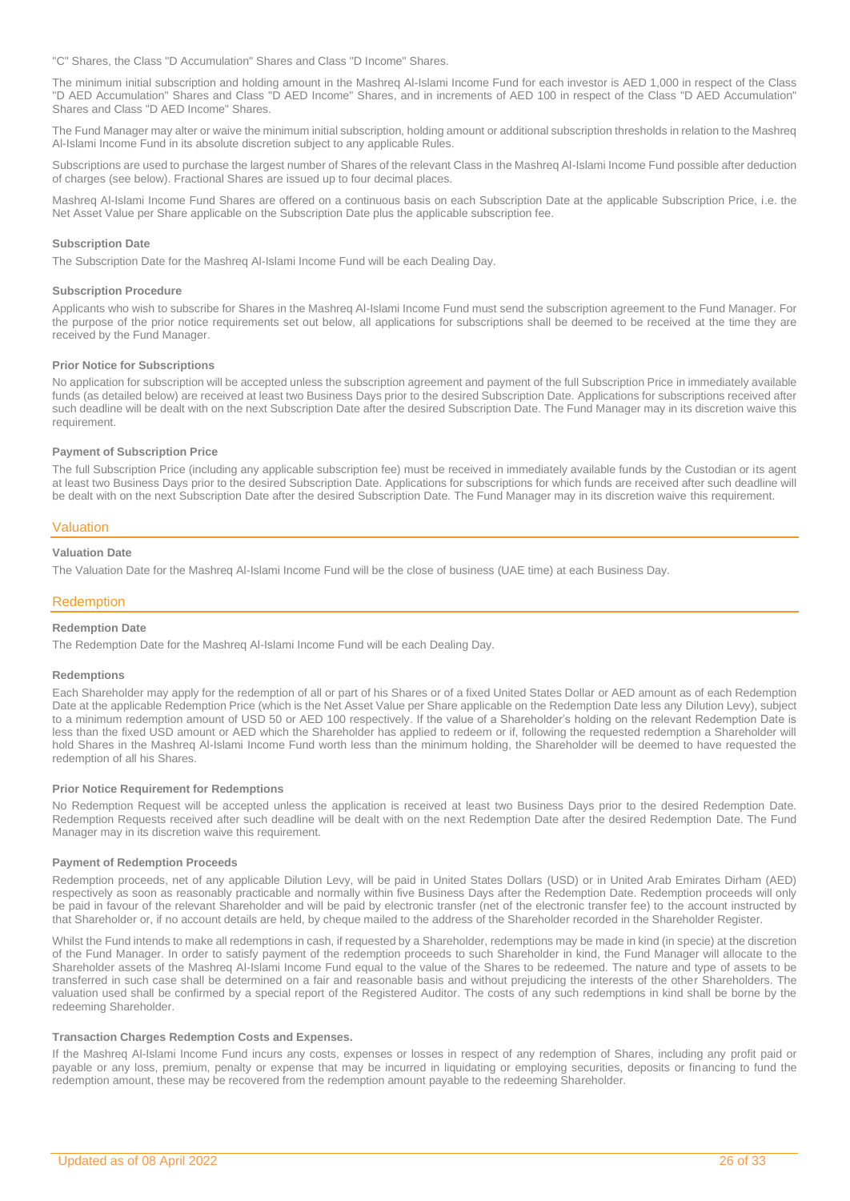"C" Shares, the Class "D Accumulation" Shares and Class "D Income" Shares.

The minimum initial subscription and holding amount in the Mashreq Al-Islami Income Fund for each investor is AED 1,000 in respect of the Class "D AED Accumulation" Shares and Class "D AED Income" Shares, and in increments of AED 100 in respect of the Class "D AED Accumulation" Shares and Class "D AED Income" Shares.

The Fund Manager may alter or waive the minimum initial subscription, holding amount or additional subscription thresholds in relation to the Mashreq Al-Islami Income Fund in its absolute discretion subject to any applicable Rules.

Subscriptions are used to purchase the largest number of Shares of the relevant Class in the Mashreq Al-Islami Income Fund possible after deduction of charges (see below). Fractional Shares are issued up to four decimal places.

Mashreq Al-Islami Income Fund Shares are offered on a continuous basis on each Subscription Date at the applicable Subscription Price, i.e. the Net Asset Value per Share applicable on the Subscription Date plus the applicable subscription fee.

### **Subscription Date**

The Subscription Date for the Mashreq Al-Islami Income Fund will be each Dealing Day.

### **Subscription Procedure**

Applicants who wish to subscribe for Shares in the Mashreq Al-Islami Income Fund must send the subscription agreement to the Fund Manager. For the purpose of the prior notice requirements set out below, all applications for subscriptions shall be deemed to be received at the time they are received by the Fund Manager.

### **Prior Notice for Subscriptions**

No application for subscription will be accepted unless the subscription agreement and payment of the full Subscription Price in immediately available funds (as detailed below) are received at least two Business Days prior to the desired Subscription Date. Applications for subscriptions received after such deadline will be dealt with on the next Subscription Date after the desired Subscription Date. The Fund Manager may in its discretion waive this requirement.

#### **Payment of Subscription Price**

The full Subscription Price (including any applicable subscription fee) must be received in immediately available funds by the Custodian or its agent at least two Business Days prior to the desired Subscription Date. Applications for subscriptions for which funds are received after such deadline will be dealt with on the next Subscription Date after the desired Subscription Date. The Fund Manager may in its discretion waive this requirement.

### Valuation

### **Valuation Date**

The Valuation Date for the Mashreq Al-Islami Income Fund will be the close of business (UAE time) at each Business Day.

### Redemption

### **Redemption Date**

The Redemption Date for the Mashreq Al-Islami Income Fund will be each Dealing Day.

#### **Redemptions**

Each Shareholder may apply for the redemption of all or part of his Shares or of a fixed United States Dollar or AED amount as of each Redemption Date at the applicable Redemption Price (which is the Net Asset Value per Share applicable on the Redemption Date less any Dilution Levy), subject to a minimum redemption amount of USD 50 or AED 100 respectively. If the value of a Shareholder's holding on the relevant Redemption Date is less than the fixed USD amount or AED which the Shareholder has applied to redeem or if, following the requested redemption a Shareholder will hold Shares in the Mashreq Al-Islami Income Fund worth less than the minimum holding, the Shareholder will be deemed to have requested the redemption of all his Shares.

### **Prior Notice Requirement for Redemptions**

No Redemption Request will be accepted unless the application is received at least two Business Days prior to the desired Redemption Date. Redemption Requests received after such deadline will be dealt with on the next Redemption Date after the desired Redemption Date. The Fund Manager may in its discretion waive this requirement.

#### **Payment of Redemption Proceeds**

Redemption proceeds, net of any applicable Dilution Levy, will be paid in United States Dollars (USD) or in United Arab Emirates Dirham (AED) respectively as soon as reasonably practicable and normally within five Business Days after the Redemption Date. Redemption proceeds will only be paid in favour of the relevant Shareholder and will be paid by electronic transfer (net of the electronic transfer fee) to the account instructed by that Shareholder or, if no account details are held, by cheque mailed to the address of the Shareholder recorded in the Shareholder Register.

Whilst the Fund intends to make all redemptions in cash, if requested by a Shareholder, redemptions may be made in kind (in specie) at the discretion of the Fund Manager. In order to satisfy payment of the redemption proceeds to such Shareholder in kind, the Fund Manager will allocate to the Shareholder assets of the Mashreq Al-Islami Income Fund equal to the value of the Shares to be redeemed. The nature and type of assets to be transferred in such case shall be determined on a fair and reasonable basis and without prejudicing the interests of the other Shareholders. The valuation used shall be confirmed by a special report of the Registered Auditor. The costs of any such redemptions in kind shall be borne by the redeeming Shareholder.

### **Transaction Charges Redemption Costs and Expenses.**

If the Mashreq Al-Islami Income Fund incurs any costs, expenses or losses in respect of any redemption of Shares, including any profit paid or payable or any loss, premium, penalty or expense that may be incurred in liquidating or employing securities, deposits or financing to fund the redemption amount, these may be recovered from the redemption amount payable to the redeeming Shareholder.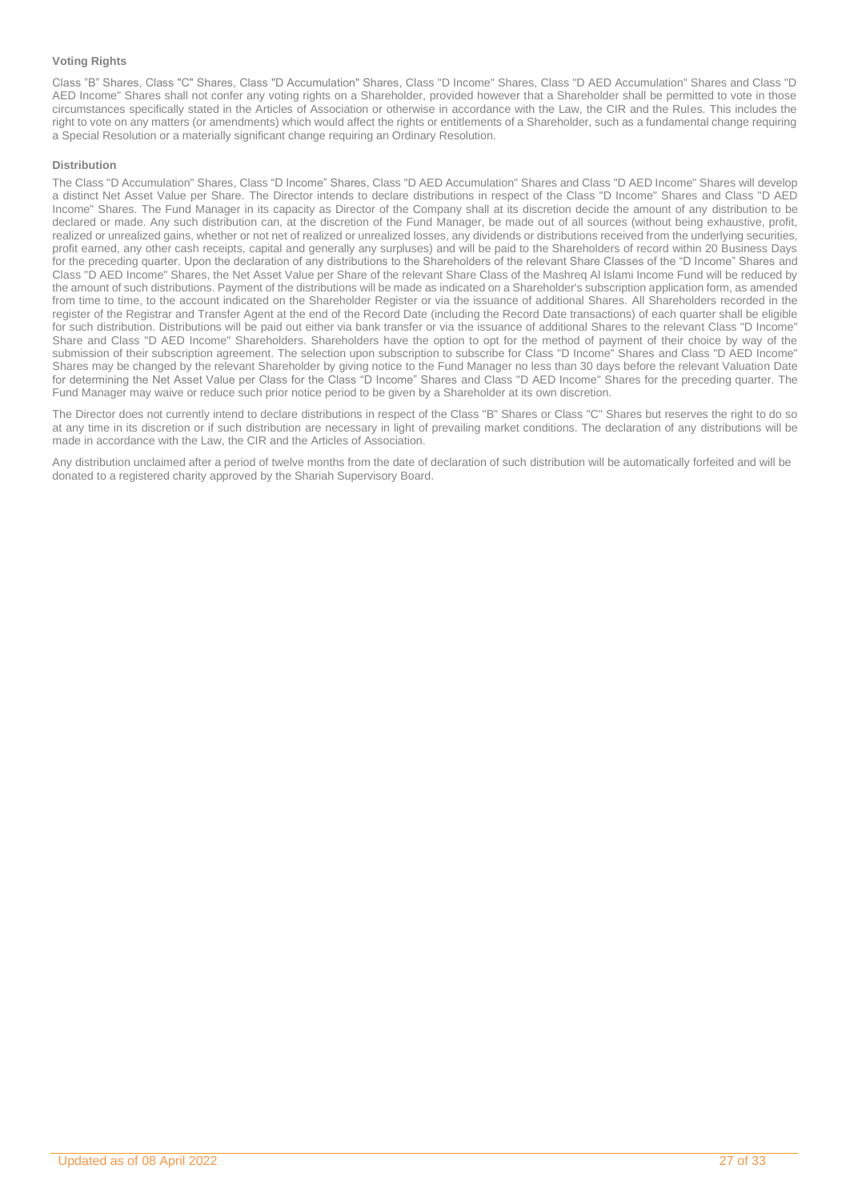### **Voting Rights**

Class "B" Shares, Class "C" Shares, Class "D Accumulation" Shares, Class "D Income" Shares, Class "D AED Accumulation" Shares and Class "D AED Income" Shares shall not confer any voting rights on a Shareholder, provided however that a Shareholder shall be permitted to vote in those circumstances specifically stated in the Articles of Association or otherwise in accordance with the Law, the CIR and the Rules. This includes the right to vote on any matters (or amendments) which would affect the rights or entitlements of a Shareholder, such as a fundamental change requiring a Special Resolution or a materially significant change requiring an Ordinary Resolution.

### **Distribution**

The Class "D Accumulation" Shares, Class "D Income" Shares, Class "D AED Accumulation" Shares and Class "D AED Income" Shares will develop a distinct Net Asset Value per Share. The Director intends to declare distributions in respect of the Class "D Income" Shares and Class "D AED Income" Shares. The Fund Manager in its capacity as Director of the Company shall at its discretion decide the amount of any distribution to be declared or made. Any such distribution can, at the discretion of the Fund Manager, be made out of all sources (without being exhaustive, profit, realized or unrealized gains, whether or not net of realized or unrealized losses, any dividends or distributions received from the underlying securities, profit earned, any other cash receipts, capital and generally any surpluses) and will be paid to the Shareholders of record within 20 Business Days for the preceding quarter. Upon the declaration of any distributions to the Shareholders of the relevant Share Classes of the "D Income" Shares and Class "D AED Income" Shares, the Net Asset Value per Share of the relevant Share Class of the Mashreq Al Islami Income Fund will be reduced by the amount of such distributions. Payment of the distributions will be made as indicated on a Shareholder's subscription application form, as amended from time to time, to the account indicated on the Shareholder Register or via the issuance of additional Shares. All Shareholders recorded in the register of the Registrar and Transfer Agent at the end of the Record Date (including the Record Date transactions) of each quarter shall be eligible for such distribution. Distributions will be paid out either via bank transfer or via the issuance of additional Shares to the relevant Class "D Income" Share and Class "D AED Income" Shareholders. Shareholders have the option to opt for the method of payment of their choice by way of the submission of their subscription agreement. The selection upon subscription to subscribe for Class "D Income" Shares and Class "D AED Income" Shares may be changed by the relevant Shareholder by giving notice to the Fund Manager no less than 30 days before the relevant Valuation Date for determining the Net Asset Value per Class for the Class "D Income" Shares and Class "D AED Income" Shares for the preceding quarter. The Fund Manager may waive or reduce such prior notice period to be given by a Shareholder at its own discretion.

The Director does not currently intend to declare distributions in respect of the Class "B" Shares or Class "C" Shares but reserves the right to do so at any time in its discretion or if such distribution are necessary in light of prevailing market conditions. The declaration of any distributions will be made in accordance with the Law, the CIR and the Articles of Association.

Any distribution unclaimed after a period of twelve months from the date of declaration of such distribution will be automatically forfeited and will be donated to a registered charity approved by the Shariah Supervisory Board.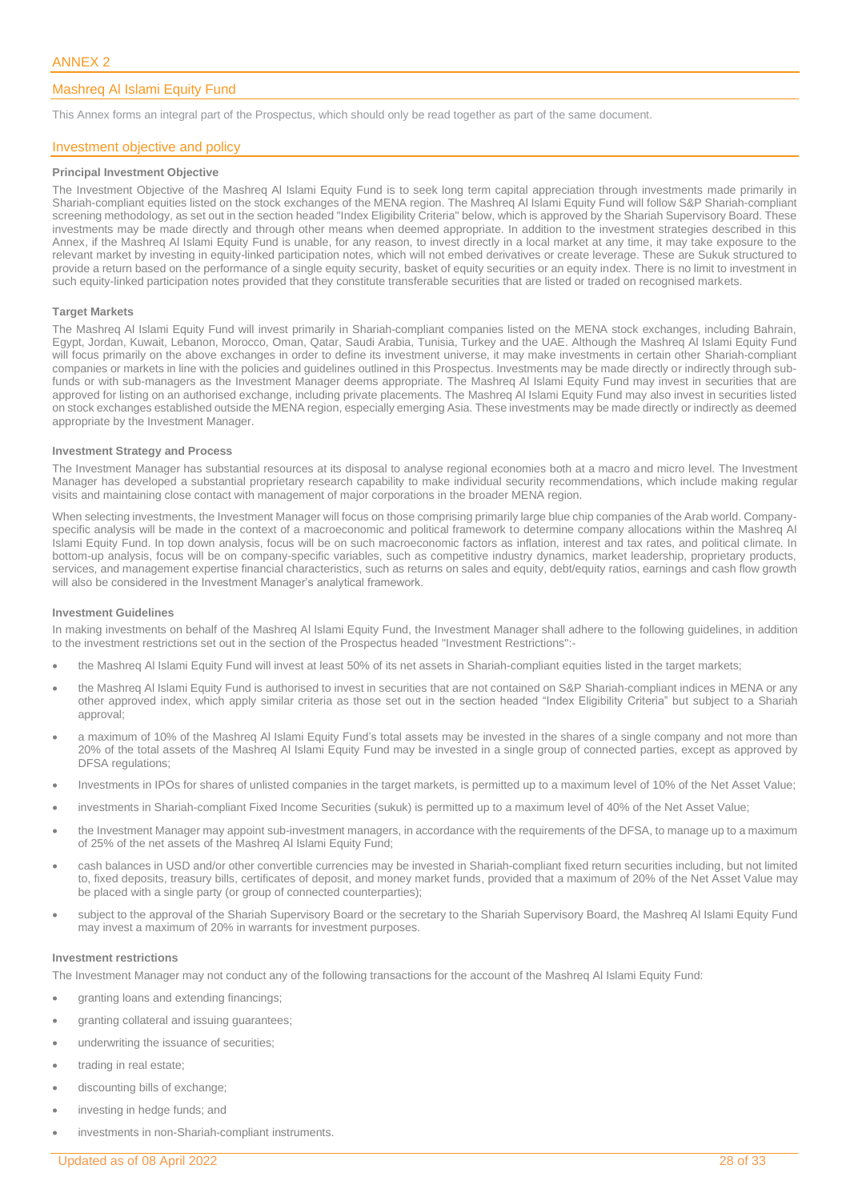### <span id="page-27-0"></span>Mashreq Al Islami Equity Fund

This Annex forms an integral part of the Prospectus, which should only be read together as part of the same document.

### Investment objective and policy

### **Principal Investment Objective**

The Investment Objective of the Mashreq Al Islami Equity Fund is to seek long term capital appreciation through investments made primarily in Shariah-compliant equities listed on the stock exchanges of the MENA region. The Mashreq Al Islami Equity Fund will follow S&P Shariah-compliant screening methodology, as set out in the section headed "Index Eligibility Criteria" below, which is approved by the Shariah Supervisory Board. These investments may be made directly and through other means when deemed appropriate. In addition to the investment strategies described in this Annex, if the Mashreq Al Islami Equity Fund is unable, for any reason, to invest directly in a local market at any time, it may take exposure to the relevant market by investing in equity-linked participation notes, which will not embed derivatives or create leverage. These are Sukuk structured to provide a return based on the performance of a single equity security, basket of equity securities or an equity index. There is no limit to investment in such equity-linked participation notes provided that they constitute transferable securities that are listed or traded on recognised markets.

### **Target Markets**

The Mashreq Al Islami Equity Fund will invest primarily in Shariah-compliant companies listed on the MENA stock exchanges, including Bahrain, Egypt, Jordan, Kuwait, Lebanon, Morocco, Oman, Qatar, Saudi Arabia, Tunisia, Turkey and the UAE. Although the Mashreq Al Islami Equity Fund will focus primarily on the above exchanges in order to define its investment universe, it may make investments in certain other Shariah-compliant companies or markets in line with the policies and guidelines outlined in this Prospectus. Investments may be made directly or indirectly through subfunds or with sub-managers as the Investment Manager deems appropriate. The Mashreq Al Islami Equity Fund may invest in securities that are approved for listing on an authorised exchange, including private placements. The Mashreq Al Islami Equity Fund may also invest in securities listed on stock exchanges established outside the MENA region, especially emerging Asia. These investments may be made directly or indirectly as deemed appropriate by the Investment Manager.

### **Investment Strategy and Process**

The Investment Manager has substantial resources at its disposal to analyse regional economies both at a macro and micro level. The Investment Manager has developed a substantial proprietary research capability to make individual security recommendations, which include making regular visits and maintaining close contact with management of major corporations in the broader MENA region.

When selecting investments, the Investment Manager will focus on those comprising primarily large blue chip companies of the Arab world. Companyspecific analysis will be made in the context of a macroeconomic and political framework to determine company allocations within the Mashreq Al Islami Equity Fund. In top down analysis, focus will be on such macroeconomic factors as inflation, interest and tax rates, and political climate. In bottom-up analysis, focus will be on company-specific variables, such as competitive industry dynamics, market leadership, proprietary products, services, and management expertise financial characteristics, such as returns on sales and equity, debt/equity ratios, earnings and cash flow growth will also be considered in the Investment Manager's analytical framework.

### **Investment Guidelines**

In making investments on behalf of the Mashreq Al Islami Equity Fund, the Investment Manager shall adhere to the following guidelines, in addition to the investment restrictions set out in the section of the Prospectus headed "Investment Restrictions":-

- the Mashreq Al Islami Equity Fund will invest at least 50% of its net assets in Shariah-compliant equities listed in the target markets;
- the Mashreq Al Islami Equity Fund is authorised to invest in securities that are not contained on S&P Shariah-compliant indices in MENA or any other approved index, which apply similar criteria as those set out in the section headed "Index Eligibility Criteria" but subject to a Shariah approval;
- a maximum of 10% of the Mashreq Al Islami Equity Fund's total assets may be invested in the shares of a single company and not more than 20% of the total assets of the Mashreq Al Islami Equity Fund may be invested in a single group of connected parties, except as approved by DFSA regulations;
- Investments in IPOs for shares of unlisted companies in the target markets, is permitted up to a maximum level of 10% of the Net Asset Value;
- investments in Shariah-compliant Fixed Income Securities (sukuk) is permitted up to a maximum level of 40% of the Net Asset Value;
- the Investment Manager may appoint sub-investment managers, in accordance with the requirements of the DFSA, to manage up to a maximum of 25% of the net assets of the Mashreq Al Islami Equity Fund;
- cash balances in USD and/or other convertible currencies may be invested in Shariah-compliant fixed return securities including, but not limited to, fixed deposits, treasury bills, certificates of deposit, and money market funds, provided that a maximum of 20% of the Net Asset Value may be placed with a single party (or group of connected counterparties);
- subject to the approval of the Shariah Supervisory Board or the secretary to the Shariah Supervisory Board, the Mashreq Al Islami Equity Fund may invest a maximum of 20% in warrants for investment purposes.

### **Investment restrictions**

The Investment Manager may not conduct any of the following transactions for the account of the Mashreq Al Islami Equity Fund:

- granting loans and extending financings;
- granting collateral and issuing guarantees;
- underwriting the issuance of securities;
- trading in real estate;
- discounting bills of exchange;
- investing in hedge funds; and
- investments in non-Shariah-compliant instruments.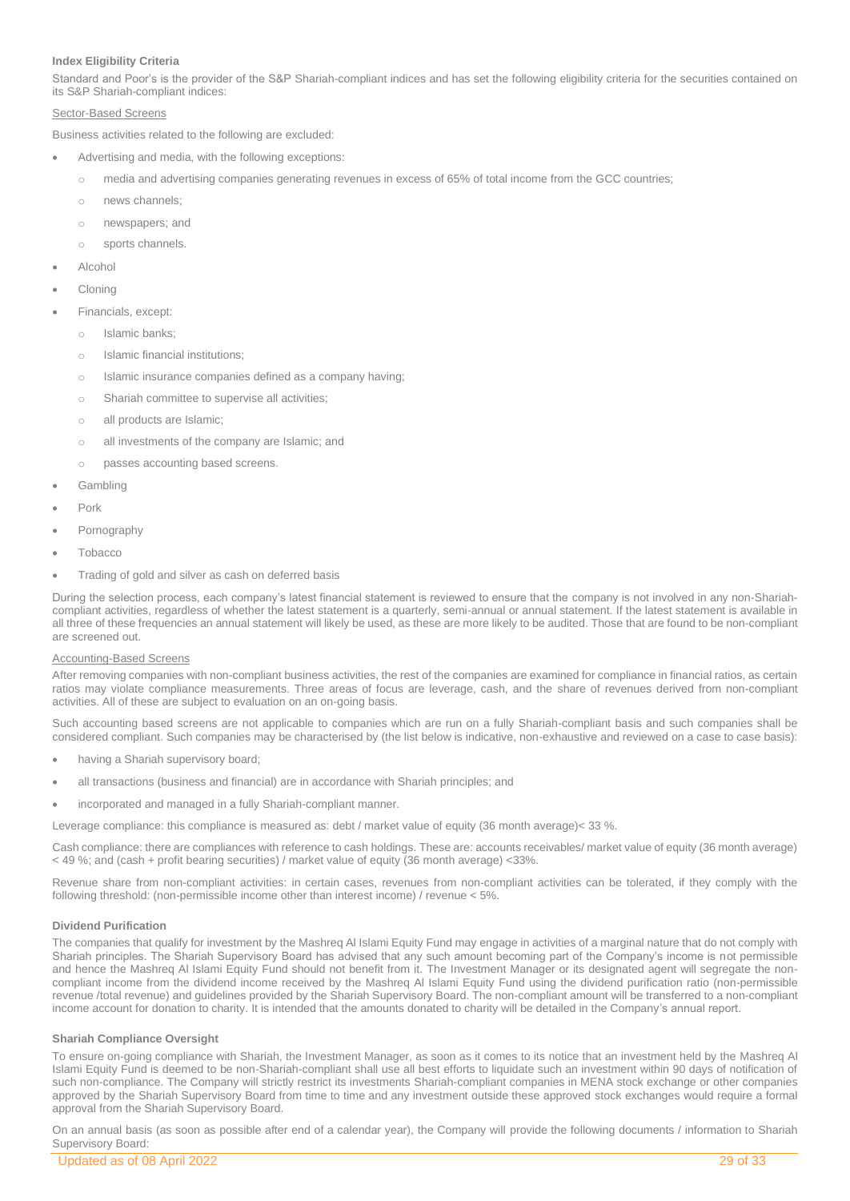### **Index Eligibility Criteria**

Standard and Poor's is the provider of the S&P Shariah-compliant indices and has set the following eligibility criteria for the securities contained on its S&P Shariah-compliant indices:

### Sector-Based Screens

Business activities related to the following are excluded:

- Advertising and media, with the following exceptions:
	- o media and advertising companies generating revenues in excess of 65% of total income from the GCC countries;
	- o news channels;
	- o newspapers; and
	- o sports channels.
- Alcohol
- **Cloning**
- Financials, except:
	- o Islamic banks;
	- o Islamic financial institutions;
	- o Islamic insurance companies defined as a company having;
	- o Shariah committee to supervise all activities;
	- o all products are Islamic;
	- o all investments of the company are Islamic; and
	- o passes accounting based screens.
- Gambling
- Pork
- Pornography
- **Tobacco**
- Trading of gold and silver as cash on deferred basis

During the selection process, each company's latest financial statement is reviewed to ensure that the company is not involved in any non-Shariahcompliant activities, regardless of whether the latest statement is a quarterly, semi-annual or annual statement. If the latest statement is available in all three of these frequencies an annual statement will likely be used, as these are more likely to be audited. Those that are found to be non-compliant are screened out.

### Accounting-Based Screens

After removing companies with non-compliant business activities, the rest of the companies are examined for compliance in financial ratios, as certain ratios may violate compliance measurements. Three areas of focus are leverage, cash, and the share of revenues derived from non-compliant activities. All of these are subject to evaluation on an on-going basis.

Such accounting based screens are not applicable to companies which are run on a fully Shariah-compliant basis and such companies shall be considered compliant. Such companies may be characterised by (the list below is indicative, non-exhaustive and reviewed on a case to case basis):

- having a Shariah supervisory board;
- all transactions (business and financial) are in accordance with Shariah principles; and
- incorporated and managed in a fully Shariah-compliant manner.

Leverage compliance: this compliance is measured as: debt / market value of equity (36 month average)< 33 %.

Cash compliance: there are compliances with reference to cash holdings. These are: accounts receivables/ market value of equity (36 month average) < 49 %; and (cash + profit bearing securities) / market value of equity (36 month average) <33%.

Revenue share from non-compliant activities: in certain cases, revenues from non-compliant activities can be tolerated, if they comply with the following threshold: (non-permissible income other than interest income) / revenue < 5%.

### **Dividend Purification**

The companies that qualify for investment by the Mashreq Al Islami Equity Fund may engage in activities of a marginal nature that do not comply with Shariah principles. The Shariah Supervisory Board has advised that any such amount becoming part of the Company's income is not permissible and hence the Mashreq Al Islami Equity Fund should not benefit from it. The Investment Manager or its designated agent will segregate the noncompliant income from the dividend income received by the Mashreq Al Islami Equity Fund using the dividend purification ratio (non-permissible revenue /total revenue) and guidelines provided by the Shariah Supervisory Board. The non-compliant amount will be transferred to a non-compliant income account for donation to charity. It is intended that the amounts donated to charity will be detailed in the Company's annual report.

### **Shariah Compliance Oversight**

To ensure on-going compliance with Shariah, the Investment Manager, as soon as it comes to its notice that an investment held by the Mashreq Al Islami Equity Fund is deemed to be non-Shariah-compliant shall use all best efforts to liquidate such an investment within 90 days of notification of such non-compliance. The Company will strictly restrict its investments Shariah-compliant companies in MENA stock exchange or other companies approved by the Shariah Supervisory Board from time to time and any investment outside these approved stock exchanges would require a formal approval from the Shariah Supervisory Board.

On an annual basis (as soon as possible after end of a calendar year), the Company will provide the following documents / information to Shariah Supervisory Board: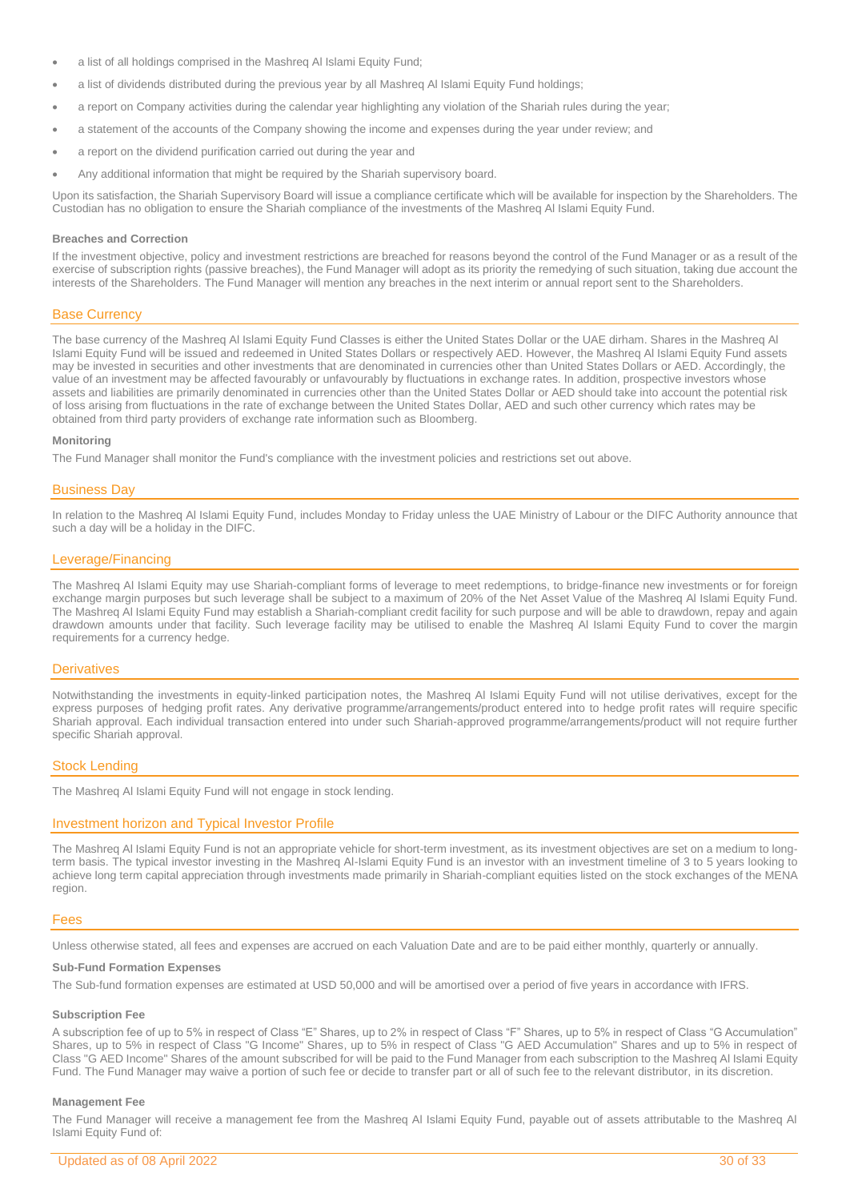- a list of all holdings comprised in the Mashreq Al Islami Equity Fund;
- a list of dividends distributed during the previous year by all Mashreq Al Islami Equity Fund holdings;
- a report on Company activities during the calendar year highlighting any violation of the Shariah rules during the year;
- a statement of the accounts of the Company showing the income and expenses during the year under review; and
- a report on the dividend purification carried out during the year and
- Any additional information that might be required by the Shariah supervisory board.

Upon its satisfaction, the Shariah Supervisory Board will issue a compliance certificate which will be available for inspection by the Shareholders. The Custodian has no obligation to ensure the Shariah compliance of the investments of the Mashreq Al Islami Equity Fund.

### **Breaches and Correction**

If the investment objective, policy and investment restrictions are breached for reasons beyond the control of the Fund Manager or as a result of the exercise of subscription rights (passive breaches), the Fund Manager will adopt as its priority the remedying of such situation, taking due account the interests of the Shareholders. The Fund Manager will mention any breaches in the next interim or annual report sent to the Shareholders.

### Base Currency

The base currency of the Mashreq Al Islami Equity Fund Classes is either the United States Dollar or the UAE dirham. Shares in the Mashreq Al Islami Equity Fund will be issued and redeemed in United States Dollars or respectively AED. However, the Mashreq Al Islami Equity Fund assets may be invested in securities and other investments that are denominated in currencies other than United States Dollars or AED. Accordingly, the value of an investment may be affected favourably or unfavourably by fluctuations in exchange rates. In addition, prospective investors whose assets and liabilities are primarily denominated in currencies other than the United States Dollar or AED should take into account the potential risk of loss arising from fluctuations in the rate of exchange between the United States Dollar, AED and such other currency which rates may be obtained from third party providers of exchange rate information such as Bloomberg.

### **Monitoring**

The Fund Manager shall monitor the Fund's compliance with the investment policies and restrictions set out above.

### Business Day

In relation to the Mashreq Al Islami Equity Fund, includes Monday to Friday unless the UAE Ministry of Labour or the DIFC Authority announce that such a day will be a holiday in the DIFC.

### Leverage/Financing

The Mashreq Al Islami Equity may use Shariah-compliant forms of leverage to meet redemptions, to bridge-finance new investments or for foreign exchange margin purposes but such leverage shall be subject to a maximum of 20% of the Net Asset Value of the Mashreq Al Islami Equity Fund. The Mashreq Al Islami Equity Fund may establish a Shariah-compliant credit facility for such purpose and will be able to drawdown, repay and again drawdown amounts under that facility. Such leverage facility may be utilised to enable the Mashreq Al Islami Equity Fund to cover the margin requirements for a currency hedge.

### **Derivatives**

Notwithstanding the investments in equity-linked participation notes, the Mashreq Al Islami Equity Fund will not utilise derivatives, except for the express purposes of hedging profit rates. Any derivative programme/arrangements/product entered into to hedge profit rates will require specific Shariah approval. Each individual transaction entered into under such Shariah-approved programme/arrangements/product will not require further specific Shariah approval.

### Stock Lending

The Mashreq Al Islami Equity Fund will not engage in stock lending.

### Investment horizon and Typical Investor Profile

The Mashreq Al Islami Equity Fund is not an appropriate vehicle for short-term investment, as its investment objectives are set on a medium to longterm basis. The typical investor investing in the Mashreq Al-Islami Equity Fund is an investor with an investment timeline of 3 to 5 years looking to achieve long term capital appreciation through investments made primarily in Shariah-compliant equities listed on the stock exchanges of the MENA region.

### Fees

Unless otherwise stated, all fees and expenses are accrued on each Valuation Date and are to be paid either monthly, quarterly or annually.

### **Sub-Fund Formation Expenses**

The Sub-fund formation expenses are estimated at USD 50,000 and will be amortised over a period of five years in accordance with IFRS.

### **Subscription Fee**

A subscription fee of up to 5% in respect of Class "E" Shares, up to 2% in respect of Class "F" Shares, up to 5% in respect of Class "G Accumulation" Shares, up to 5% in respect of Class "G Income" Shares, up to 5% in respect of Class "G AED Accumulation" Shares and up to 5% in respect of Class "G AED Income" Shares of the amount subscribed for will be paid to the Fund Manager from each subscription to the Mashreq Al Islami Equity Fund. The Fund Manager may waive a portion of such fee or decide to transfer part or all of such fee to the relevant distributor, in its discretion.

### **Management Fee**

The Fund Manager will receive a management fee from the Mashreq Al Islami Equity Fund, payable out of assets attributable to the Mashreq Al Islami Equity Fund of: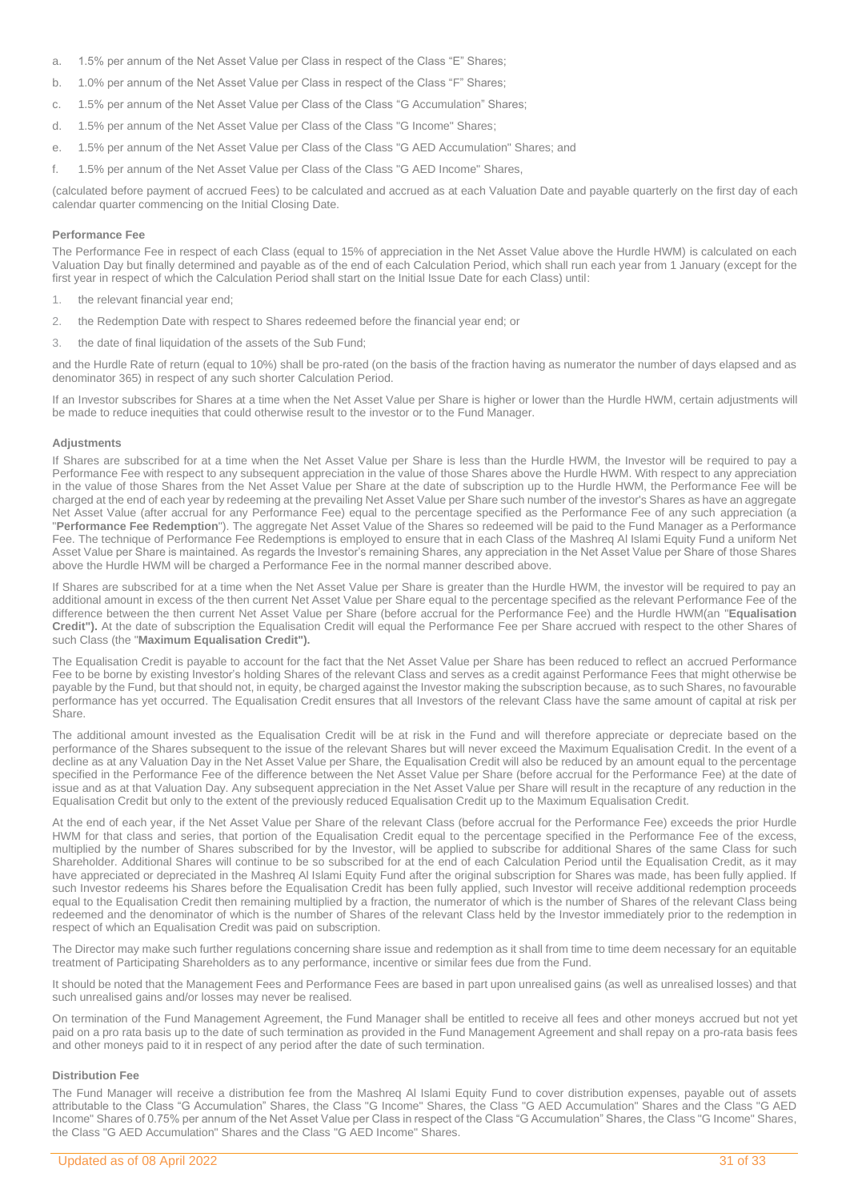- a. 1.5% per annum of the Net Asset Value per Class in respect of the Class "E" Shares;
- b. 1.0% per annum of the Net Asset Value per Class in respect of the Class "F" Shares;
- c. 1.5% per annum of the Net Asset Value per Class of the Class "G Accumulation" Shares;
- d. 1.5% per annum of the Net Asset Value per Class of the Class "G Income" Shares;
- e. 1.5% per annum of the Net Asset Value per Class of the Class "G AED Accumulation" Shares; and
- f. 1.5% per annum of the Net Asset Value per Class of the Class "G AED Income" Shares,

(calculated before payment of accrued Fees) to be calculated and accrued as at each Valuation Date and payable quarterly on the first day of each calendar quarter commencing on the Initial Closing Date.

### **Performance Fee**

The Performance Fee in respect of each Class (equal to 15% of appreciation in the Net Asset Value above the Hurdle HWM) is calculated on each Valuation Day but finally determined and payable as of the end of each Calculation Period, which shall run each year from 1 January (except for the first year in respect of which the Calculation Period shall start on the Initial Issue Date for each Class) until:

- 1. the relevant financial year end;
- 2. the Redemption Date with respect to Shares redeemed before the financial year end; or
- 3. the date of final liquidation of the assets of the Sub Fund;

and the Hurdle Rate of return (equal to 10%) shall be pro-rated (on the basis of the fraction having as numerator the number of days elapsed and as denominator 365) in respect of any such shorter Calculation Period.

If an Investor subscribes for Shares at a time when the Net Asset Value per Share is higher or lower than the Hurdle HWM, certain adjustments will be made to reduce inequities that could otherwise result to the investor or to the Fund Manager.

#### **Adjustments**

If Shares are subscribed for at a time when the Net Asset Value per Share is less than the Hurdle HWM, the Investor will be required to pay a Performance Fee with respect to any subsequent appreciation in the value of those Shares above the Hurdle HWM. With respect to any appreciation in the value of those Shares from the Net Asset Value per Share at the date of subscription up to the Hurdle HWM, the Performance Fee will be charged at the end of each year by redeeming at the prevailing Net Asset Value per Share such number of the investor's Shares as have an aggregate Net Asset Value (after accrual for any Performance Fee) equal to the percentage specified as the Performance Fee of any such appreciation (a "**Performance Fee Redemption**"). The aggregate Net Asset Value of the Shares so redeemed will be paid to the Fund Manager as a Performance Fee. The technique of Performance Fee Redemptions is employed to ensure that in each Class of the Mashreq Al Islami Equity Fund a uniform Net Asset Value per Share is maintained. As regards the Investor's remaining Shares, any appreciation in the Net Asset Value per Share of those Shares above the Hurdle HWM will be charged a Performance Fee in the normal manner described above.

If Shares are subscribed for at a time when the Net Asset Value per Share is greater than the Hurdle HWM, the investor will be required to pay an additional amount in excess of the then current Net Asset Value per Share equal to the percentage specified as the relevant Performance Fee of the difference between the then current Net Asset Value per Share (before accrual for the Performance Fee) and the Hurdle HWM(an "**Equalisation Credit").** At the date of subscription the Equalisation Credit will equal the Performance Fee per Share accrued with respect to the other Shares of such Class (the "**Maximum Equalisation Credit").**

The Equalisation Credit is payable to account for the fact that the Net Asset Value per Share has been reduced to reflect an accrued Performance Fee to be borne by existing Investor's holding Shares of the relevant Class and serves as a credit against Performance Fees that might otherwise be payable by the Fund, but that should not, in equity, be charged against the Investor making the subscription because, as to such Shares, no favourable performance has yet occurred. The Equalisation Credit ensures that all Investors of the relevant Class have the same amount of capital at risk per Share.

The additional amount invested as the Equalisation Credit will be at risk in the Fund and will therefore appreciate or depreciate based on the performance of the Shares subsequent to the issue of the relevant Shares but will never exceed the Maximum Equalisation Credit. In the event of a decline as at any Valuation Day in the Net Asset Value per Share, the Equalisation Credit will also be reduced by an amount equal to the percentage specified in the Performance Fee of the difference between the Net Asset Value per Share (before accrual for the Performance Fee) at the date of issue and as at that Valuation Day. Any subsequent appreciation in the Net Asset Value per Share will result in the recapture of any reduction in the Equalisation Credit but only to the extent of the previously reduced Equalisation Credit up to the Maximum Equalisation Credit.

At the end of each year, if the Net Asset Value per Share of the relevant Class (before accrual for the Performance Fee) exceeds the prior Hurdle HWM for that class and series, that portion of the Equalisation Credit equal to the percentage specified in the Performance Fee of the excess, multiplied by the number of Shares subscribed for by the Investor, will be applied to subscribe for additional Shares of the same Class for such Shareholder. Additional Shares will continue to be so subscribed for at the end of each Calculation Period until the Equalisation Credit, as it may have appreciated or depreciated in the Mashreq Al Islami Equity Fund after the original subscription for Shares was made, has been fully applied. If such Investor redeems his Shares before the Equalisation Credit has been fully applied, such Investor will receive additional redemption proceeds equal to the Equalisation Credit then remaining multiplied by a fraction, the numerator of which is the number of Shares of the relevant Class being redeemed and the denominator of which is the number of Shares of the relevant Class held by the Investor immediately prior to the redemption in respect of which an Equalisation Credit was paid on subscription.

The Director may make such further regulations concerning share issue and redemption as it shall from time to time deem necessary for an equitable treatment of Participating Shareholders as to any performance, incentive or similar fees due from the Fund.

It should be noted that the Management Fees and Performance Fees are based in part upon unrealised gains (as well as unrealised losses) and that such unrealised gains and/or losses may never be realised.

On termination of the Fund Management Agreement, the Fund Manager shall be entitled to receive all fees and other moneys accrued but not yet paid on a pro rata basis up to the date of such termination as provided in the Fund Management Agreement and shall repay on a pro-rata basis fees and other moneys paid to it in respect of any period after the date of such termination.

### **Distribution Fee**

The Fund Manager will receive a distribution fee from the Mashreq Al Islami Equity Fund to cover distribution expenses, payable out of assets attributable to the Class "G Accumulation" Shares, the Class "G Income" Shares, the Class "G AED Accumulation" Shares and the Class "G AED Income" Shares of 0.75% per annum of the Net Asset Value per Class in respect of the Class "G Accumulation" Shares, the Class "G Income" Shares, the Class "G AED Accumulation" Shares and the Class "G AED Income" Shares.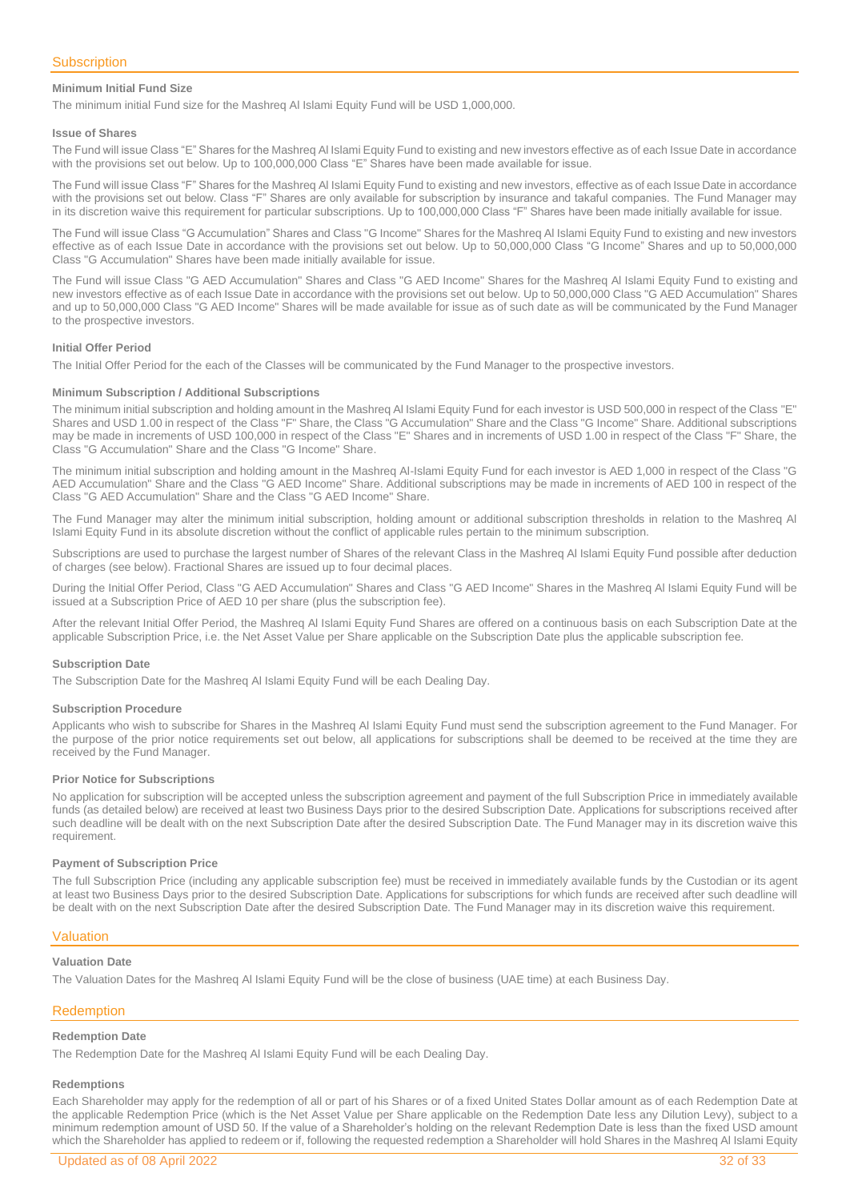### **Minimum Initial Fund Size**

The minimum initial Fund size for the Mashreq Al Islami Equity Fund will be USD 1,000,000.

#### **Issue of Shares**

The Fund will issue Class "E" Shares for the Mashreq Al Islami Equity Fund to existing and new investors effective as of each Issue Date in accordance with the provisions set out below. Up to 100,000,000 Class "E" Shares have been made available for issue.

The Fund will issue Class "F" Shares for the Mashreq Al Islami Equity Fund to existing and new investors, effective as of each Issue Date in accordance with the provisions set out below. Class "F" Shares are only available for subscription by insurance and takaful companies. The Fund Manager may in its discretion waive this requirement for particular subscriptions. Up to 100,000,000 Class "F" Shares have been made initially available for issue.

The Fund will issue Class "G Accumulation" Shares and Class "G Income" Shares for the Mashreq Al Islami Equity Fund to existing and new investors effective as of each Issue Date in accordance with the provisions set out below. Up to 50,000,000 Class "G Income" Shares and up to 50,000,000 Class "G Accumulation" Shares have been made initially available for issue.

The Fund will issue Class "G AED Accumulation" Shares and Class "G AED Income" Shares for the Mashreq Al Islami Equity Fund to existing and new investors effective as of each Issue Date in accordance with the provisions set out below. Up to 50,000,000 Class "G AED Accumulation" Shares and up to 50,000,000 Class "G AED Income" Shares will be made available for issue as of such date as will be communicated by the Fund Manager to the prospective investors.

### **Initial Offer Period**

The Initial Offer Period for the each of the Classes will be communicated by the Fund Manager to the prospective investors.

### **Minimum Subscription / Additional Subscriptions**

The minimum initial subscription and holding amount in the Mashreq Al Islami Equity Fund for each investor is USD 500,000 in respect of the Class "E" Shares and USD 1.00 in respect of the Class "F" Share, the Class "G Accumulation" Share and the Class "G Income" Share. Additional subscriptions may be made in increments of USD 100,000 in respect of the Class "E" Shares and in increments of USD 1.00 in respect of the Class "F" Share, the Class "G Accumulation" Share and the Class "G Income" Share.

The minimum initial subscription and holding amount in the Mashreq Al-Islami Equity Fund for each investor is AED 1,000 in respect of the Class "G AED Accumulation" Share and the Class "G AED Income" Share. Additional subscriptions may be made in increments of AED 100 in respect of the Class "G AED Accumulation" Share and the Class "G AED Income" Share.

The Fund Manager may alter the minimum initial subscription, holding amount or additional subscription thresholds in relation to the Mashreq Al Islami Equity Fund in its absolute discretion without the conflict of applicable rules pertain to the minimum subscription.

Subscriptions are used to purchase the largest number of Shares of the relevant Class in the Mashreq Al Islami Equity Fund possible after deduction of charges (see below). Fractional Shares are issued up to four decimal places.

During the Initial Offer Period, Class "G AED Accumulation" Shares and Class "G AED Income" Shares in the Mashreq Al Islami Equity Fund will be issued at a Subscription Price of AED 10 per share (plus the subscription fee).

After the relevant Initial Offer Period, the Mashreq Al Islami Equity Fund Shares are offered on a continuous basis on each Subscription Date at the applicable Subscription Price, i.e. the Net Asset Value per Share applicable on the Subscription Date plus the applicable subscription fee.

#### **Subscription Date**

The Subscription Date for the Mashreq Al Islami Equity Fund will be each Dealing Day.

#### **Subscription Procedure**

Applicants who wish to subscribe for Shares in the Mashreq Al Islami Equity Fund must send the subscription agreement to the Fund Manager. For the purpose of the prior notice requirements set out below, all applications for subscriptions shall be deemed to be received at the time they are received by the Fund Manager.

### **Prior Notice for Subscriptions**

No application for subscription will be accepted unless the subscription agreement and payment of the full Subscription Price in immediately available funds (as detailed below) are received at least two Business Days prior to the desired Subscription Date. Applications for subscriptions received after such deadline will be dealt with on the next Subscription Date after the desired Subscription Date. The Fund Manager may in its discretion waive this requirement.

### **Payment of Subscription Price**

The full Subscription Price (including any applicable subscription fee) must be received in immediately available funds by the Custodian or its agent at least two Business Days prior to the desired Subscription Date. Applications for subscriptions for which funds are received after such deadline will be dealt with on the next Subscription Date after the desired Subscription Date. The Fund Manager may in its discretion waive this requirement.

### Valuation

### **Valuation Date**

The Valuation Dates for the Mashreq Al Islami Equity Fund will be the close of business (UAE time) at each Business Day.

### Redemption

### **Redemption Date**

The Redemption Date for the Mashreq Al Islami Equity Fund will be each Dealing Day.

### **Redemptions**

Each Shareholder may apply for the redemption of all or part of his Shares or of a fixed United States Dollar amount as of each Redemption Date at the applicable Redemption Price (which is the Net Asset Value per Share applicable on the Redemption Date less any Dilution Levy), subject to a minimum redemption amount of USD 50. If the value of a Shareholder's holding on the relevant Redemption Date is less than the fixed USD amount which the Shareholder has applied to redeem or if, following the requested redemption a Shareholder will hold Shares in the Mashreq Al Islami Equity